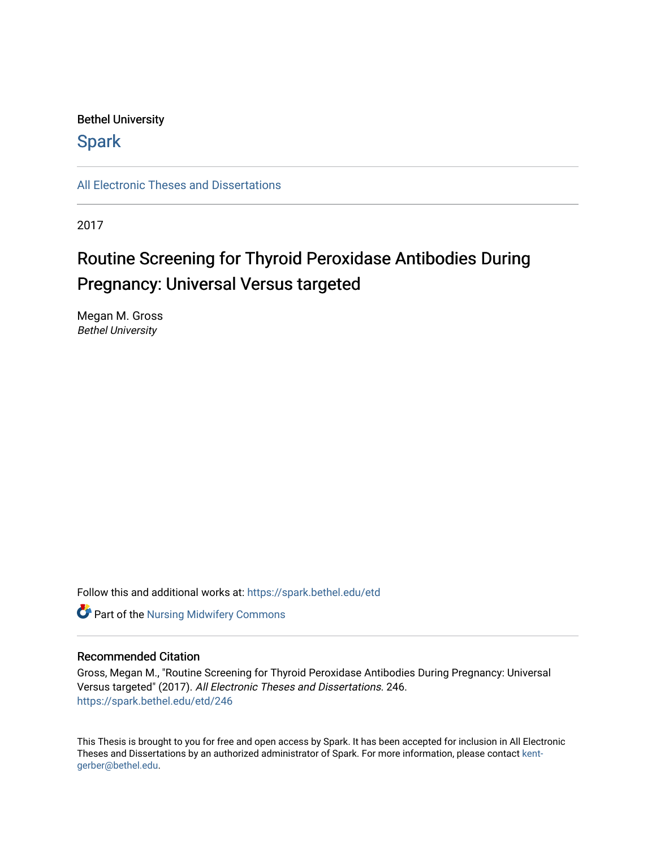## Bethel University

## **Spark**

[All Electronic Theses and Dissertations](https://spark.bethel.edu/etd) 

2017

# Routine Screening for Thyroid Peroxidase Antibodies During Pregnancy: Universal Versus targeted

Megan M. Gross Bethel University

Follow this and additional works at: [https://spark.bethel.edu/etd](https://spark.bethel.edu/etd?utm_source=spark.bethel.edu%2Fetd%2F246&utm_medium=PDF&utm_campaign=PDFCoverPages)

**Part of the Nursing Midwifery Commons** 

#### Recommended Citation

Gross, Megan M., "Routine Screening for Thyroid Peroxidase Antibodies During Pregnancy: Universal Versus targeted" (2017). All Electronic Theses and Dissertations. 246. [https://spark.bethel.edu/etd/246](https://spark.bethel.edu/etd/246?utm_source=spark.bethel.edu%2Fetd%2F246&utm_medium=PDF&utm_campaign=PDFCoverPages)

This Thesis is brought to you for free and open access by Spark. It has been accepted for inclusion in All Electronic Theses and Dissertations by an authorized administrator of Spark. For more information, please contact [kent](mailto:kent-gerber@bethel.edu)[gerber@bethel.edu.](mailto:kent-gerber@bethel.edu)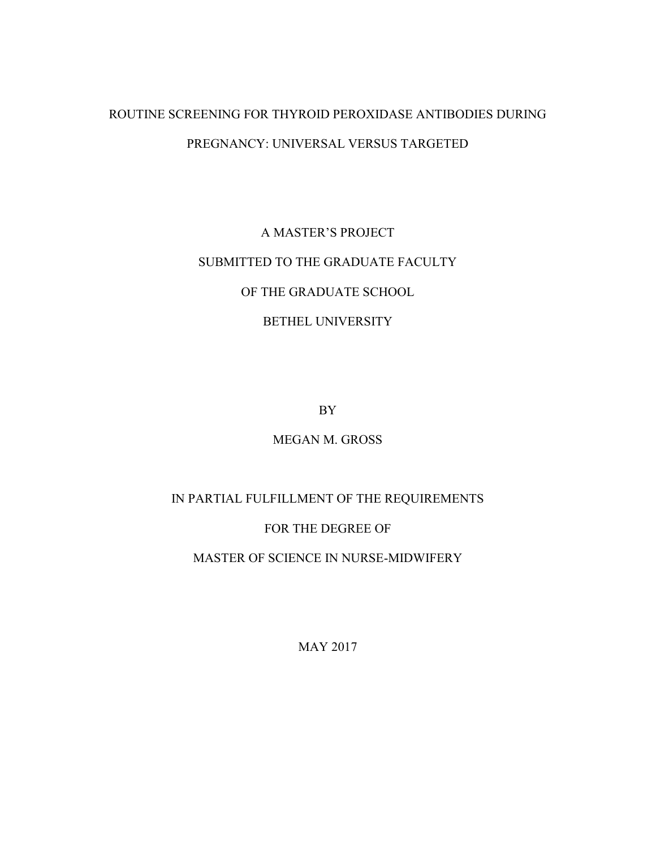## ROUTINE SCREENING FOR THYROID PEROXIDASE ANTIBODIES DURING PREGNANCY: UNIVERSAL VERSUS TARGETED

# A MASTER'S PROJECT SUBMITTED TO THE GRADUATE FACULTY OF THE GRADUATE SCHOOL BETHEL UNIVERSITY

BY

## MEGAN M. GROSS

## IN PARTIAL FULFILLMENT OF THE REQUIREMENTS

## FOR THE DEGREE OF

## MASTER OF SCIENCE IN NURSE-MIDWIFERY

MAY 2017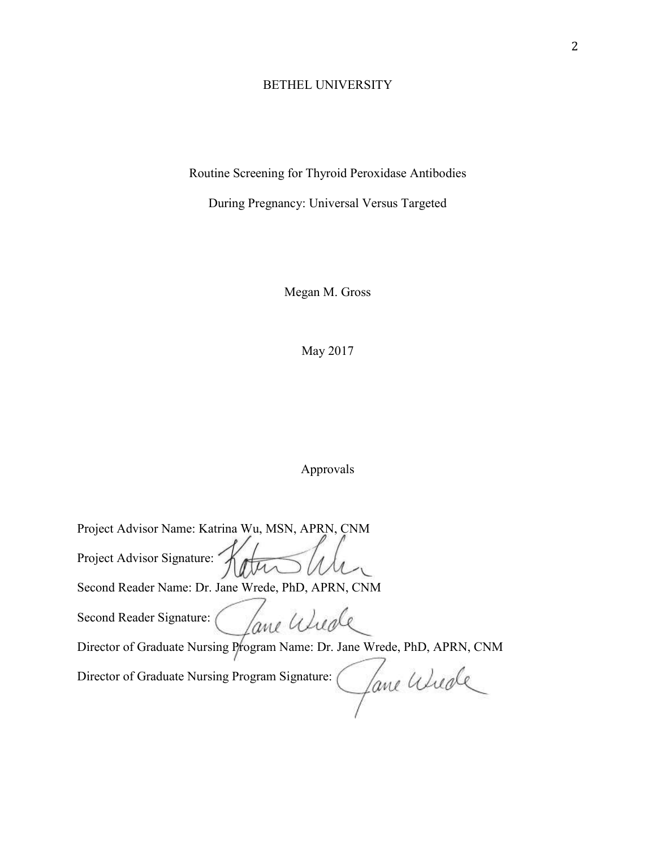## BETHEL UNIVERSITY

Routine Screening for Thyroid Peroxidase Antibodies

During Pregnancy: Universal Versus Targeted

Megan M. Gross

May 2017

## Approvals

| Project Advisor Name: Katrina Wu, MSN, APRN, CNM                          |
|---------------------------------------------------------------------------|
| Project Advisor Signature:                                                |
| Second Reader Name: Dr. Jane Wrede, PhD, APRN, CNM                        |
| Second Reader Signature:<br>ane Wieg                                      |
| Director of Graduate Nursing Program Name: Dr. Jane Wrede, PhD, APRN, CNM |
| Director of Graduate Nursing Program Signature:<br>ane afierle            |
|                                                                           |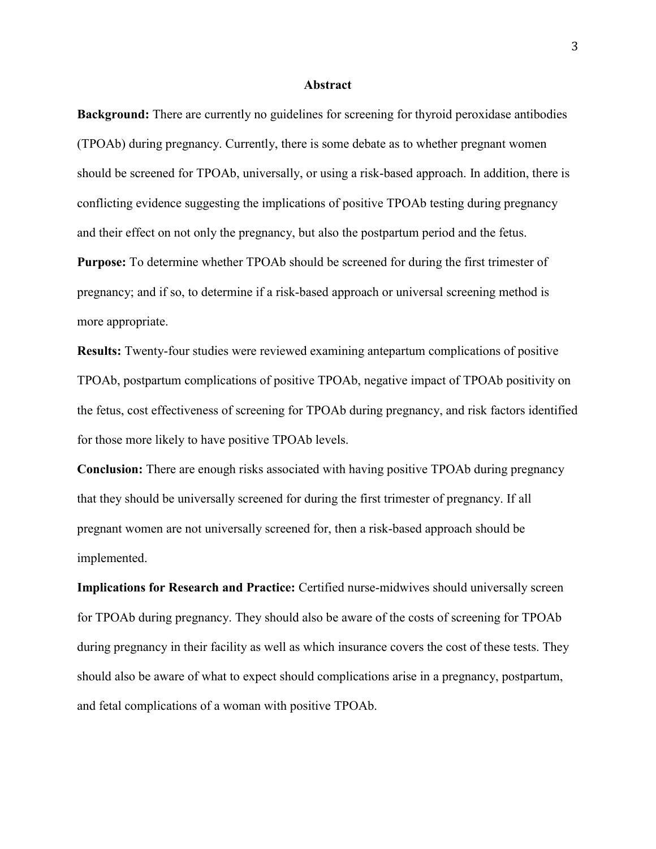#### **Abstract**

**Background:** There are currently no guidelines for screening for thyroid peroxidase antibodies (TPOAb) during pregnancy. Currently, there is some debate as to whether pregnant women should be screened for TPOAb, universally, or using a risk-based approach. In addition, there is conflicting evidence suggesting the implications of positive TPOAb testing during pregnancy and their effect on not only the pregnancy, but also the postpartum period and the fetus. **Purpose:** To determine whether TPOAb should be screened for during the first trimester of pregnancy; and if so, to determine if a risk-based approach or universal screening method is more appropriate.

**Results:** Twenty-four studies were reviewed examining antepartum complications of positive TPOAb, postpartum complications of positive TPOAb, negative impact of TPOAb positivity on the fetus, cost effectiveness of screening for TPOAb during pregnancy, and risk factors identified for those more likely to have positive TPOAb levels.

**Conclusion:** There are enough risks associated with having positive TPOAb during pregnancy that they should be universally screened for during the first trimester of pregnancy. If all pregnant women are not universally screened for, then a risk-based approach should be implemented.

**Implications for Research and Practice:** Certified nurse-midwives should universally screen for TPOAb during pregnancy. They should also be aware of the costs of screening for TPOAb during pregnancy in their facility as well as which insurance covers the cost of these tests. They should also be aware of what to expect should complications arise in a pregnancy, postpartum, and fetal complications of a woman with positive TPOAb.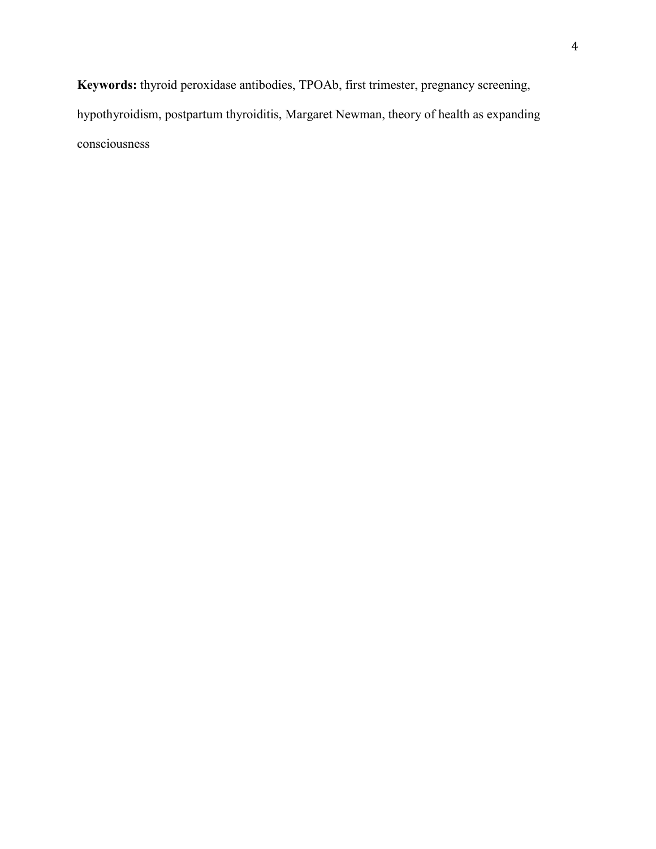**Keywords:** thyroid peroxidase antibodies, TPOAb, first trimester, pregnancy screening, hypothyroidism, postpartum thyroiditis, Margaret Newman, theory of health as expanding consciousness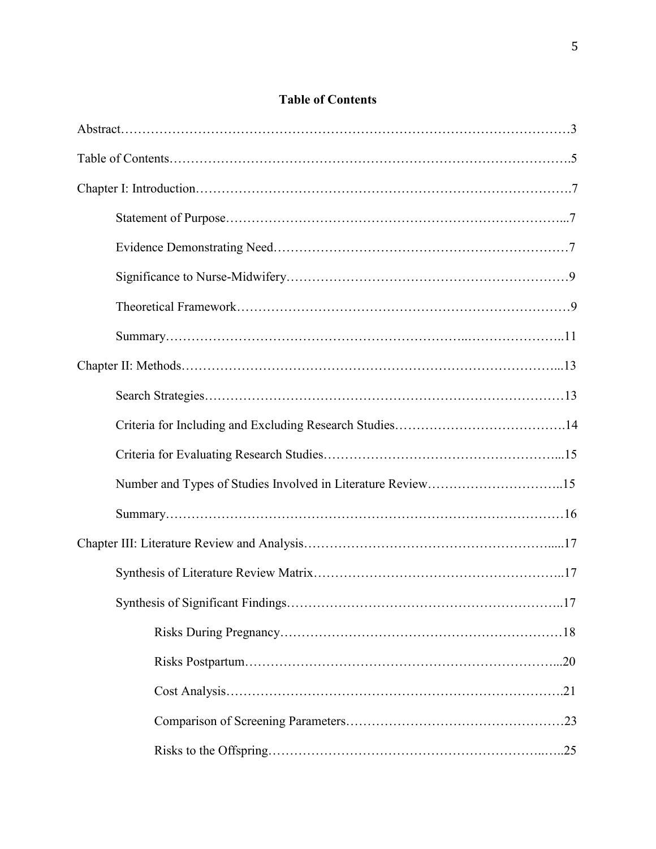## **Table of Contents**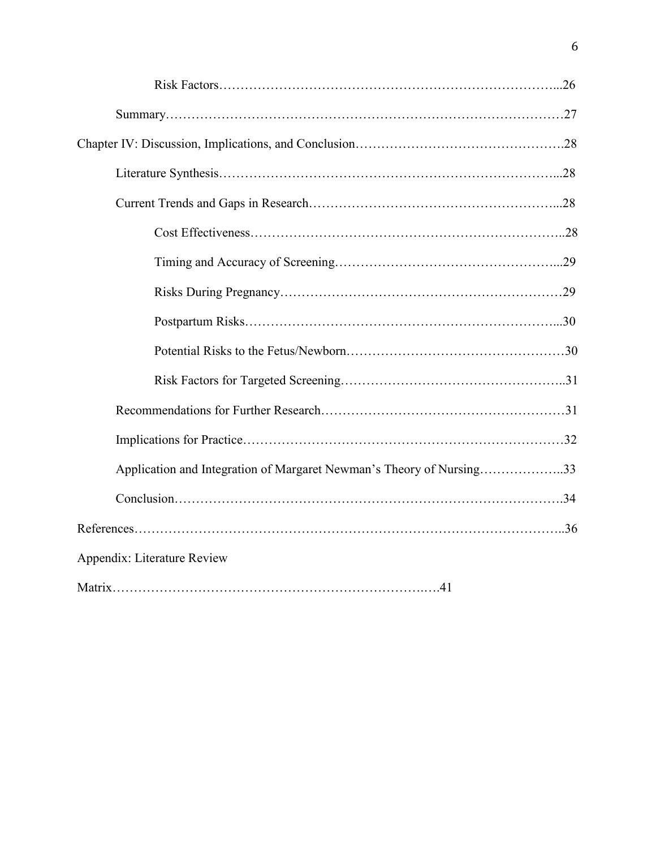| Application and Integration of Margaret Newman's Theory of Nursing33 |  |
|----------------------------------------------------------------------|--|
|                                                                      |  |
|                                                                      |  |
| Appendix: Literature Review                                          |  |
|                                                                      |  |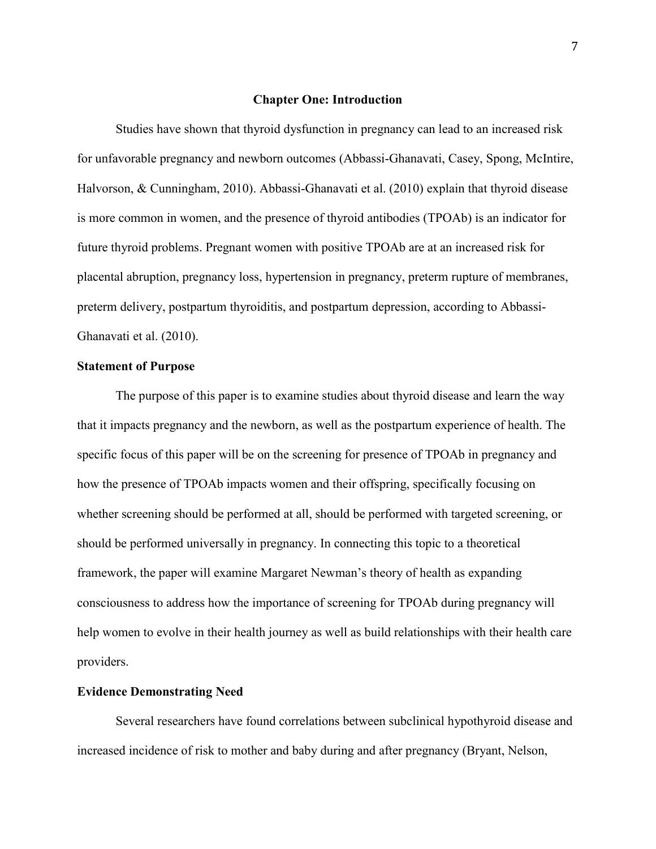#### **Chapter One: Introduction**

Studies have shown that thyroid dysfunction in pregnancy can lead to an increased risk for unfavorable pregnancy and newborn outcomes (Abbassi-Ghanavati, Casey, Spong, McIntire, Halvorson, & Cunningham, 2010). Abbassi-Ghanavati et al. (2010) explain that thyroid disease is more common in women, and the presence of thyroid antibodies (TPOAb) is an indicator for future thyroid problems. Pregnant women with positive TPOAb are at an increased risk for placental abruption, pregnancy loss, hypertension in pregnancy, preterm rupture of membranes, preterm delivery, postpartum thyroiditis, and postpartum depression, according to Abbassi-Ghanavati et al. (2010).

#### **Statement of Purpose**

The purpose of this paper is to examine studies about thyroid disease and learn the way that it impacts pregnancy and the newborn, as well as the postpartum experience of health. The specific focus of this paper will be on the screening for presence of TPOAb in pregnancy and how the presence of TPOAb impacts women and their offspring, specifically focusing on whether screening should be performed at all, should be performed with targeted screening, or should be performed universally in pregnancy. In connecting this topic to a theoretical framework, the paper will examine Margaret Newman's theory of health as expanding consciousness to address how the importance of screening for TPOAb during pregnancy will help women to evolve in their health journey as well as build relationships with their health care providers.

#### **Evidence Demonstrating Need**

Several researchers have found correlations between subclinical hypothyroid disease and increased incidence of risk to mother and baby during and after pregnancy (Bryant, Nelson,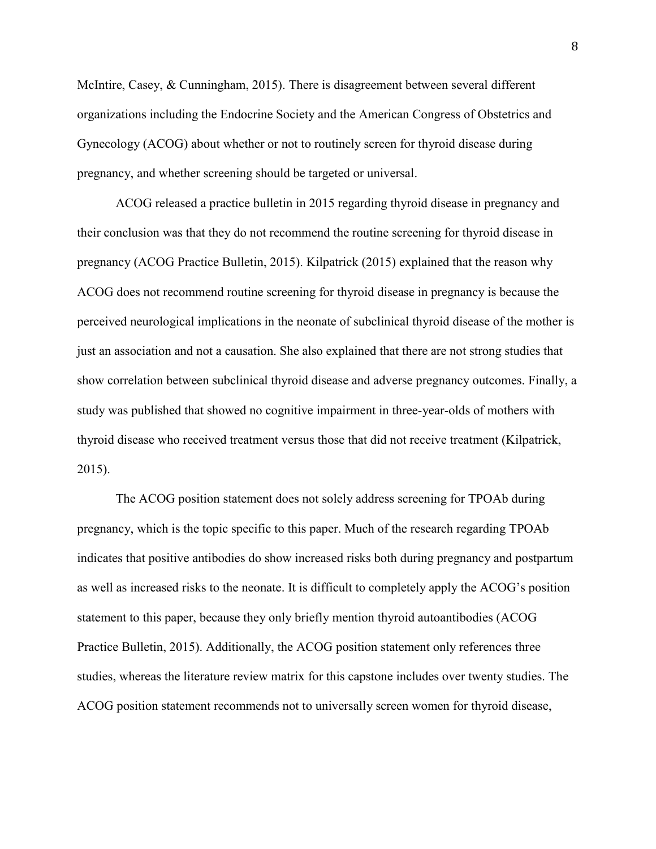McIntire, Casey, & Cunningham, 2015). There is disagreement between several different organizations including the Endocrine Society and the American Congress of Obstetrics and Gynecology (ACOG) about whether or not to routinely screen for thyroid disease during pregnancy, and whether screening should be targeted or universal.

ACOG released a practice bulletin in 2015 regarding thyroid disease in pregnancy and their conclusion was that they do not recommend the routine screening for thyroid disease in pregnancy (ACOG Practice Bulletin, 2015). Kilpatrick (2015) explained that the reason why ACOG does not recommend routine screening for thyroid disease in pregnancy is because the perceived neurological implications in the neonate of subclinical thyroid disease of the mother is just an association and not a causation. She also explained that there are not strong studies that show correlation between subclinical thyroid disease and adverse pregnancy outcomes. Finally, a study was published that showed no cognitive impairment in three-year-olds of mothers with thyroid disease who received treatment versus those that did not receive treatment (Kilpatrick, 2015).

The ACOG position statement does not solely address screening for TPOAb during pregnancy, which is the topic specific to this paper. Much of the research regarding TPOAb indicates that positive antibodies do show increased risks both during pregnancy and postpartum as well as increased risks to the neonate. It is difficult to completely apply the ACOG's position statement to this paper, because they only briefly mention thyroid autoantibodies (ACOG Practice Bulletin, 2015). Additionally, the ACOG position statement only references three studies, whereas the literature review matrix for this capstone includes over twenty studies. The ACOG position statement recommends not to universally screen women for thyroid disease,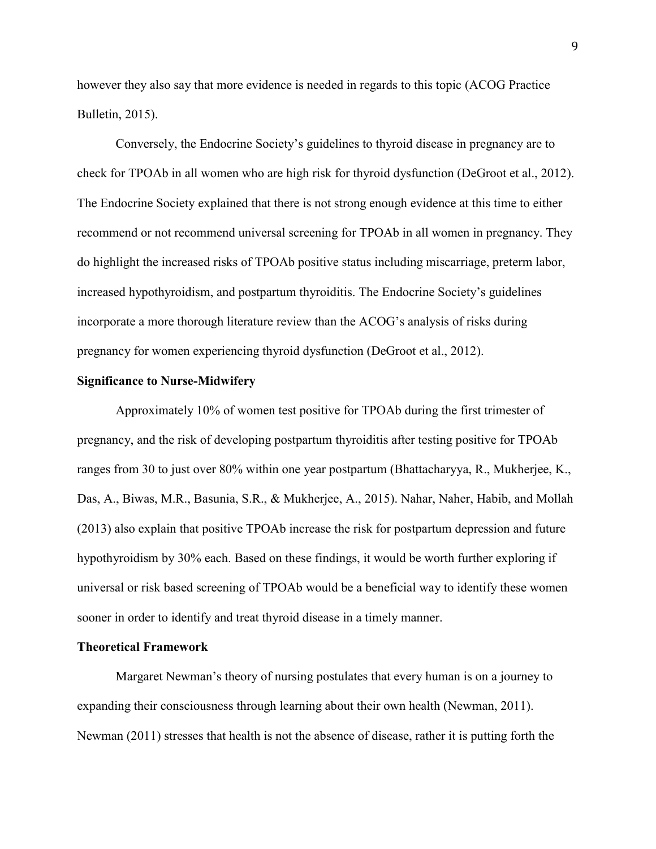however they also say that more evidence is needed in regards to this topic (ACOG Practice Bulletin, 2015).

Conversely, the Endocrine Society's guidelines to thyroid disease in pregnancy are to check for TPOAb in all women who are high risk for thyroid dysfunction (DeGroot et al., 2012). The Endocrine Society explained that there is not strong enough evidence at this time to either recommend or not recommend universal screening for TPOAb in all women in pregnancy. They do highlight the increased risks of TPOAb positive status including miscarriage, preterm labor, increased hypothyroidism, and postpartum thyroiditis. The Endocrine Society's guidelines incorporate a more thorough literature review than the ACOG's analysis of risks during pregnancy for women experiencing thyroid dysfunction (DeGroot et al., 2012).

#### **Significance to Nurse-Midwifery**

Approximately 10% of women test positive for TPOAb during the first trimester of pregnancy, and the risk of developing postpartum thyroiditis after testing positive for TPOAb ranges from 30 to just over 80% within one year postpartum (Bhattacharyya, R., Mukherjee, K., Das, A., Biwas, M.R., Basunia, S.R., & Mukherjee, A., 2015). Nahar, Naher, Habib, and Mollah (2013) also explain that positive TPOAb increase the risk for postpartum depression and future hypothyroidism by 30% each. Based on these findings, it would be worth further exploring if universal or risk based screening of TPOAb would be a beneficial way to identify these women sooner in order to identify and treat thyroid disease in a timely manner.

#### **Theoretical Framework**

Margaret Newman's theory of nursing postulates that every human is on a journey to expanding their consciousness through learning about their own health (Newman, 2011). Newman (2011) stresses that health is not the absence of disease, rather it is putting forth the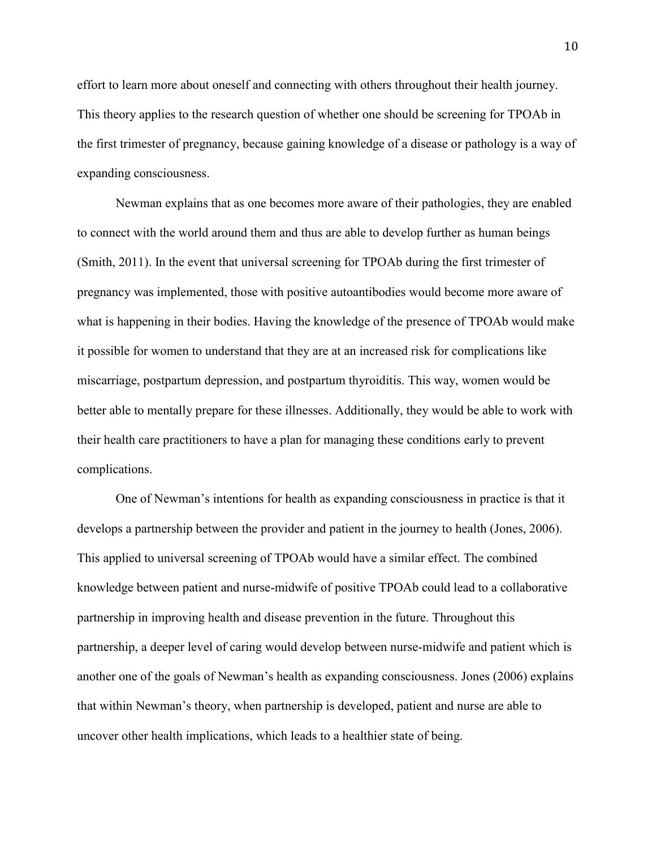effort to learn more about oneself and connecting with others throughout their health journey. This theory applies to the research question of whether one should be screening for TPOAb in the first trimester of pregnancy, because gaining knowledge of a disease or pathology is a way of expanding consciousness.

Newman explains that as one becomes more aware of their pathologies, they are enabled to connect with the world around them and thus are able to develop further as human beings (Smith, 2011). In the event that universal screening for TPOAb during the first trimester of pregnancy was implemented, those with positive autoantibodies would become more aware of what is happening in their bodies. Having the knowledge of the presence of TPOAb would make it possible for women to understand that they are at an increased risk for complications like miscarriage, postpartum depression, and postpartum thyroiditis. This way, women would be better able to mentally prepare for these illnesses. Additionally, they would be able to work with their health care practitioners to have a plan for managing these conditions early to prevent complications.

One of Newman's intentions for health as expanding consciousness in practice is that it develops a partnership between the provider and patient in the journey to health (Jones, 2006). This applied to universal screening of TPOAb would have a similar effect. The combined knowledge between patient and nurse-midwife of positive TPOAb could lead to a collaborative partnership in improving health and disease prevention in the future. Throughout this partnership, a deeper level of caring would develop between nurse-midwife and patient which is another one of the goals of Newman's health as expanding consciousness. Jones (2006) explains that within Newman's theory, when partnership is developed, patient and nurse are able to uncover other health implications, which leads to a healthier state of being.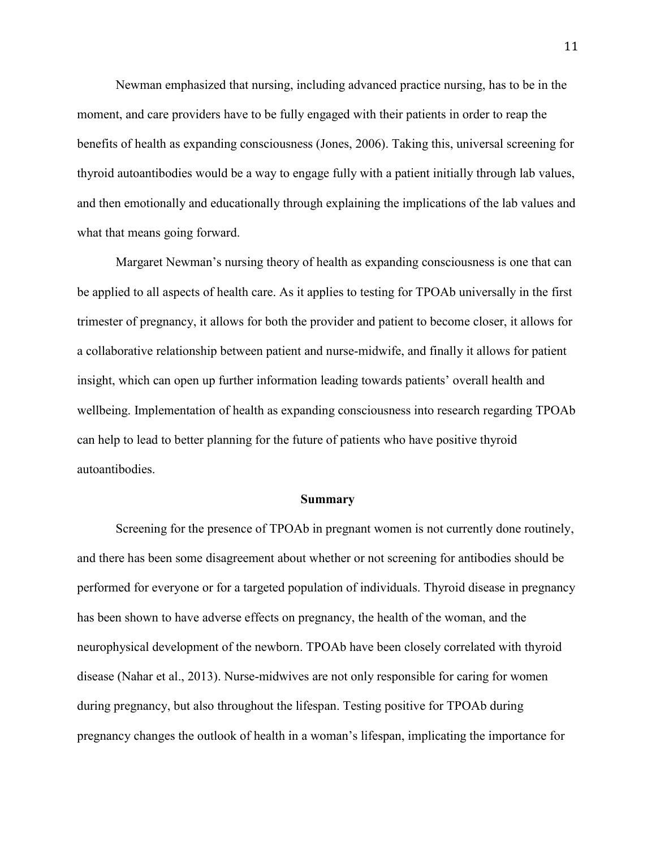Newman emphasized that nursing, including advanced practice nursing, has to be in the moment, and care providers have to be fully engaged with their patients in order to reap the benefits of health as expanding consciousness (Jones, 2006). Taking this, universal screening for thyroid autoantibodies would be a way to engage fully with a patient initially through lab values, and then emotionally and educationally through explaining the implications of the lab values and what that means going forward.

Margaret Newman's nursing theory of health as expanding consciousness is one that can be applied to all aspects of health care. As it applies to testing for TPOAb universally in the first trimester of pregnancy, it allows for both the provider and patient to become closer, it allows for a collaborative relationship between patient and nurse-midwife, and finally it allows for patient insight, which can open up further information leading towards patients' overall health and wellbeing. Implementation of health as expanding consciousness into research regarding TPOAb can help to lead to better planning for the future of patients who have positive thyroid autoantibodies.

#### **Summary**

Screening for the presence of TPOAb in pregnant women is not currently done routinely, and there has been some disagreement about whether or not screening for antibodies should be performed for everyone or for a targeted population of individuals. Thyroid disease in pregnancy has been shown to have adverse effects on pregnancy, the health of the woman, and the neurophysical development of the newborn. TPOAb have been closely correlated with thyroid disease (Nahar et al., 2013). Nurse-midwives are not only responsible for caring for women during pregnancy, but also throughout the lifespan. Testing positive for TPOAb during pregnancy changes the outlook of health in a woman's lifespan, implicating the importance for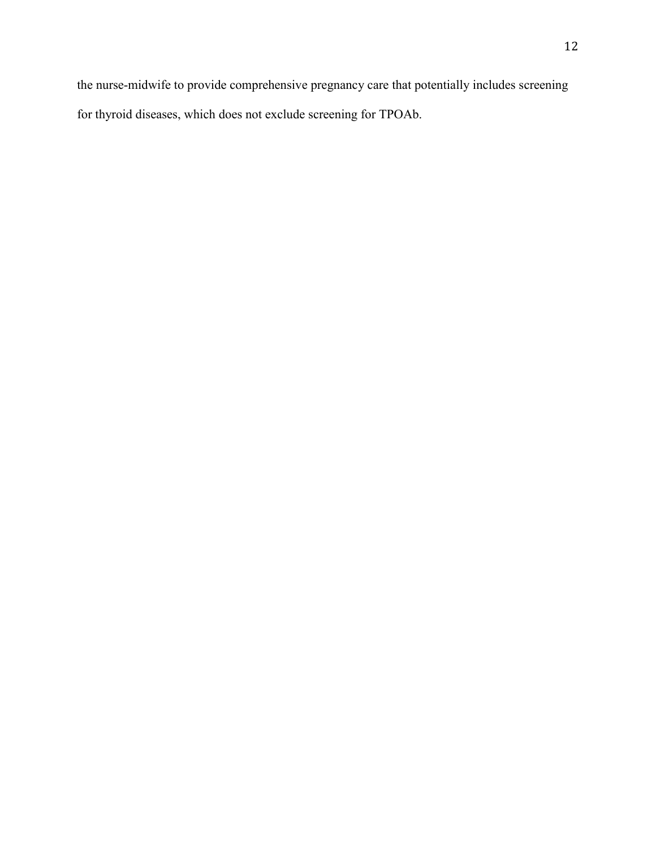the nurse-midwife to provide comprehensive pregnancy care that potentially includes screening for thyroid diseases, which does not exclude screening for TPOAb.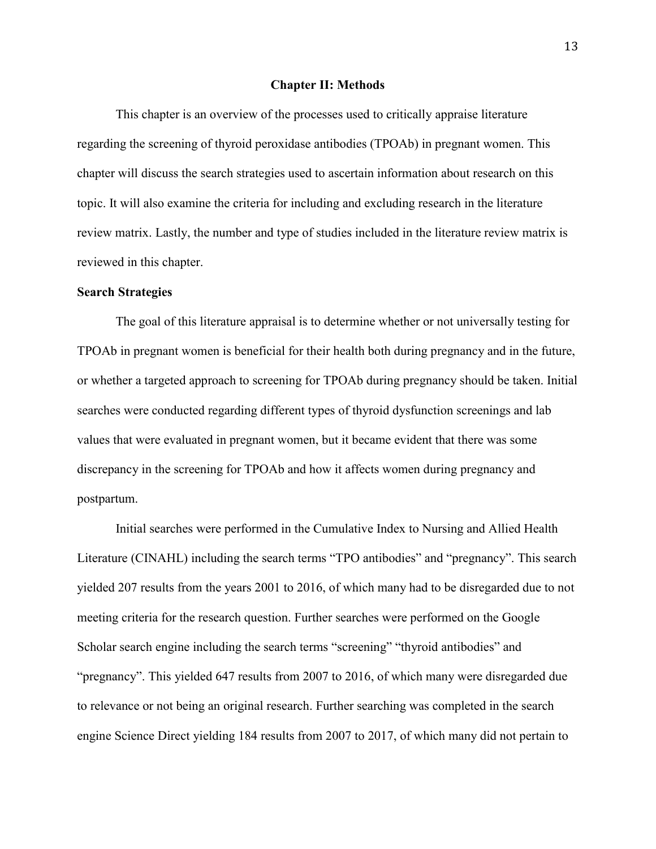#### **Chapter II: Methods**

This chapter is an overview of the processes used to critically appraise literature regarding the screening of thyroid peroxidase antibodies (TPOAb) in pregnant women. This chapter will discuss the search strategies used to ascertain information about research on this topic. It will also examine the criteria for including and excluding research in the literature review matrix. Lastly, the number and type of studies included in the literature review matrix is reviewed in this chapter.

#### **Search Strategies**

The goal of this literature appraisal is to determine whether or not universally testing for TPOAb in pregnant women is beneficial for their health both during pregnancy and in the future, or whether a targeted approach to screening for TPOAb during pregnancy should be taken. Initial searches were conducted regarding different types of thyroid dysfunction screenings and lab values that were evaluated in pregnant women, but it became evident that there was some discrepancy in the screening for TPOAb and how it affects women during pregnancy and postpartum.

Initial searches were performed in the Cumulative Index to Nursing and Allied Health Literature (CINAHL) including the search terms "TPO antibodies" and "pregnancy". This search yielded 207 results from the years 2001 to 2016, of which many had to be disregarded due to not meeting criteria for the research question. Further searches were performed on the Google Scholar search engine including the search terms "screening" "thyroid antibodies" and "pregnancy". This yielded 647 results from 2007 to 2016, of which many were disregarded due to relevance or not being an original research. Further searching was completed in the search engine Science Direct yielding 184 results from 2007 to 2017, of which many did not pertain to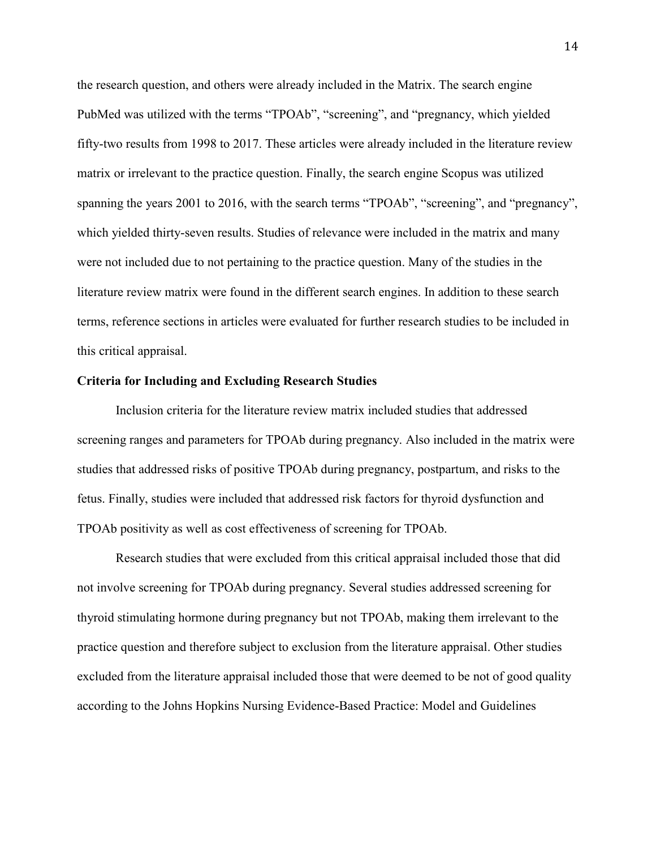the research question, and others were already included in the Matrix. The search engine PubMed was utilized with the terms "TPOAb", "screening", and "pregnancy, which yielded fifty-two results from 1998 to 2017. These articles were already included in the literature review matrix or irrelevant to the practice question. Finally, the search engine Scopus was utilized spanning the years 2001 to 2016, with the search terms "TPOAb", "screening", and "pregnancy", which yielded thirty-seven results. Studies of relevance were included in the matrix and many were not included due to not pertaining to the practice question. Many of the studies in the literature review matrix were found in the different search engines. In addition to these search terms, reference sections in articles were evaluated for further research studies to be included in this critical appraisal.

#### **Criteria for Including and Excluding Research Studies**

Inclusion criteria for the literature review matrix included studies that addressed screening ranges and parameters for TPOAb during pregnancy. Also included in the matrix were studies that addressed risks of positive TPOAb during pregnancy, postpartum, and risks to the fetus. Finally, studies were included that addressed risk factors for thyroid dysfunction and TPOAb positivity as well as cost effectiveness of screening for TPOAb.

Research studies that were excluded from this critical appraisal included those that did not involve screening for TPOAb during pregnancy. Several studies addressed screening for thyroid stimulating hormone during pregnancy but not TPOAb, making them irrelevant to the practice question and therefore subject to exclusion from the literature appraisal. Other studies excluded from the literature appraisal included those that were deemed to be not of good quality according to the Johns Hopkins Nursing Evidence-Based Practice: Model and Guidelines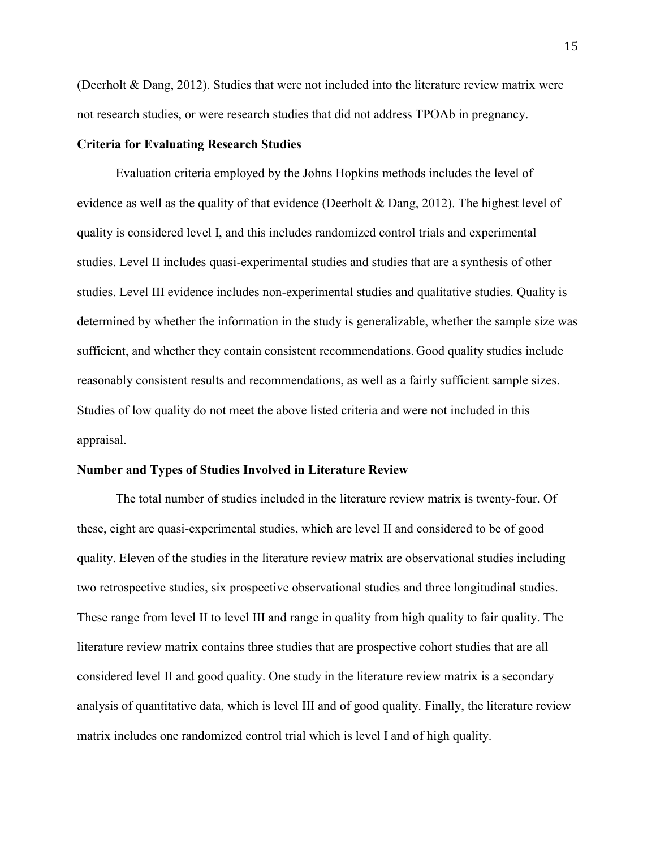(Deerholt & Dang, 2012). Studies that were not included into the literature review matrix were not research studies, or were research studies that did not address TPOAb in pregnancy.

#### **Criteria for Evaluating Research Studies**

Evaluation criteria employed by the Johns Hopkins methods includes the level of evidence as well as the quality of that evidence (Deerholt & Dang, 2012). The highest level of quality is considered level I, and this includes randomized control trials and experimental studies. Level II includes quasi-experimental studies and studies that are a synthesis of other studies. Level III evidence includes non-experimental studies and qualitative studies. Quality is determined by whether the information in the study is generalizable, whether the sample size was sufficient, and whether they contain consistent recommendations. Good quality studies include reasonably consistent results and recommendations, as well as a fairly sufficient sample sizes. Studies of low quality do not meet the above listed criteria and were not included in this appraisal.

#### **Number and Types of Studies Involved in Literature Review**

The total number of studies included in the literature review matrix is twenty-four. Of these, eight are quasi-experimental studies, which are level II and considered to be of good quality. Eleven of the studies in the literature review matrix are observational studies including two retrospective studies, six prospective observational studies and three longitudinal studies. These range from level II to level III and range in quality from high quality to fair quality. The literature review matrix contains three studies that are prospective cohort studies that are all considered level II and good quality. One study in the literature review matrix is a secondary analysis of quantitative data, which is level III and of good quality. Finally, the literature review matrix includes one randomized control trial which is level I and of high quality.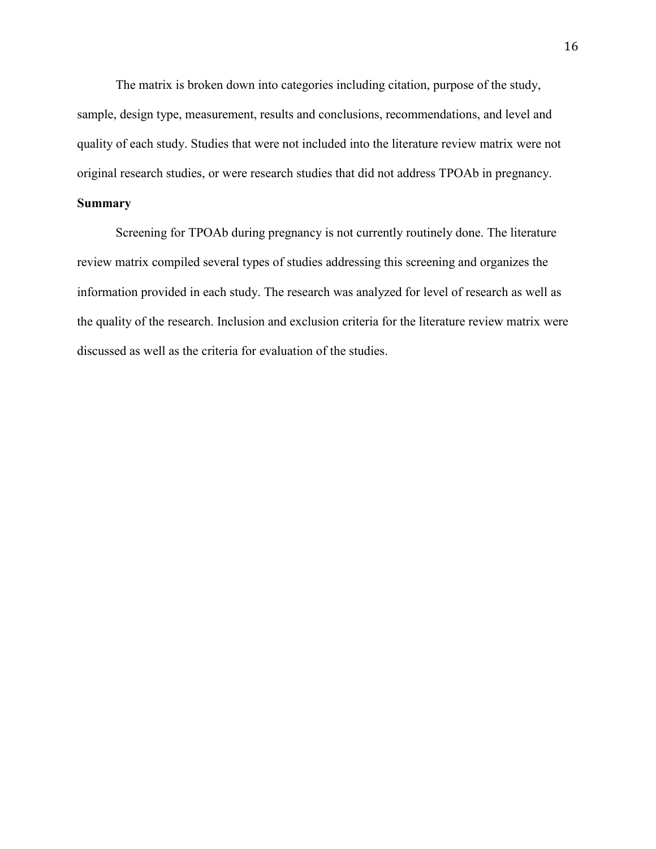The matrix is broken down into categories including citation, purpose of the study, sample, design type, measurement, results and conclusions, recommendations, and level and quality of each study. Studies that were not included into the literature review matrix were not original research studies, or were research studies that did not address TPOAb in pregnancy.

## **Summary**

Screening for TPOAb during pregnancy is not currently routinely done. The literature review matrix compiled several types of studies addressing this screening and organizes the information provided in each study. The research was analyzed for level of research as well as the quality of the research. Inclusion and exclusion criteria for the literature review matrix were discussed as well as the criteria for evaluation of the studies.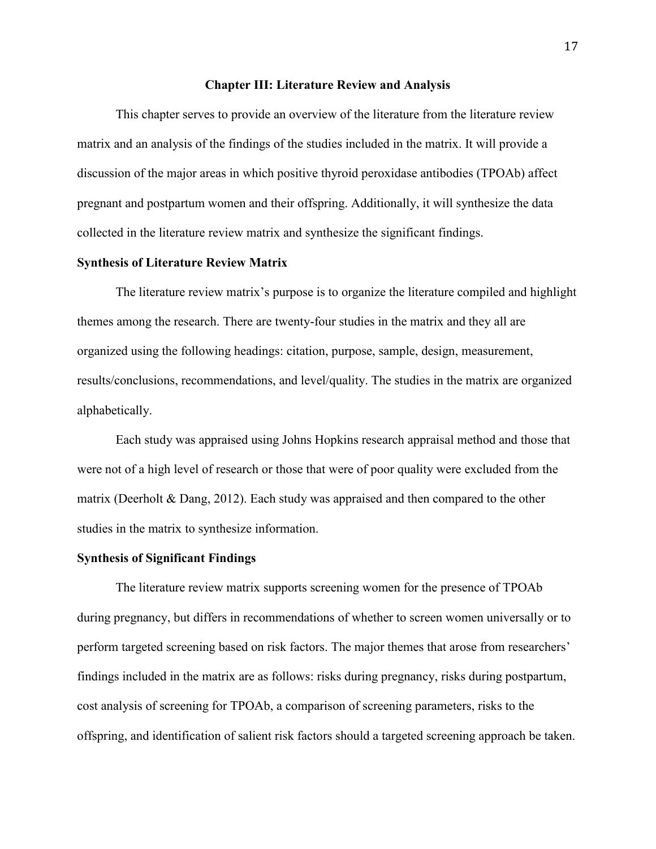#### **Chapter III: Literature Review and Analysis**

This chapter serves to provide an overview of the literature from the literature review matrix and an analysis of the findings of the studies included in the matrix. It will provide a discussion of the major areas in which positive thyroid peroxidase antibodies (TPOAb) affect pregnant and postpartum women and their offspring. Additionally, it will synthesize the data collected in the literature review matrix and synthesize the significant findings.

#### **Synthesis of Literature Review Matrix**

The literature review matrix's purpose is to organize the literature compiled and highlight themes among the research. There are twenty-four studies in the matrix and they all are organized using the following headings: citation, purpose, sample, design, measurement, results/conclusions, recommendations, and level/quality. The studies in the matrix are organized alphabetically.

Each study was appraised using Johns Hopkins research appraisal method and those that were not of a high level of research or those that were of poor quality were excluded from the matrix (Deerholt & Dang, 2012). Each study was appraised and then compared to the other studies in the matrix to synthesize information.

#### **Synthesis of Significant Findings**

The literature review matrix supports screening women for the presence of TPOAb during pregnancy, but differs in recommendations of whether to screen women universally or to perform targeted screening based on risk factors. The major themes that arose from researchers' findings included in the matrix are as follows: risks during pregnancy, risks during postpartum, cost analysis of screening for TPOAb, a comparison of screening parameters, risks to the offspring, and identification of salient risk factors should a targeted screening approach be taken.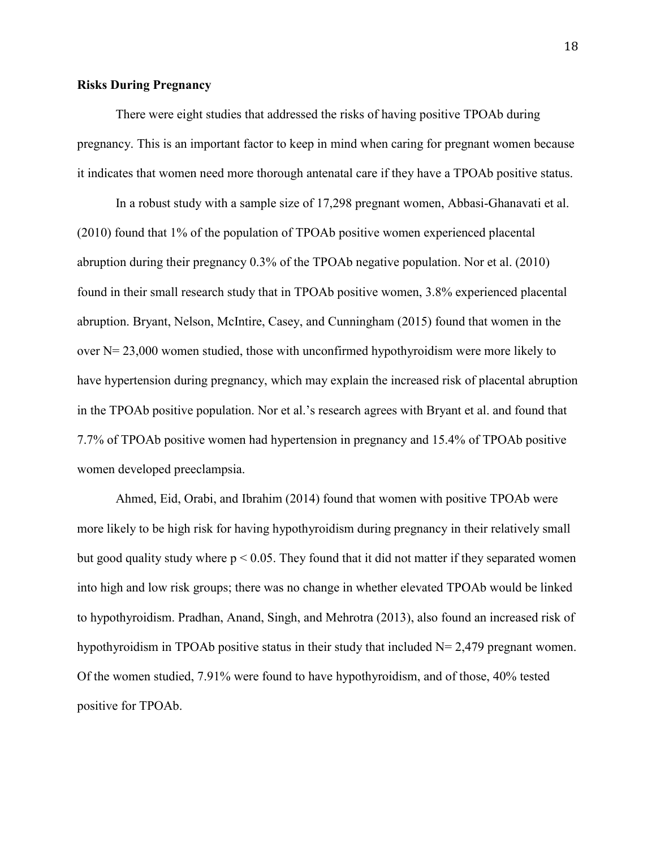#### **Risks During Pregnancy**

There were eight studies that addressed the risks of having positive TPOAb during pregnancy. This is an important factor to keep in mind when caring for pregnant women because it indicates that women need more thorough antenatal care if they have a TPOAb positive status.

In a robust study with a sample size of 17,298 pregnant women, Abbasi-Ghanavati et al. (2010) found that 1% of the population of TPOAb positive women experienced placental abruption during their pregnancy 0.3% of the TPOAb negative population. Nor et al. (2010) found in their small research study that in TPOAb positive women, 3.8% experienced placental abruption. Bryant, Nelson, McIntire, Casey, and Cunningham (2015) found that women in the over  $N = 23,000$  women studied, those with unconfirmed hypothyroidism were more likely to have hypertension during pregnancy, which may explain the increased risk of placental abruption in the TPOAb positive population. Nor et al.'s research agrees with Bryant et al. and found that 7.7% of TPOAb positive women had hypertension in pregnancy and 15.4% of TPOAb positive women developed preeclampsia.

Ahmed, Eid, Orabi, and Ibrahim (2014) found that women with positive TPOAb were more likely to be high risk for having hypothyroidism during pregnancy in their relatively small but good quality study where  $p < 0.05$ . They found that it did not matter if they separated women into high and low risk groups; there was no change in whether elevated TPOAb would be linked to hypothyroidism. Pradhan, Anand, Singh, and Mehrotra (2013), also found an increased risk of hypothyroidism in TPOAb positive status in their study that included  $N= 2,479$  pregnant women. Of the women studied, 7.91% were found to have hypothyroidism, and of those, 40% tested positive for TPOAb.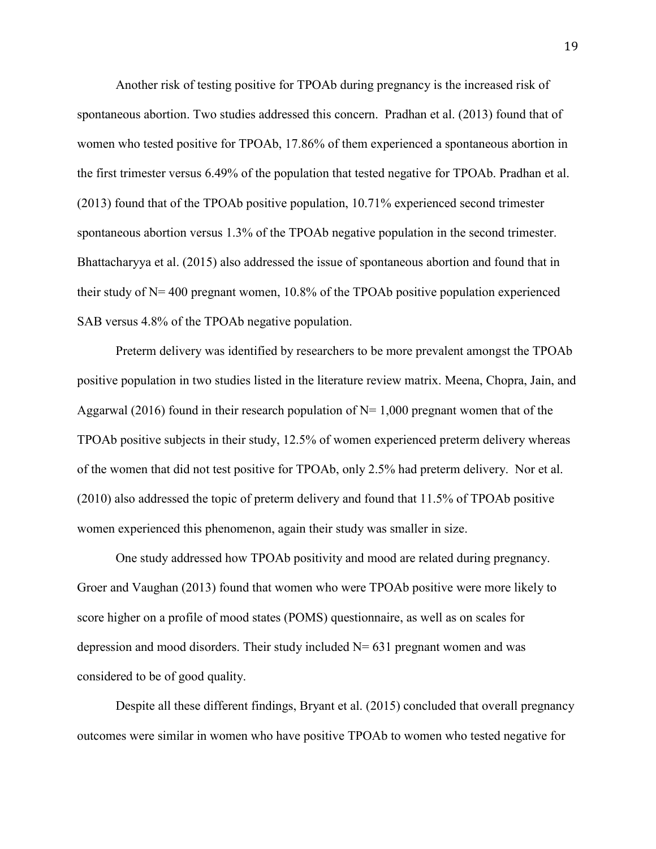Another risk of testing positive for TPOAb during pregnancy is the increased risk of spontaneous abortion. Two studies addressed this concern. Pradhan et al. (2013) found that of women who tested positive for TPOAb, 17.86% of them experienced a spontaneous abortion in the first trimester versus 6.49% of the population that tested negative for TPOAb. Pradhan et al. (2013) found that of the TPOAb positive population, 10.71% experienced second trimester spontaneous abortion versus 1.3% of the TPOAb negative population in the second trimester. Bhattacharyya et al. (2015) also addressed the issue of spontaneous abortion and found that in their study of N= 400 pregnant women, 10.8% of the TPOAb positive population experienced SAB versus 4.8% of the TPOAb negative population.

Preterm delivery was identified by researchers to be more prevalent amongst the TPOAb positive population in two studies listed in the literature review matrix. Meena, Chopra, Jain, and Aggarwal (2016) found in their research population of  $N=1,000$  pregnant women that of the TPOAb positive subjects in their study, 12.5% of women experienced preterm delivery whereas of the women that did not test positive for TPOAb, only 2.5% had preterm delivery. Nor et al. (2010) also addressed the topic of preterm delivery and found that 11.5% of TPOAb positive women experienced this phenomenon, again their study was smaller in size.

One study addressed how TPOAb positivity and mood are related during pregnancy. Groer and Vaughan (2013) found that women who were TPOAb positive were more likely to score higher on a profile of mood states (POMS) questionnaire, as well as on scales for depression and mood disorders. Their study included  $N= 631$  pregnant women and was considered to be of good quality.

Despite all these different findings, Bryant et al. (2015) concluded that overall pregnancy outcomes were similar in women who have positive TPOAb to women who tested negative for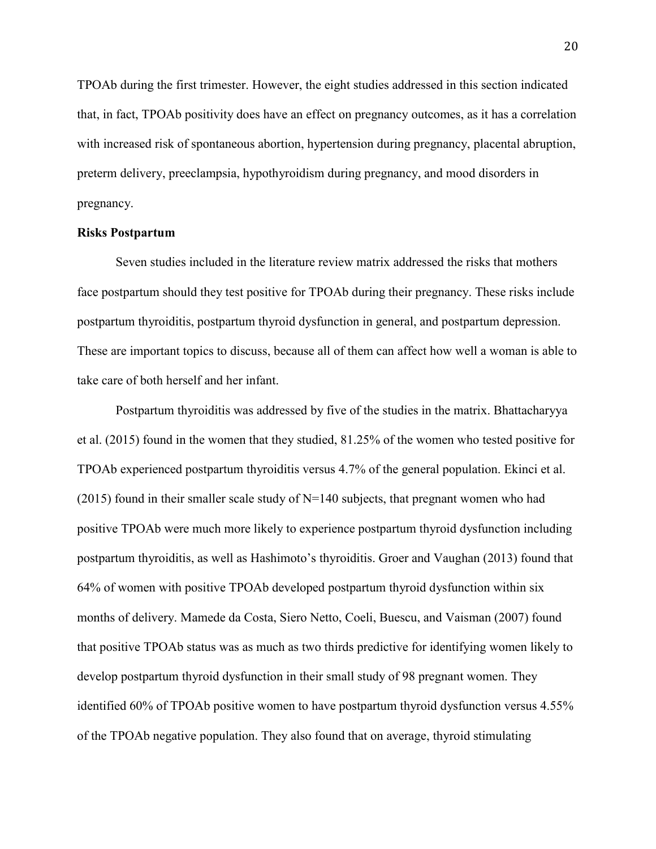TPOAb during the first trimester. However, the eight studies addressed in this section indicated that, in fact, TPOAb positivity does have an effect on pregnancy outcomes, as it has a correlation with increased risk of spontaneous abortion, hypertension during pregnancy, placental abruption, preterm delivery, preeclampsia, hypothyroidism during pregnancy, and mood disorders in pregnancy.

#### **Risks Postpartum**

Seven studies included in the literature review matrix addressed the risks that mothers face postpartum should they test positive for TPOAb during their pregnancy. These risks include postpartum thyroiditis, postpartum thyroid dysfunction in general, and postpartum depression. These are important topics to discuss, because all of them can affect how well a woman is able to take care of both herself and her infant.

Postpartum thyroiditis was addressed by five of the studies in the matrix. Bhattacharyya et al. (2015) found in the women that they studied, 81.25% of the women who tested positive for TPOAb experienced postpartum thyroiditis versus 4.7% of the general population. Ekinci et al. (2015) found in their smaller scale study of  $N=140$  subjects, that pregnant women who had positive TPOAb were much more likely to experience postpartum thyroid dysfunction including postpartum thyroiditis, as well as Hashimoto's thyroiditis. Groer and Vaughan (2013) found that 64% of women with positive TPOAb developed postpartum thyroid dysfunction within six months of delivery. Mamede da Costa, Siero Netto, Coeli, Buescu, and Vaisman (2007) found that positive TPOAb status was as much as two thirds predictive for identifying women likely to develop postpartum thyroid dysfunction in their small study of 98 pregnant women. They identified 60% of TPOAb positive women to have postpartum thyroid dysfunction versus 4.55% of the TPOAb negative population. They also found that on average, thyroid stimulating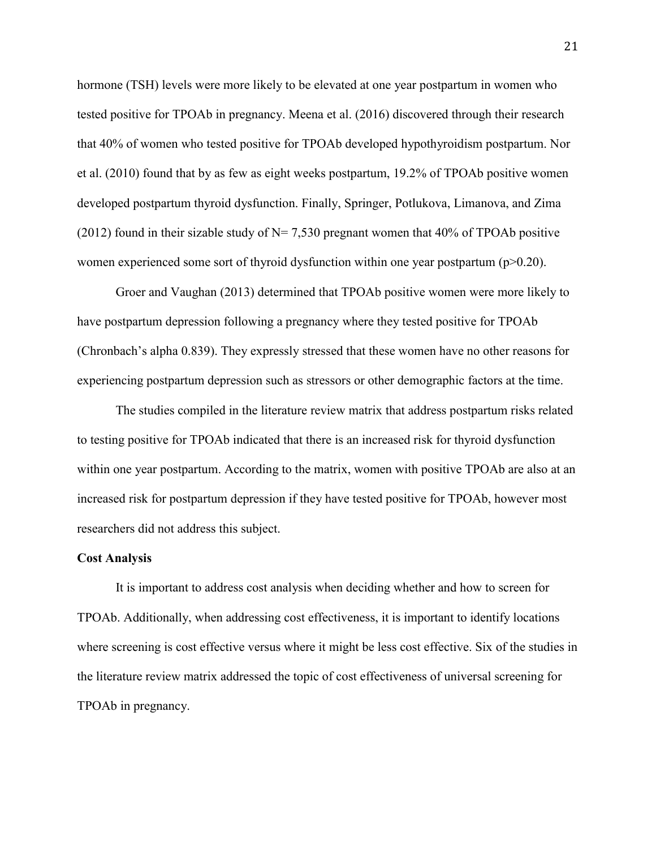hormone (TSH) levels were more likely to be elevated at one year postpartum in women who tested positive for TPOAb in pregnancy. Meena et al. (2016) discovered through their research that 40% of women who tested positive for TPOAb developed hypothyroidism postpartum. Nor et al. (2010) found that by as few as eight weeks postpartum, 19.2% of TPOAb positive women developed postpartum thyroid dysfunction. Finally, Springer, Potlukova, Limanova, and Zima (2012) found in their sizable study of  $N= 7,530$  pregnant women that 40% of TPOAb positive women experienced some sort of thyroid dysfunction within one year postpartum (p>0.20).

Groer and Vaughan (2013) determined that TPOAb positive women were more likely to have postpartum depression following a pregnancy where they tested positive for TPOAb (Chronbach's alpha 0.839). They expressly stressed that these women have no other reasons for experiencing postpartum depression such as stressors or other demographic factors at the time.

The studies compiled in the literature review matrix that address postpartum risks related to testing positive for TPOAb indicated that there is an increased risk for thyroid dysfunction within one year postpartum. According to the matrix, women with positive TPOAb are also at an increased risk for postpartum depression if they have tested positive for TPOAb, however most researchers did not address this subject.

#### **Cost Analysis**

It is important to address cost analysis when deciding whether and how to screen for TPOAb. Additionally, when addressing cost effectiveness, it is important to identify locations where screening is cost effective versus where it might be less cost effective. Six of the studies in the literature review matrix addressed the topic of cost effectiveness of universal screening for TPOAb in pregnancy.

21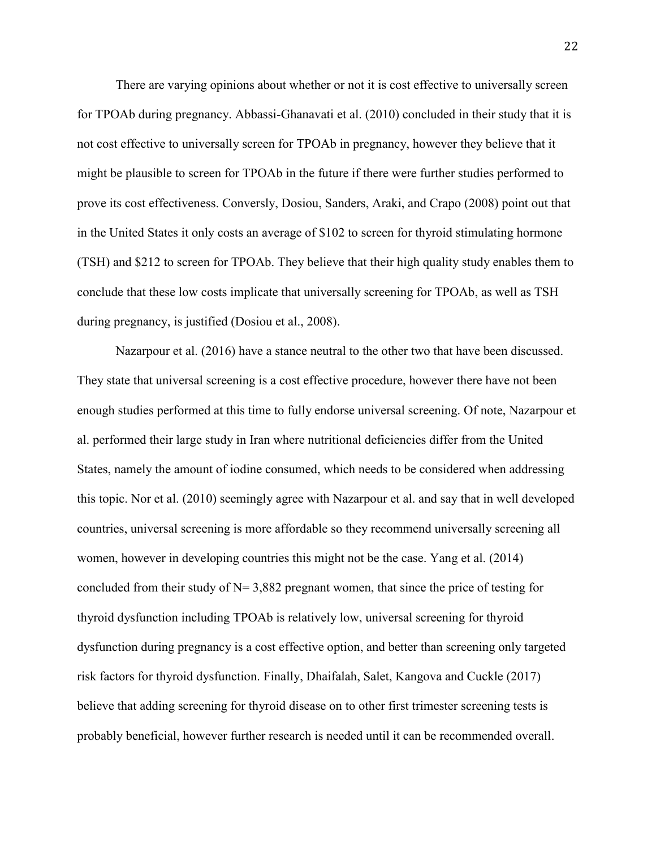There are varying opinions about whether or not it is cost effective to universally screen for TPOAb during pregnancy. Abbassi-Ghanavati et al. (2010) concluded in their study that it is not cost effective to universally screen for TPOAb in pregnancy, however they believe that it might be plausible to screen for TPOAb in the future if there were further studies performed to prove its cost effectiveness. Conversly, Dosiou, Sanders, Araki, and Crapo (2008) point out that in the United States it only costs an average of \$102 to screen for thyroid stimulating hormone (TSH) and \$212 to screen for TPOAb. They believe that their high quality study enables them to conclude that these low costs implicate that universally screening for TPOAb, as well as TSH during pregnancy, is justified (Dosiou et al., 2008).

Nazarpour et al. (2016) have a stance neutral to the other two that have been discussed. They state that universal screening is a cost effective procedure, however there have not been enough studies performed at this time to fully endorse universal screening. Of note, Nazarpour et al. performed their large study in Iran where nutritional deficiencies differ from the United States, namely the amount of iodine consumed, which needs to be considered when addressing this topic. Nor et al. (2010) seemingly agree with Nazarpour et al. and say that in well developed countries, universal screening is more affordable so they recommend universally screening all women, however in developing countries this might not be the case. Yang et al. (2014) concluded from their study of  $N= 3,882$  pregnant women, that since the price of testing for thyroid dysfunction including TPOAb is relatively low, universal screening for thyroid dysfunction during pregnancy is a cost effective option, and better than screening only targeted risk factors for thyroid dysfunction. Finally, Dhaifalah, Salet, Kangova and Cuckle (2017) believe that adding screening for thyroid disease on to other first trimester screening tests is probably beneficial, however further research is needed until it can be recommended overall.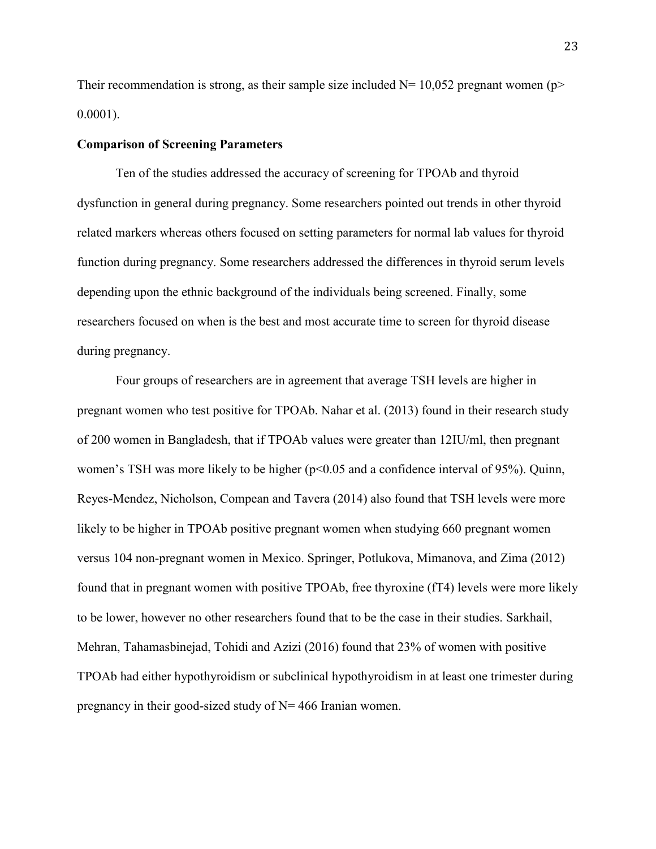Their recommendation is strong, as their sample size included  $N= 10,052$  pregnant women (p> 0.0001).

#### **Comparison of Screening Parameters**

Ten of the studies addressed the accuracy of screening for TPOAb and thyroid dysfunction in general during pregnancy. Some researchers pointed out trends in other thyroid related markers whereas others focused on setting parameters for normal lab values for thyroid function during pregnancy. Some researchers addressed the differences in thyroid serum levels depending upon the ethnic background of the individuals being screened. Finally, some researchers focused on when is the best and most accurate time to screen for thyroid disease during pregnancy.

Four groups of researchers are in agreement that average TSH levels are higher in pregnant women who test positive for TPOAb. Nahar et al. (2013) found in their research study of 200 women in Bangladesh, that if TPOAb values were greater than 12IU/ml, then pregnant women's TSH was more likely to be higher (p<0.05 and a confidence interval of 95%). Quinn, Reyes-Mendez, Nicholson, Compean and Tavera (2014) also found that TSH levels were more likely to be higher in TPOAb positive pregnant women when studying 660 pregnant women versus 104 non-pregnant women in Mexico. Springer, Potlukova, Mimanova, and Zima (2012) found that in pregnant women with positive TPOAb, free thyroxine (fT4) levels were more likely to be lower, however no other researchers found that to be the case in their studies. Sarkhail, Mehran, Tahamasbinejad, Tohidi and Azizi (2016) found that 23% of women with positive TPOAb had either hypothyroidism or subclinical hypothyroidism in at least one trimester during pregnancy in their good-sized study of  $N = 466$  Iranian women.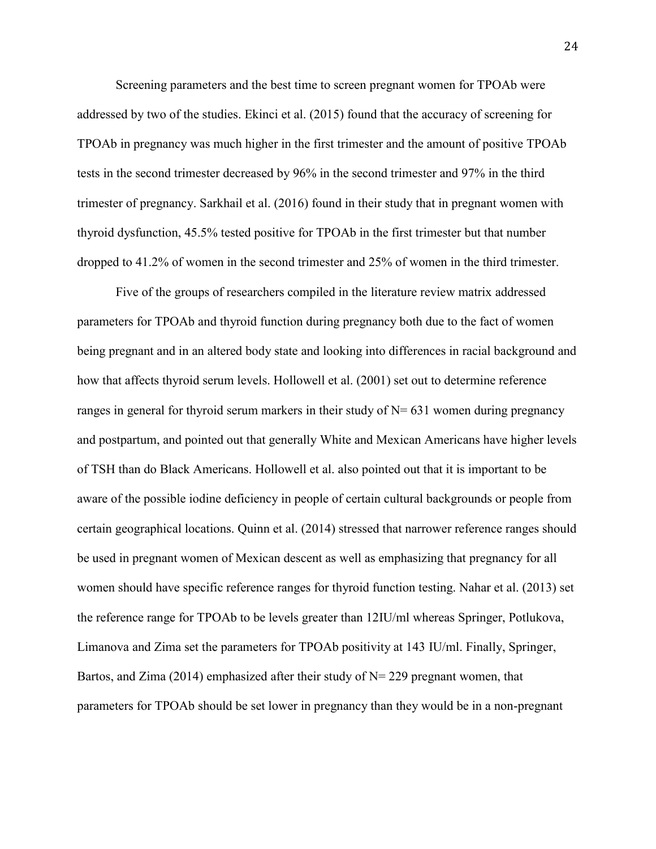Screening parameters and the best time to screen pregnant women for TPOAb were addressed by two of the studies. Ekinci et al. (2015) found that the accuracy of screening for TPOAb in pregnancy was much higher in the first trimester and the amount of positive TPOAb tests in the second trimester decreased by 96% in the second trimester and 97% in the third trimester of pregnancy. Sarkhail et al. (2016) found in their study that in pregnant women with thyroid dysfunction, 45.5% tested positive for TPOAb in the first trimester but that number dropped to 41.2% of women in the second trimester and 25% of women in the third trimester.

Five of the groups of researchers compiled in the literature review matrix addressed parameters for TPOAb and thyroid function during pregnancy both due to the fact of women being pregnant and in an altered body state and looking into differences in racial background and how that affects thyroid serum levels. Hollowell et al. (2001) set out to determine reference ranges in general for thyroid serum markers in their study of  $N = 631$  women during pregnancy and postpartum, and pointed out that generally White and Mexican Americans have higher levels of TSH than do Black Americans. Hollowell et al. also pointed out that it is important to be aware of the possible iodine deficiency in people of certain cultural backgrounds or people from certain geographical locations. Quinn et al. (2014) stressed that narrower reference ranges should be used in pregnant women of Mexican descent as well as emphasizing that pregnancy for all women should have specific reference ranges for thyroid function testing. Nahar et al. (2013) set the reference range for TPOAb to be levels greater than 12IU/ml whereas Springer, Potlukova, Limanova and Zima set the parameters for TPOAb positivity at 143 IU/ml. Finally, Springer, Bartos, and Zima (2014) emphasized after their study of  $N=$  229 pregnant women, that parameters for TPOAb should be set lower in pregnancy than they would be in a non-pregnant

24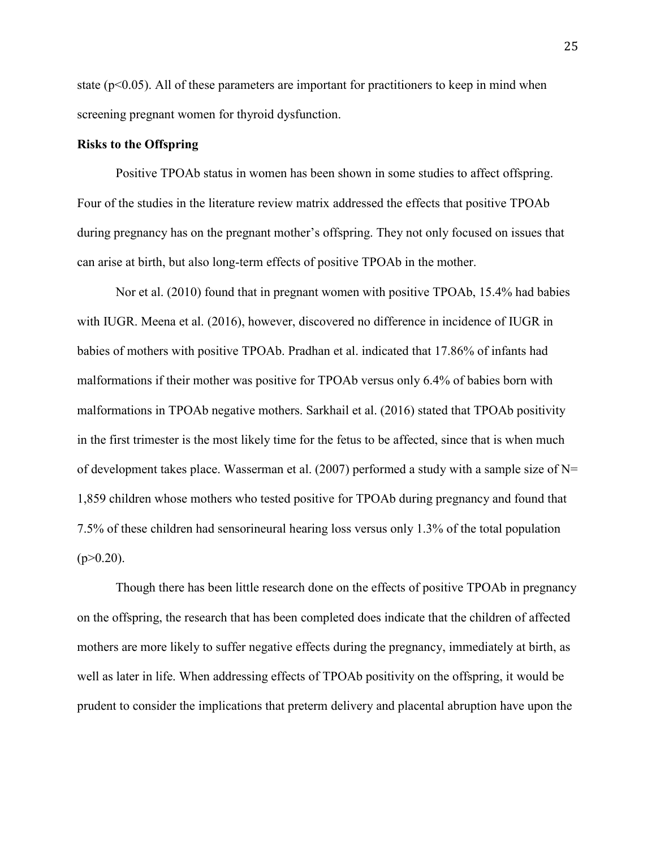state  $(p<0.05)$ . All of these parameters are important for practitioners to keep in mind when screening pregnant women for thyroid dysfunction.

#### **Risks to the Offspring**

Positive TPOAb status in women has been shown in some studies to affect offspring. Four of the studies in the literature review matrix addressed the effects that positive TPOAb during pregnancy has on the pregnant mother's offspring. They not only focused on issues that can arise at birth, but also long-term effects of positive TPOAb in the mother.

Nor et al. (2010) found that in pregnant women with positive TPOAb, 15.4% had babies with IUGR. Meena et al. (2016), however, discovered no difference in incidence of IUGR in babies of mothers with positive TPOAb. Pradhan et al. indicated that 17.86% of infants had malformations if their mother was positive for TPOAb versus only 6.4% of babies born with malformations in TPOAb negative mothers. Sarkhail et al. (2016) stated that TPOAb positivity in the first trimester is the most likely time for the fetus to be affected, since that is when much of development takes place. Wasserman et al. (2007) performed a study with a sample size of  $N=$ 1,859 children whose mothers who tested positive for TPOAb during pregnancy and found that 7.5% of these children had sensorineural hearing loss versus only 1.3% of the total population  $(p>0.20)$ .

Though there has been little research done on the effects of positive TPOAb in pregnancy on the offspring, the research that has been completed does indicate that the children of affected mothers are more likely to suffer negative effects during the pregnancy, immediately at birth, as well as later in life. When addressing effects of TPOAb positivity on the offspring, it would be prudent to consider the implications that preterm delivery and placental abruption have upon the

25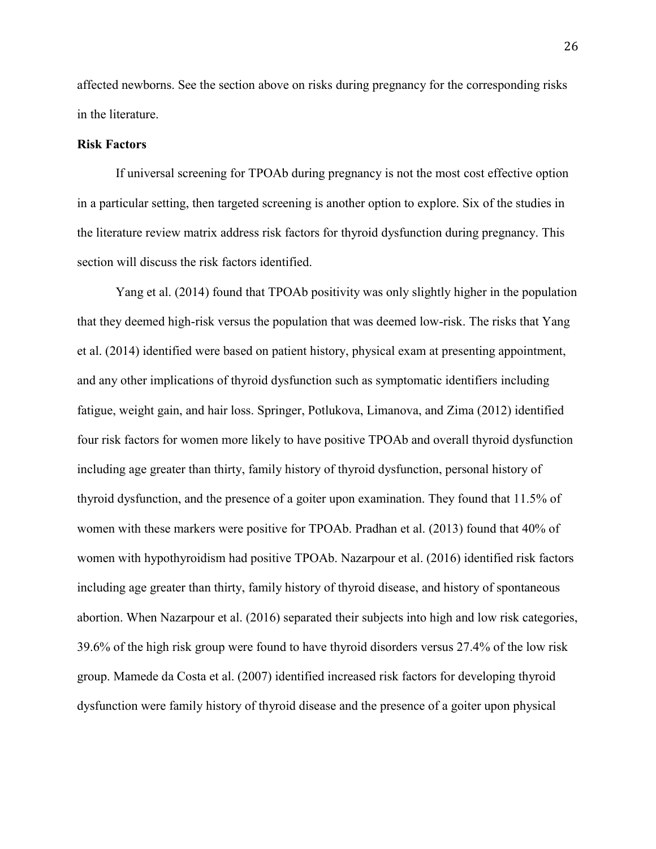affected newborns. See the section above on risks during pregnancy for the corresponding risks in the literature.

#### **Risk Factors**

If universal screening for TPOAb during pregnancy is not the most cost effective option in a particular setting, then targeted screening is another option to explore. Six of the studies in the literature review matrix address risk factors for thyroid dysfunction during pregnancy. This section will discuss the risk factors identified.

Yang et al. (2014) found that TPOAb positivity was only slightly higher in the population that they deemed high-risk versus the population that was deemed low-risk. The risks that Yang et al. (2014) identified were based on patient history, physical exam at presenting appointment, and any other implications of thyroid dysfunction such as symptomatic identifiers including fatigue, weight gain, and hair loss. Springer, Potlukova, Limanova, and Zima (2012) identified four risk factors for women more likely to have positive TPOAb and overall thyroid dysfunction including age greater than thirty, family history of thyroid dysfunction, personal history of thyroid dysfunction, and the presence of a goiter upon examination. They found that 11.5% of women with these markers were positive for TPOAb. Pradhan et al. (2013) found that 40% of women with hypothyroidism had positive TPOAb. Nazarpour et al. (2016) identified risk factors including age greater than thirty, family history of thyroid disease, and history of spontaneous abortion. When Nazarpour et al. (2016) separated their subjects into high and low risk categories, 39.6% of the high risk group were found to have thyroid disorders versus 27.4% of the low risk group. Mamede da Costa et al. (2007) identified increased risk factors for developing thyroid dysfunction were family history of thyroid disease and the presence of a goiter upon physical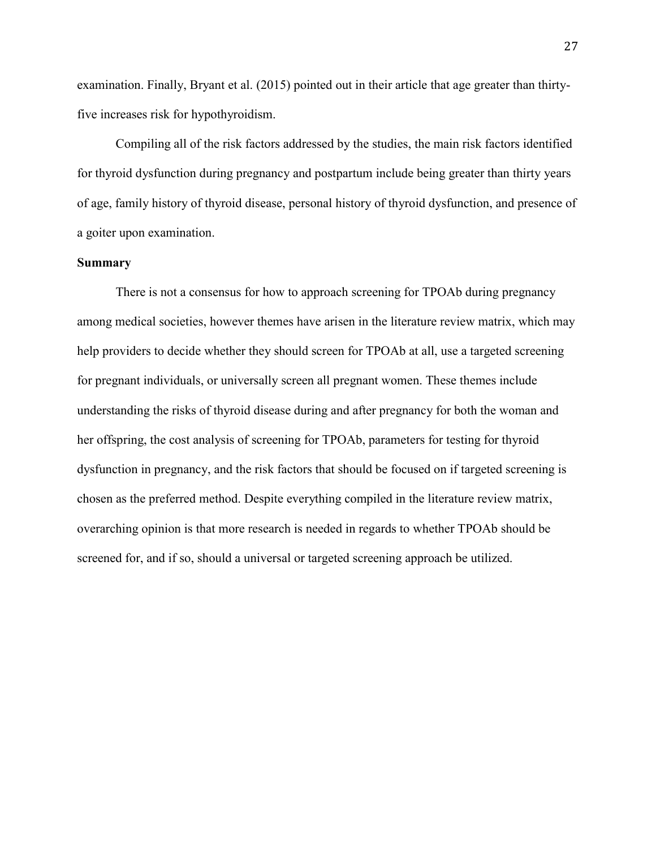examination. Finally, Bryant et al. (2015) pointed out in their article that age greater than thirtyfive increases risk for hypothyroidism.

Compiling all of the risk factors addressed by the studies, the main risk factors identified for thyroid dysfunction during pregnancy and postpartum include being greater than thirty years of age, family history of thyroid disease, personal history of thyroid dysfunction, and presence of a goiter upon examination.

#### **Summary**

There is not a consensus for how to approach screening for TPOAb during pregnancy among medical societies, however themes have arisen in the literature review matrix, which may help providers to decide whether they should screen for TPOAb at all, use a targeted screening for pregnant individuals, or universally screen all pregnant women. These themes include understanding the risks of thyroid disease during and after pregnancy for both the woman and her offspring, the cost analysis of screening for TPOAb, parameters for testing for thyroid dysfunction in pregnancy, and the risk factors that should be focused on if targeted screening is chosen as the preferred method. Despite everything compiled in the literature review matrix, overarching opinion is that more research is needed in regards to whether TPOAb should be screened for, and if so, should a universal or targeted screening approach be utilized.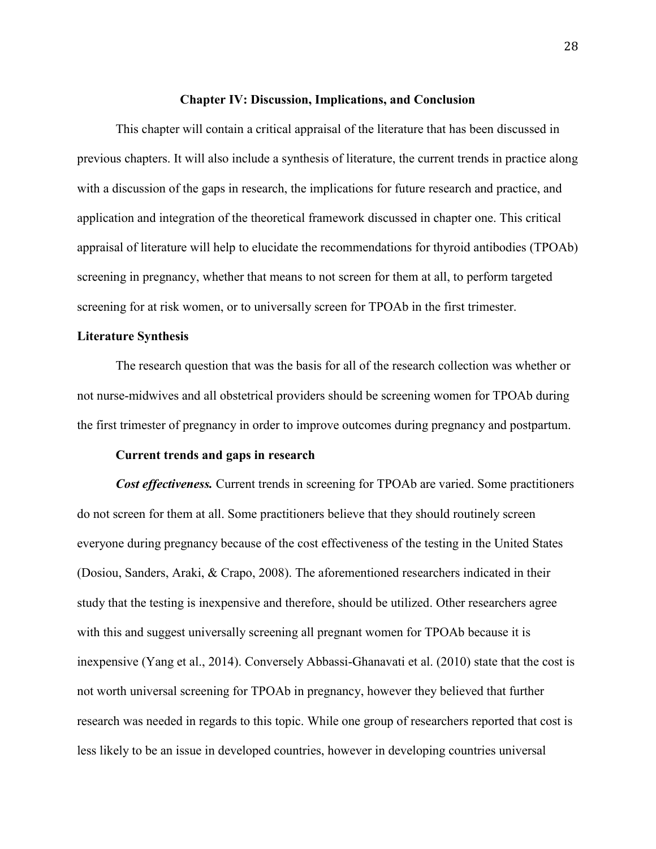#### **Chapter IV: Discussion, Implications, and Conclusion**

This chapter will contain a critical appraisal of the literature that has been discussed in previous chapters. It will also include a synthesis of literature, the current trends in practice along with a discussion of the gaps in research, the implications for future research and practice, and application and integration of the theoretical framework discussed in chapter one. This critical appraisal of literature will help to elucidate the recommendations for thyroid antibodies (TPOAb) screening in pregnancy, whether that means to not screen for them at all, to perform targeted screening for at risk women, or to universally screen for TPOAb in the first trimester.

#### **Literature Synthesis**

The research question that was the basis for all of the research collection was whether or not nurse-midwives and all obstetrical providers should be screening women for TPOAb during the first trimester of pregnancy in order to improve outcomes during pregnancy and postpartum.

#### **Current trends and gaps in research**

*Cost effectiveness.* Current trends in screening for TPOAb are varied. Some practitioners do not screen for them at all. Some practitioners believe that they should routinely screen everyone during pregnancy because of the cost effectiveness of the testing in the United States (Dosiou, Sanders, Araki, & Crapo, 2008). The aforementioned researchers indicated in their study that the testing is inexpensive and therefore, should be utilized. Other researchers agree with this and suggest universally screening all pregnant women for TPOAb because it is inexpensive (Yang et al., 2014). Conversely Abbassi-Ghanavati et al. (2010) state that the cost is not worth universal screening for TPOAb in pregnancy, however they believed that further research was needed in regards to this topic. While one group of researchers reported that cost is less likely to be an issue in developed countries, however in developing countries universal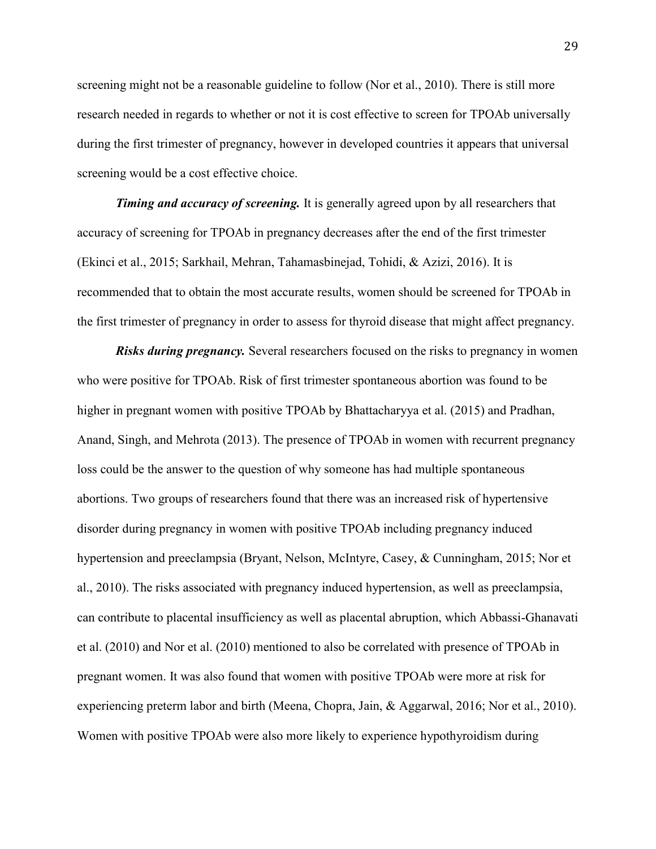screening might not be a reasonable guideline to follow (Nor et al., 2010). There is still more research needed in regards to whether or not it is cost effective to screen for TPOAb universally during the first trimester of pregnancy, however in developed countries it appears that universal screening would be a cost effective choice.

*Timing and accuracy of screening.* It is generally agreed upon by all researchers that accuracy of screening for TPOAb in pregnancy decreases after the end of the first trimester (Ekinci et al., 2015; Sarkhail, Mehran, Tahamasbinejad, Tohidi, & Azizi, 2016). It is recommended that to obtain the most accurate results, women should be screened for TPOAb in the first trimester of pregnancy in order to assess for thyroid disease that might affect pregnancy.

*Risks during pregnancy.* Several researchers focused on the risks to pregnancy in women who were positive for TPOAb. Risk of first trimester spontaneous abortion was found to be higher in pregnant women with positive TPOAb by Bhattacharyya et al. (2015) and Pradhan, Anand, Singh, and Mehrota (2013). The presence of TPOAb in women with recurrent pregnancy loss could be the answer to the question of why someone has had multiple spontaneous abortions. Two groups of researchers found that there was an increased risk of hypertensive disorder during pregnancy in women with positive TPOAb including pregnancy induced hypertension and preeclampsia (Bryant, Nelson, McIntyre, Casey, & Cunningham, 2015; Nor et al., 2010). The risks associated with pregnancy induced hypertension, as well as preeclampsia, can contribute to placental insufficiency as well as placental abruption, which Abbassi-Ghanavati et al. (2010) and Nor et al. (2010) mentioned to also be correlated with presence of TPOAb in pregnant women. It was also found that women with positive TPOAb were more at risk for experiencing preterm labor and birth (Meena, Chopra, Jain, & Aggarwal, 2016; Nor et al., 2010). Women with positive TPOAb were also more likely to experience hypothyroidism during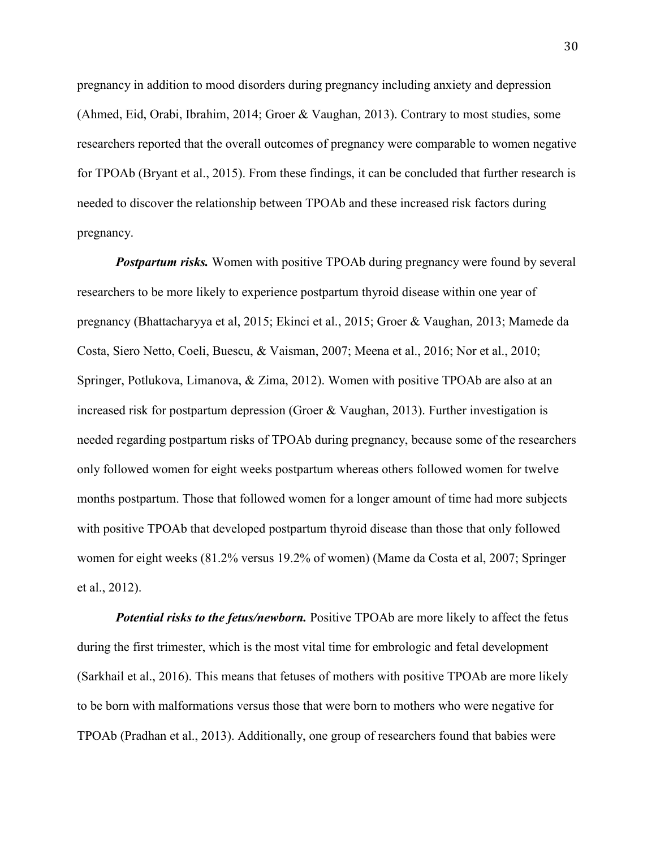pregnancy in addition to mood disorders during pregnancy including anxiety and depression (Ahmed, Eid, Orabi, Ibrahim, 2014; Groer & Vaughan, 2013). Contrary to most studies, some researchers reported that the overall outcomes of pregnancy were comparable to women negative for TPOAb (Bryant et al., 2015). From these findings, it can be concluded that further research is needed to discover the relationship between TPOAb and these increased risk factors during pregnancy.

*Postpartum risks.* Women with positive TPOAb during pregnancy were found by several researchers to be more likely to experience postpartum thyroid disease within one year of pregnancy (Bhattacharyya et al, 2015; Ekinci et al., 2015; Groer & Vaughan, 2013; Mamede da Costa, Siero Netto, Coeli, Buescu, & Vaisman, 2007; Meena et al., 2016; Nor et al., 2010; Springer, Potlukova, Limanova, & Zima, 2012). Women with positive TPOAb are also at an increased risk for postpartum depression (Groer & Vaughan, 2013). Further investigation is needed regarding postpartum risks of TPOAb during pregnancy, because some of the researchers only followed women for eight weeks postpartum whereas others followed women for twelve months postpartum. Those that followed women for a longer amount of time had more subjects with positive TPOAb that developed postpartum thyroid disease than those that only followed women for eight weeks (81.2% versus 19.2% of women) (Mame da Costa et al, 2007; Springer et al., 2012).

*Potential risks to the fetus/newborn.* Positive TPOAb are more likely to affect the fetus during the first trimester, which is the most vital time for embrologic and fetal development (Sarkhail et al., 2016). This means that fetuses of mothers with positive TPOAb are more likely to be born with malformations versus those that were born to mothers who were negative for TPOAb (Pradhan et al., 2013). Additionally, one group of researchers found that babies were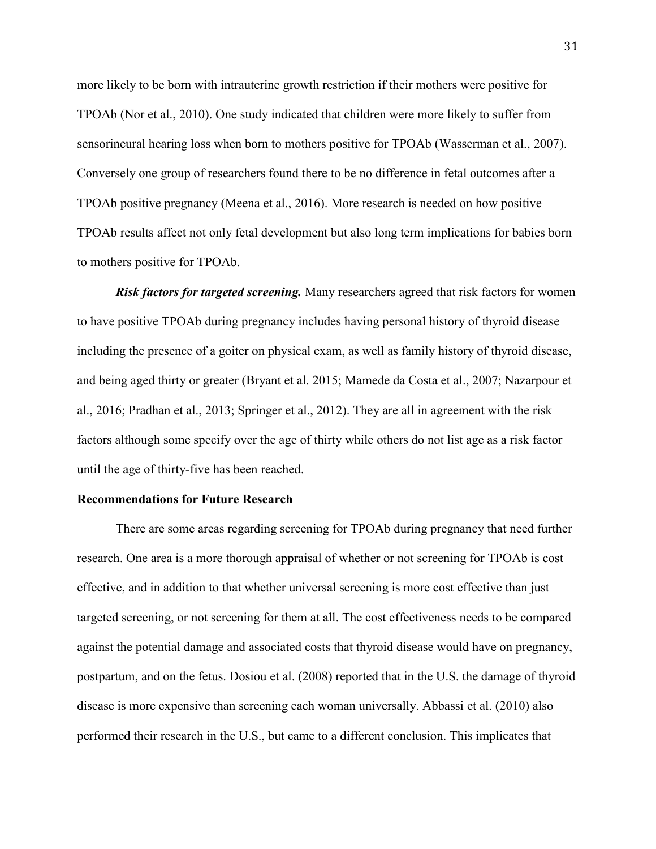more likely to be born with intrauterine growth restriction if their mothers were positive for TPOAb (Nor et al., 2010). One study indicated that children were more likely to suffer from sensorineural hearing loss when born to mothers positive for TPOAb (Wasserman et al., 2007). Conversely one group of researchers found there to be no difference in fetal outcomes after a TPOAb positive pregnancy (Meena et al., 2016). More research is needed on how positive TPOAb results affect not only fetal development but also long term implications for babies born to mothers positive for TPOAb.

*Risk factors for targeted screening.* Many researchers agreed that risk factors for women to have positive TPOAb during pregnancy includes having personal history of thyroid disease including the presence of a goiter on physical exam, as well as family history of thyroid disease, and being aged thirty or greater (Bryant et al. 2015; Mamede da Costa et al., 2007; Nazarpour et al., 2016; Pradhan et al., 2013; Springer et al., 2012). They are all in agreement with the risk factors although some specify over the age of thirty while others do not list age as a risk factor until the age of thirty-five has been reached.

#### **Recommendations for Future Research**

There are some areas regarding screening for TPOAb during pregnancy that need further research. One area is a more thorough appraisal of whether or not screening for TPOAb is cost effective, and in addition to that whether universal screening is more cost effective than just targeted screening, or not screening for them at all. The cost effectiveness needs to be compared against the potential damage and associated costs that thyroid disease would have on pregnancy, postpartum, and on the fetus. Dosiou et al. (2008) reported that in the U.S. the damage of thyroid disease is more expensive than screening each woman universally. Abbassi et al. (2010) also performed their research in the U.S., but came to a different conclusion. This implicates that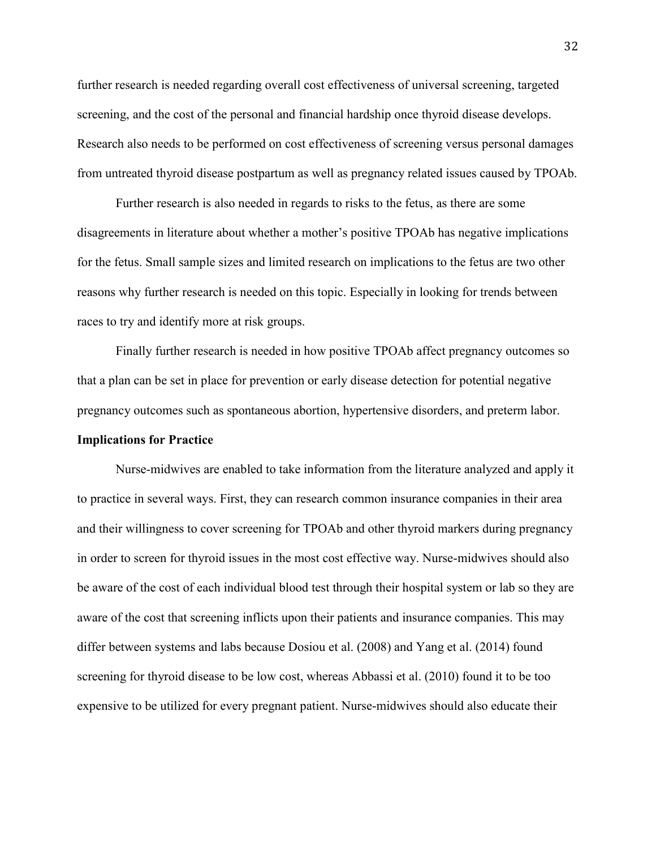further research is needed regarding overall cost effectiveness of universal screening, targeted screening, and the cost of the personal and financial hardship once thyroid disease develops. Research also needs to be performed on cost effectiveness of screening versus personal damages from untreated thyroid disease postpartum as well as pregnancy related issues caused by TPOAb.

Further research is also needed in regards to risks to the fetus, as there are some disagreements in literature about whether a mother's positive TPOAb has negative implications for the fetus. Small sample sizes and limited research on implications to the fetus are two other reasons why further research is needed on this topic. Especially in looking for trends between races to try and identify more at risk groups.

Finally further research is needed in how positive TPOAb affect pregnancy outcomes so that a plan can be set in place for prevention or early disease detection for potential negative pregnancy outcomes such as spontaneous abortion, hypertensive disorders, and preterm labor.

#### **Implications for Practice**

Nurse-midwives are enabled to take information from the literature analyzed and apply it to practice in several ways. First, they can research common insurance companies in their area and their willingness to cover screening for TPOAb and other thyroid markers during pregnancy in order to screen for thyroid issues in the most cost effective way. Nurse-midwives should also be aware of the cost of each individual blood test through their hospital system or lab so they are aware of the cost that screening inflicts upon their patients and insurance companies. This may differ between systems and labs because Dosiou et al. (2008) and Yang et al. (2014) found screening for thyroid disease to be low cost, whereas Abbassi et al. (2010) found it to be too expensive to be utilized for every pregnant patient. Nurse-midwives should also educate their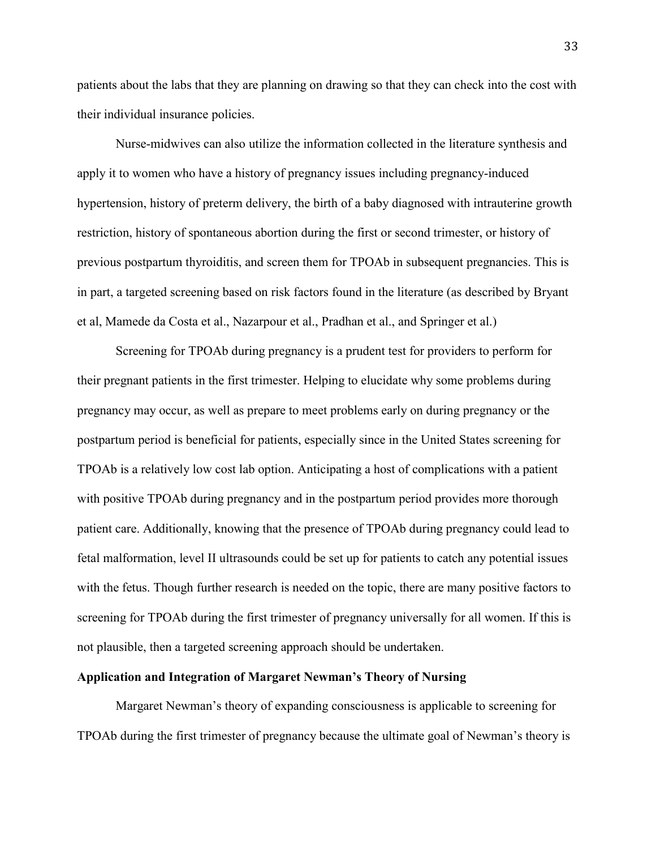patients about the labs that they are planning on drawing so that they can check into the cost with their individual insurance policies.

Nurse-midwives can also utilize the information collected in the literature synthesis and apply it to women who have a history of pregnancy issues including pregnancy-induced hypertension, history of preterm delivery, the birth of a baby diagnosed with intrauterine growth restriction, history of spontaneous abortion during the first or second trimester, or history of previous postpartum thyroiditis, and screen them for TPOAb in subsequent pregnancies. This is in part, a targeted screening based on risk factors found in the literature (as described by Bryant et al, Mamede da Costa et al., Nazarpour et al., Pradhan et al., and Springer et al.)

Screening for TPOAb during pregnancy is a prudent test for providers to perform for their pregnant patients in the first trimester. Helping to elucidate why some problems during pregnancy may occur, as well as prepare to meet problems early on during pregnancy or the postpartum period is beneficial for patients, especially since in the United States screening for TPOAb is a relatively low cost lab option. Anticipating a host of complications with a patient with positive TPOAb during pregnancy and in the postpartum period provides more thorough patient care. Additionally, knowing that the presence of TPOAb during pregnancy could lead to fetal malformation, level II ultrasounds could be set up for patients to catch any potential issues with the fetus. Though further research is needed on the topic, there are many positive factors to screening for TPOAb during the first trimester of pregnancy universally for all women. If this is not plausible, then a targeted screening approach should be undertaken.

#### **Application and Integration of Margaret Newman's Theory of Nursing**

Margaret Newman's theory of expanding consciousness is applicable to screening for TPOAb during the first trimester of pregnancy because the ultimate goal of Newman's theory is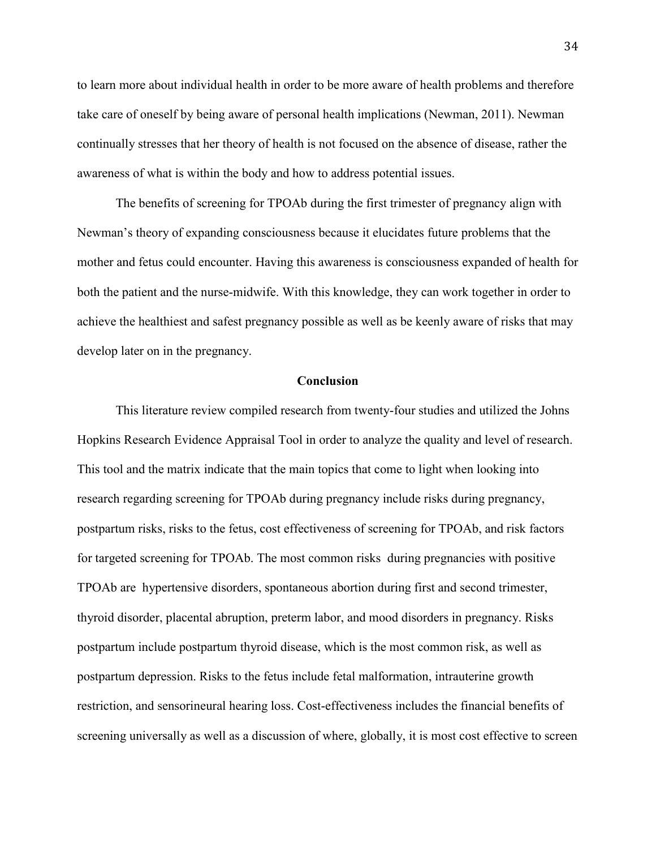to learn more about individual health in order to be more aware of health problems and therefore take care of oneself by being aware of personal health implications (Newman, 2011). Newman continually stresses that her theory of health is not focused on the absence of disease, rather the awareness of what is within the body and how to address potential issues.

The benefits of screening for TPOAb during the first trimester of pregnancy align with Newman's theory of expanding consciousness because it elucidates future problems that the mother and fetus could encounter. Having this awareness is consciousness expanded of health for both the patient and the nurse-midwife. With this knowledge, they can work together in order to achieve the healthiest and safest pregnancy possible as well as be keenly aware of risks that may develop later on in the pregnancy.

#### **Conclusion**

This literature review compiled research from twenty-four studies and utilized the Johns Hopkins Research Evidence Appraisal Tool in order to analyze the quality and level of research. This tool and the matrix indicate that the main topics that come to light when looking into research regarding screening for TPOAb during pregnancy include risks during pregnancy, postpartum risks, risks to the fetus, cost effectiveness of screening for TPOAb, and risk factors for targeted screening for TPOAb. The most common risks during pregnancies with positive TPOAb are hypertensive disorders, spontaneous abortion during first and second trimester, thyroid disorder, placental abruption, preterm labor, and mood disorders in pregnancy. Risks postpartum include postpartum thyroid disease, which is the most common risk, as well as postpartum depression. Risks to the fetus include fetal malformation, intrauterine growth restriction, and sensorineural hearing loss. Cost-effectiveness includes the financial benefits of screening universally as well as a discussion of where, globally, it is most cost effective to screen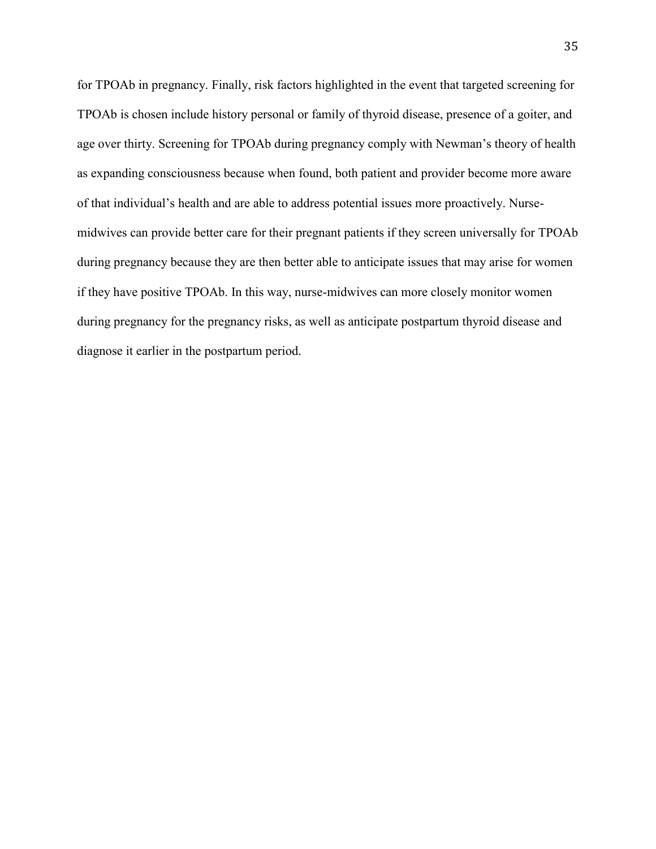for TPOAb in pregnancy. Finally, risk factors highlighted in the event that targeted screening for TPOAb is chosen include history personal or family of thyroid disease, presence of a goiter, and age over thirty. Screening for TPOAb during pregnancy comply with Newman's theory of health as expanding consciousness because when found, both patient and provider become more aware of that individual's health and are able to address potential issues more proactively. Nursemidwives can provide better care for their pregnant patients if they screen universally for TPOAb during pregnancy because they are then better able to anticipate issues that may arise for women if they have positive TPOAb. In this way, nurse-midwives can more closely monitor women during pregnancy for the pregnancy risks, as well as anticipate postpartum thyroid disease and diagnose it earlier in the postpartum period.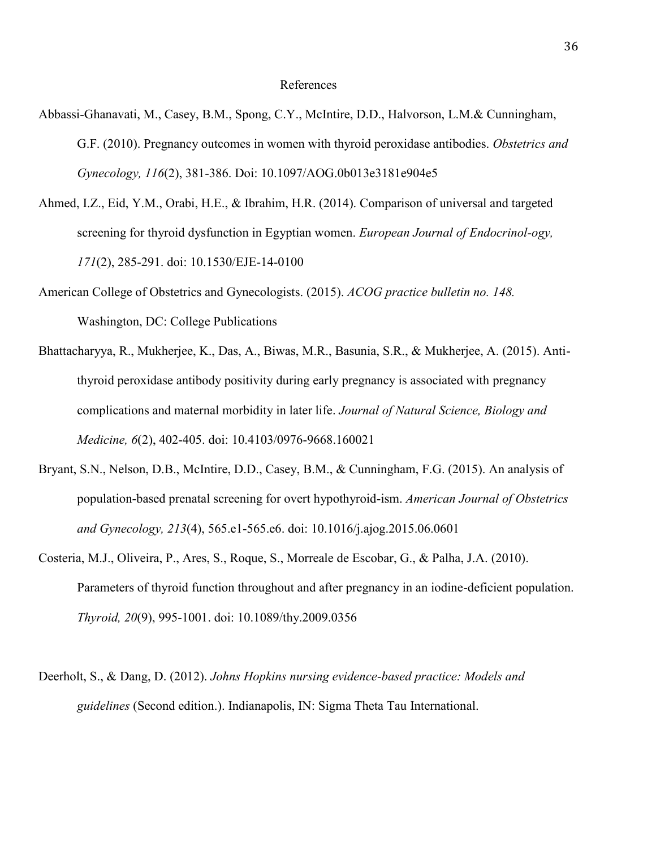## References

- Abbassi-Ghanavati, M., Casey, B.M., Spong, C.Y., McIntire, D.D., Halvorson, L.M.& Cunningham, G.F. (2010). Pregnancy outcomes in women with thyroid peroxidase antibodies. *Obstetrics and Gynecology, 116*(2), 381-386. Doi: 10.1097/AOG.0b013e3181e904e5
- Ahmed, I.Z., Eid, Y.M., Orabi, H.E., & Ibrahim, H.R. (2014). Comparison of universal and targeted screening for thyroid dysfunction in Egyptian women. *European Journal of Endocrinol-ogy, 171*(2), 285-291. doi: 10.1530/EJE-14-0100
- American College of Obstetrics and Gynecologists. (2015). *ACOG practice bulletin no. 148.*  Washington, DC: College Publications
- Bhattacharyya, R., Mukherjee, K., Das, A., Biwas, M.R., Basunia, S.R., & Mukherjee, A. (2015). Antithyroid peroxidase antibody positivity during early pregnancy is associated with pregnancy complications and maternal morbidity in later life. *Journal of Natural Science, Biology and Medicine, 6*(2), 402-405. doi: 10.4103/0976-9668.160021
- Bryant, S.N., Nelson, D.B., McIntire, D.D., Casey, B.M., & Cunningham, F.G. (2015). An analysis of population-based prenatal screening for overt hypothyroid-ism. *American Journal of Obstetrics and Gynecology, 213*(4), 565.e1-565.e6. doi: 10.1016/j.ajog.2015.06.0601
- Costeria, M.J., Oliveira, P., Ares, S., Roque, S., Morreale de Escobar, G., & Palha, J.A. (2010). Parameters of thyroid function throughout and after pregnancy in an iodine-deficient population. *Thyroid, 20*(9), 995-1001. doi: 10.1089/thy.2009.0356
- Deerholt, S., & Dang, D. (2012). *Johns Hopkins nursing evidence-based practice: Models and guidelines* (Second edition.). Indianapolis, IN: Sigma Theta Tau International.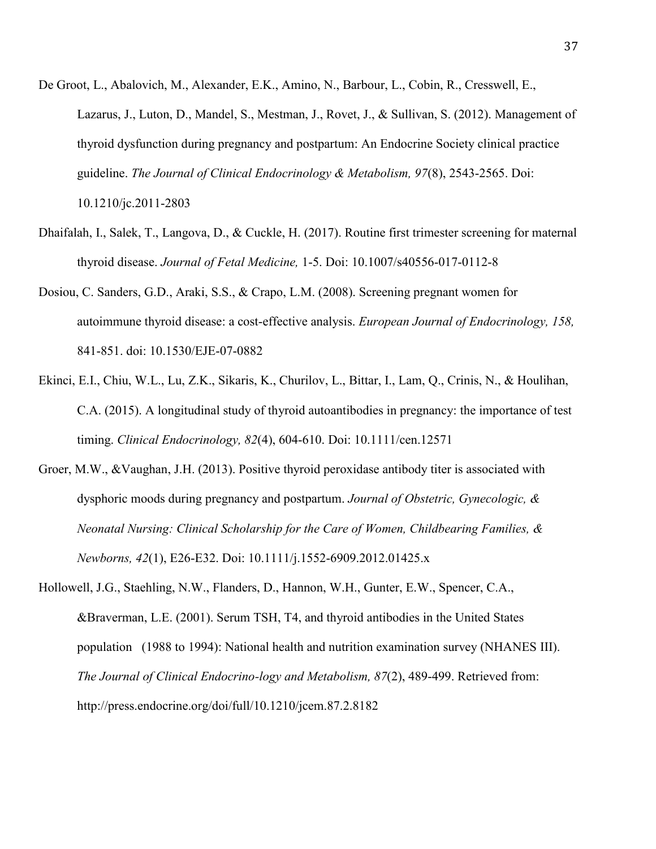- De Groot, L., Abalovich, M., Alexander, E.K., Amino, N., Barbour, L., Cobin, R., Cresswell, E., Lazarus, J., Luton, D., Mandel, S., Mestman, J., Rovet, J., & Sullivan, S. (2012). Management of thyroid dysfunction during pregnancy and postpartum: An Endocrine Society clinical practice guideline. *The Journal of Clinical Endocrinology & Metabolism, 97*(8), 2543-2565. Doi: 10.1210/jc.2011-2803
- Dhaifalah, I., Salek, T., Langova, D., & Cuckle, H. (2017). Routine first trimester screening for maternal thyroid disease. *Journal of Fetal Medicine,* 1-5. Doi: 10.1007/s40556-017-0112-8
- Dosiou, C. Sanders, G.D., Araki, S.S., & Crapo, L.M. (2008). Screening pregnant women for autoimmune thyroid disease: a cost-effective analysis. *European Journal of Endocrinology, 158,*  841-851. doi: 10.1530/EJE-07-0882
- Ekinci, E.I., Chiu, W.L., Lu, Z.K., Sikaris, K., Churilov, L., Bittar, I., Lam, Q., Crinis, N., & Houlihan, C.A. (2015). A longitudinal study of thyroid autoantibodies in pregnancy: the importance of test timing. *Clinical Endocrinology, 82*(4), 604-610. Doi: 10.1111/cen.12571
- Groer, M.W., &Vaughan, J.H. (2013). Positive thyroid peroxidase antibody titer is associated with dysphoric moods during pregnancy and postpartum. *Journal of Obstetric, Gynecologic, & Neonatal Nursing: Clinical Scholarship for the Care of Women, Childbearing Families, & Newborns, 42*(1), E26-E32. Doi: 10.1111/j.1552-6909.2012.01425.x
- Hollowell, J.G., Staehling, N.W., Flanders, D., Hannon, W.H., Gunter, E.W., Spencer, C.A., &Braverman, L.E. (2001). Serum TSH, T4, and thyroid antibodies in the United States population (1988 to 1994): National health and nutrition examination survey (NHANES III). *The Journal of Clinical Endocrino-logy and Metabolism, 87*(2), 489-499. Retrieved from: http://press.endocrine.org/doi/full/10.1210/jcem.87.2.8182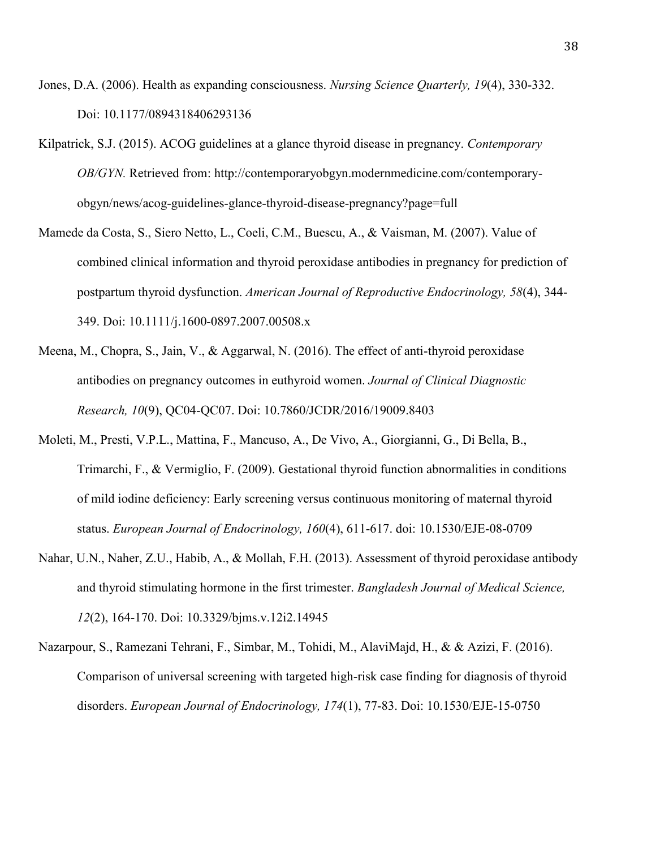- Jones, D.A. (2006). Health as expanding consciousness. *Nursing Science Quarterly, 19*(4), 330-332. Doi: 10.1177/0894318406293136
- Kilpatrick, S.J. (2015). ACOG guidelines at a glance thyroid disease in pregnancy. *Contemporary OB/GYN.* Retrieved from: http://contemporaryobgyn.modernmedicine.com/contemporaryobgyn/news/acog-guidelines-glance-thyroid-disease-pregnancy?page=full
- Mamede da Costa, S., Siero Netto, L., Coeli, C.M., Buescu, A., & Vaisman, M. (2007). Value of combined clinical information and thyroid peroxidase antibodies in pregnancy for prediction of postpartum thyroid dysfunction. *American Journal of Reproductive Endocrinology, 58*(4), 344- 349. Doi: 10.1111/j.1600-0897.2007.00508.x
- Meena, M., Chopra, S., Jain, V., & Aggarwal, N. (2016). The effect of anti-thyroid peroxidase antibodies on pregnancy outcomes in euthyroid women. *Journal of Clinical Diagnostic Research, 10*(9), QC04-QC07. Doi: 10.7860/JCDR/2016/19009.8403
- Moleti, M., Presti, V.P.L., Mattina, F., Mancuso, A., De Vivo, A., Giorgianni, G., Di Bella, B., Trimarchi, F., & Vermiglio, F. (2009). Gestational thyroid function abnormalities in conditions of mild iodine deficiency: Early screening versus continuous monitoring of maternal thyroid status. *European Journal of Endocrinology, 160*(4), 611-617. doi: 10.1530/EJE-08-0709
- Nahar, U.N., Naher, Z.U., Habib, A., & Mollah, F.H. (2013). Assessment of thyroid peroxidase antibody and thyroid stimulating hormone in the first trimester. *Bangladesh Journal of Medical Science, 12*(2), 164-170. Doi: 10.3329/bjms.v.12i2.14945
- Nazarpour, S., Ramezani Tehrani, F., Simbar, M., Tohidi, M., AlaviMajd, H., & & Azizi, F. (2016). Comparison of universal screening with targeted high-risk case finding for diagnosis of thyroid disorders. *European Journal of Endocrinology, 174*(1), 77-83. Doi: 10.1530/EJE-15-0750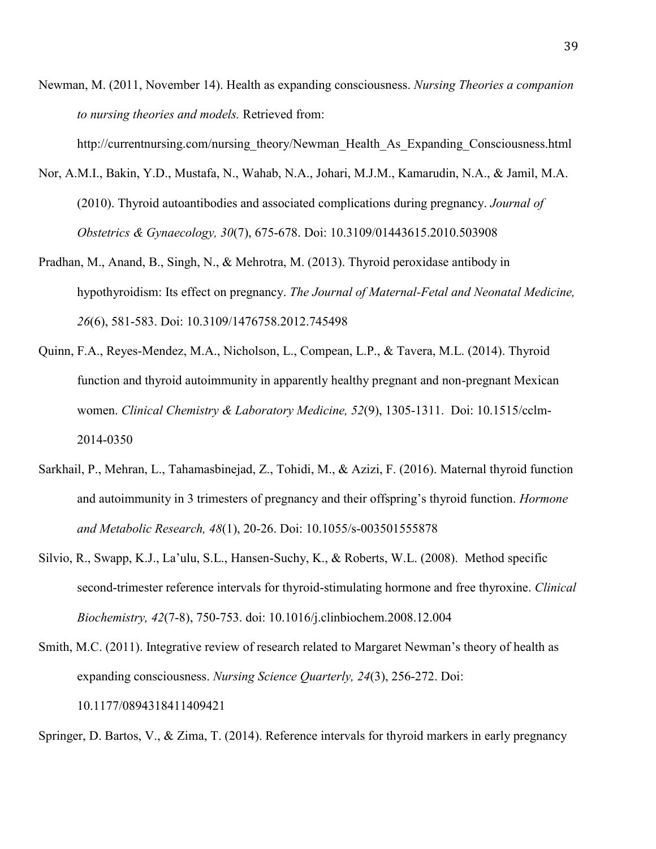Newman, M. (2011, November 14). Health as expanding consciousness. *Nursing Theories a companion to nursing theories and models.* Retrieved from:

http://currentnursing.com/nursing\_theory/Newman\_Health\_As\_Expanding\_Consciousness.html

- Nor, A.M.I., Bakin, Y.D., Mustafa, N., Wahab, N.A., Johari, M.J.M., Kamarudin, N.A., & Jamil, M.A. (2010). Thyroid autoantibodies and associated complications during pregnancy. *Journal of Obstetrics & Gynaecology, 30*(7), 675-678. Doi: 10.3109/01443615.2010.503908
- Pradhan, M., Anand, B., Singh, N., & Mehrotra, M. (2013). Thyroid peroxidase antibody in hypothyroidism: Its effect on pregnancy. *The Journal of Maternal-Fetal and Neonatal Medicine, 26*(6), 581-583. Doi: 10.3109/1476758.2012.745498
- Quinn, F.A., Reyes-Mendez, M.A., Nicholson, L., Compean, L.P., & Tavera, M.L. (2014). Thyroid function and thyroid autoimmunity in apparently healthy pregnant and non-pregnant Mexican women. *Clinical Chemistry & Laboratory Medicine, 52*(9), 1305-1311. Doi: 10.1515/cclm-2014-0350
- Sarkhail, P., Mehran, L., Tahamasbinejad, Z., Tohidi, M., & Azizi, F. (2016). Maternal thyroid function and autoimmunity in 3 trimesters of pregnancy and their offspring's thyroid function. *Hormone and Metabolic Research, 48*(1), 20-26. Doi: 10.1055/s-003501555878
- Silvio, R., Swapp, K.J., La'ulu, S.L., Hansen-Suchy, K., & Roberts, W.L. (2008). Method specific second-trimester reference intervals for thyroid-stimulating hormone and free thyroxine. *Clinical Biochemistry, 42*(7-8), 750-753. doi: 10.1016/j.clinbiochem.2008.12.004
- Smith, M.C. (2011). Integrative review of research related to Margaret Newman's theory of health as expanding consciousness. *Nursing Science Quarterly, 24*(3), 256-272. Doi: 10.1177/0894318411409421

Springer, D. Bartos, V., & Zima, T. (2014). Reference intervals for thyroid markers in early pregnancy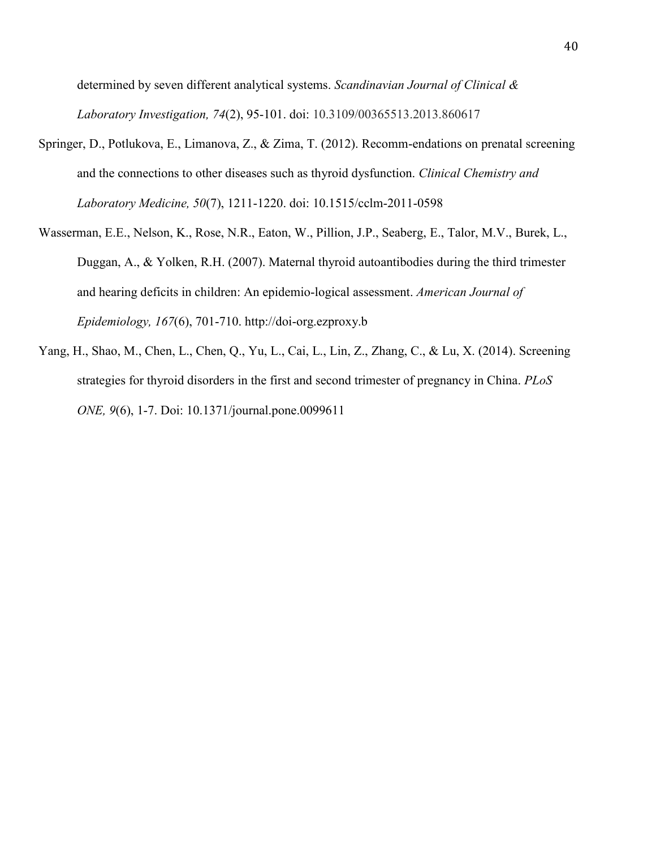determined by seven different analytical systems. *Scandinavian Journal of Clinical & Laboratory Investigation, 74*(2), 95-101. doi: 10.3109/00365513.2013.860617

- Springer, D., Potlukova, E., Limanova, Z., & Zima, T. (2012). Recomm-endations on prenatal screening and the connections to other diseases such as thyroid dysfunction. *Clinical Chemistry and Laboratory Medicine, 50*(7), 1211-1220. doi: 10.1515/cclm-2011-0598
- Wasserman, E.E., Nelson, K., Rose, N.R., Eaton, W., Pillion, J.P., Seaberg, E., Talor, M.V., Burek, L., Duggan, A., & Yolken, R.H. (2007). Maternal thyroid autoantibodies during the third trimester and hearing deficits in children: An epidemio-logical assessment. *American Journal of Epidemiology, 167*(6), 701-710. http://doi-org.ezproxy.b
- Yang, H., Shao, M., Chen, L., Chen, Q., Yu, L., Cai, L., Lin, Z., Zhang, C., & Lu, X. (2014). Screening strategies for thyroid disorders in the first and second trimester of pregnancy in China. *PLoS ONE, 9*(6), 1-7. Doi: 10.1371/journal.pone.0099611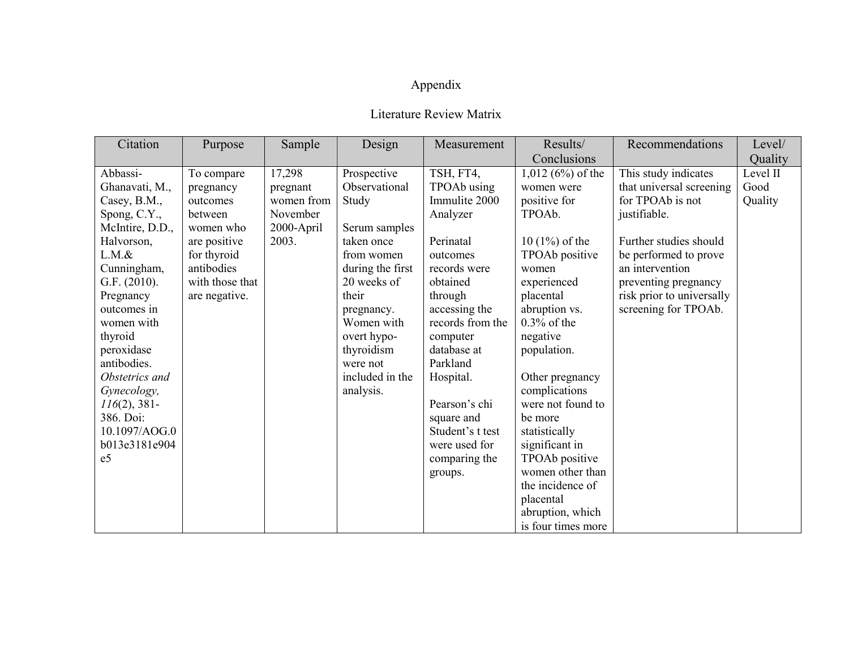## Appendix

## Literature Review Matrix

| Citation                  | Purpose         | Sample     | Design                 | Measurement             | Results/                         | Recommendations           | Level/   |
|---------------------------|-----------------|------------|------------------------|-------------------------|----------------------------------|---------------------------|----------|
|                           |                 |            |                        |                         | Conclusions                      |                           | Quality  |
| Abbassi-                  | To compare      | 17,298     | Prospective            | TSH, FT4,               | $1,012(6%)$ of the               | This study indicates      | Level II |
| Ghanavati, M.,            | pregnancy       | pregnant   | Observational          | TPOAb using             | women were                       | that universal screening  | Good     |
| Casey, B.M.,              | outcomes        | women from | Study                  | Immulite 2000           | positive for                     | for TPOAb is not          | Quality  |
| Spong, C.Y.,              | between         | November   |                        | Analyzer                | TPOAb.                           | justifiable.              |          |
| McIntire, D.D.,           | women who       | 2000-April | Serum samples          |                         |                                  |                           |          |
| Halvorson,                | are positive    | 2003.      | taken once             | Perinatal               | $10(1\%)$ of the                 | Further studies should    |          |
| $L.M.$ &                  | for thyroid     |            | from women             | outcomes                | TPOAb positive                   | be performed to prove     |          |
| Cunningham,               | antibodies      |            | during the first       | records were            | women                            | an intervention           |          |
| G.F. (2010).              | with those that |            | 20 weeks of            | obtained                | experienced                      | preventing pregnancy      |          |
| Pregnancy                 | are negative.   |            | their                  | through                 | placental                        | risk prior to universally |          |
| outcomes in               |                 |            | pregnancy.             | accessing the           | abruption vs.                    | screening for TPOAb.      |          |
| women with                |                 |            | Women with             | records from the        | $0.3\%$ of the                   |                           |          |
| thyroid                   |                 |            | overt hypo-            | computer                | negative                         |                           |          |
| peroxidase<br>antibodies. |                 |            | thyroidism<br>were not | database at<br>Parkland | population.                      |                           |          |
| Obstetrics and            |                 |            | included in the        |                         |                                  |                           |          |
| Gynecology,               |                 |            | analysis.              | Hospital.               | Other pregnancy<br>complications |                           |          |
| $116(2)$ , 381-           |                 |            |                        | Pearson's chi           | were not found to                |                           |          |
| 386. Doi:                 |                 |            |                        | square and              | be more                          |                           |          |
| 10.1097/AOG.0             |                 |            |                        | Student's t test        | statistically                    |                           |          |
| b013e3181e904             |                 |            |                        | were used for           | significant in                   |                           |          |
| e <sub>5</sub>            |                 |            |                        | comparing the           | TPOAb positive                   |                           |          |
|                           |                 |            |                        | groups.                 | women other than                 |                           |          |
|                           |                 |            |                        |                         | the incidence of                 |                           |          |
|                           |                 |            |                        |                         | placental                        |                           |          |
|                           |                 |            |                        |                         | abruption, which                 |                           |          |
|                           |                 |            |                        |                         | is four times more               |                           |          |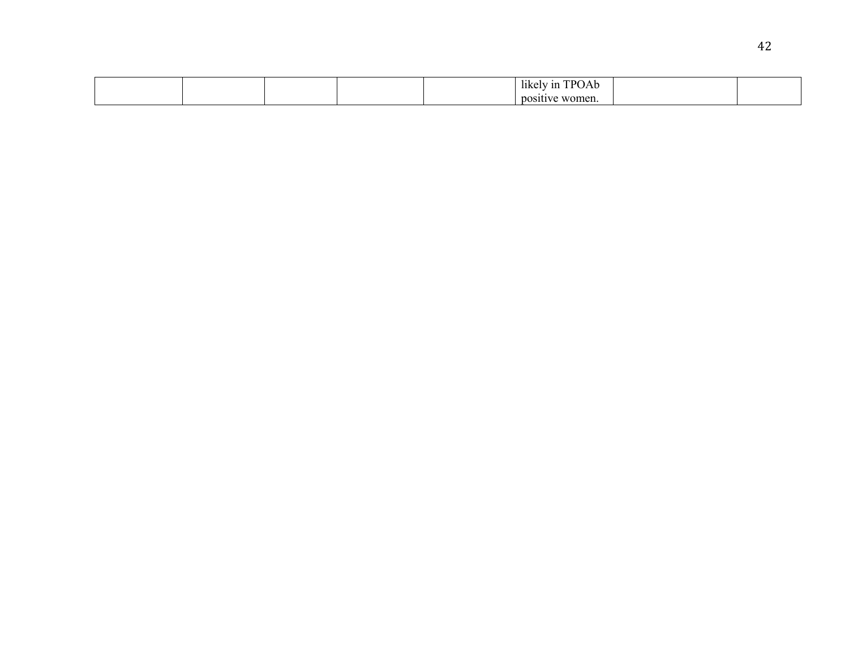|  |  | $\rightarrow$ $\rightarrow$<br>TPOAb<br>likely<br>n |  |
|--|--|-----------------------------------------------------|--|
|  |  | women.<br><b>DOSILIVE</b>                           |  |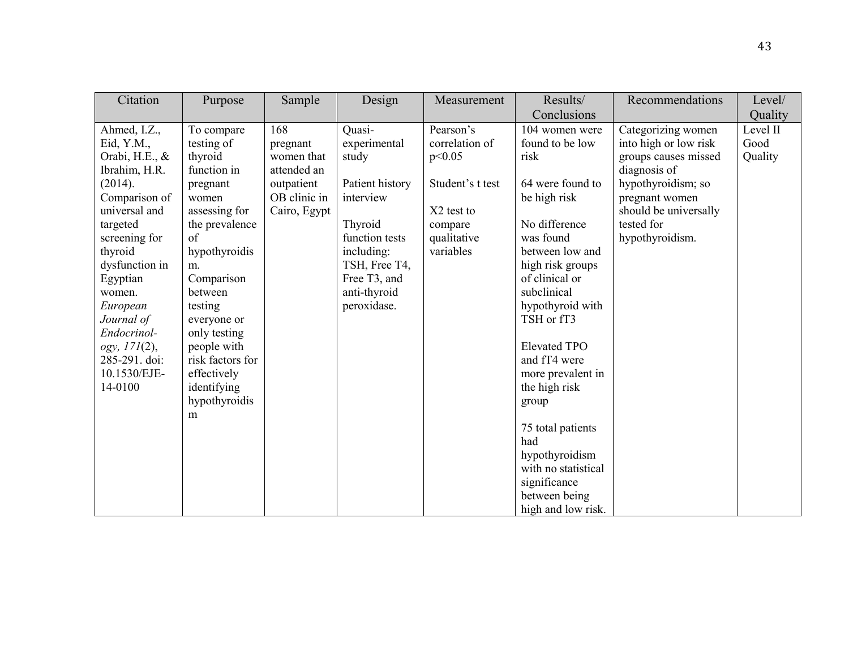| Citation       | Purpose          | Sample       | Design          | Measurement      | Results/            | Recommendations       | Level/   |
|----------------|------------------|--------------|-----------------|------------------|---------------------|-----------------------|----------|
|                |                  |              |                 |                  | Conclusions         |                       | Quality  |
| Ahmed, I.Z.,   | To compare       | 168          | Quasi-          | Pearson's        | 104 women were      | Categorizing women    | Level II |
| Eid, Y.M.,     | testing of       | pregnant     | experimental    | correlation of   | found to be low     | into high or low risk | Good     |
| Orabi, H.E., & | thyroid          | women that   | study           | p<0.05           | risk                | groups causes missed  | Quality  |
| Ibrahim, H.R.  | function in      | attended an  |                 |                  |                     | diagnosis of          |          |
| (2014).        | pregnant         | outpatient   | Patient history | Student's t test | 64 were found to    | hypothyroidism; so    |          |
| Comparison of  | women            | OB clinic in | interview       |                  | be high risk        | pregnant women        |          |
| universal and  | assessing for    | Cairo, Egypt |                 | X2 test to       |                     | should be universally |          |
| targeted       | the prevalence   |              | Thyroid         | compare          | No difference       | tested for            |          |
| screening for  | of               |              | function tests  | qualitative      | was found           | hypothyroidism.       |          |
| thyroid        | hypothyroidis    |              | including:      | variables        | between low and     |                       |          |
| dysfunction in | m.               |              | TSH, Free T4,   |                  | high risk groups    |                       |          |
| Egyptian       | Comparison       |              | Free T3, and    |                  | of clinical or      |                       |          |
| women.         | between          |              | anti-thyroid    |                  | subclinical         |                       |          |
| European       | testing          |              | peroxidase.     |                  | hypothyroid with    |                       |          |
| Journal of     | everyone or      |              |                 |                  | TSH or fT3          |                       |          |
| Endocrinol-    | only testing     |              |                 |                  |                     |                       |          |
| ogy, 171(2),   | people with      |              |                 |                  | <b>Elevated TPO</b> |                       |          |
| 285-291. doi:  | risk factors for |              |                 |                  | and fT4 were        |                       |          |
| 10.1530/EJE-   | effectively      |              |                 |                  | more prevalent in   |                       |          |
| 14-0100        | identifying      |              |                 |                  | the high risk       |                       |          |
|                | hypothyroidis    |              |                 |                  | group               |                       |          |
|                | m                |              |                 |                  |                     |                       |          |
|                |                  |              |                 |                  | 75 total patients   |                       |          |
|                |                  |              |                 |                  | had                 |                       |          |
|                |                  |              |                 |                  | hypothyroidism      |                       |          |
|                |                  |              |                 |                  | with no statistical |                       |          |
|                |                  |              |                 |                  | significance        |                       |          |
|                |                  |              |                 |                  | between being       |                       |          |
|                |                  |              |                 |                  | high and low risk.  |                       |          |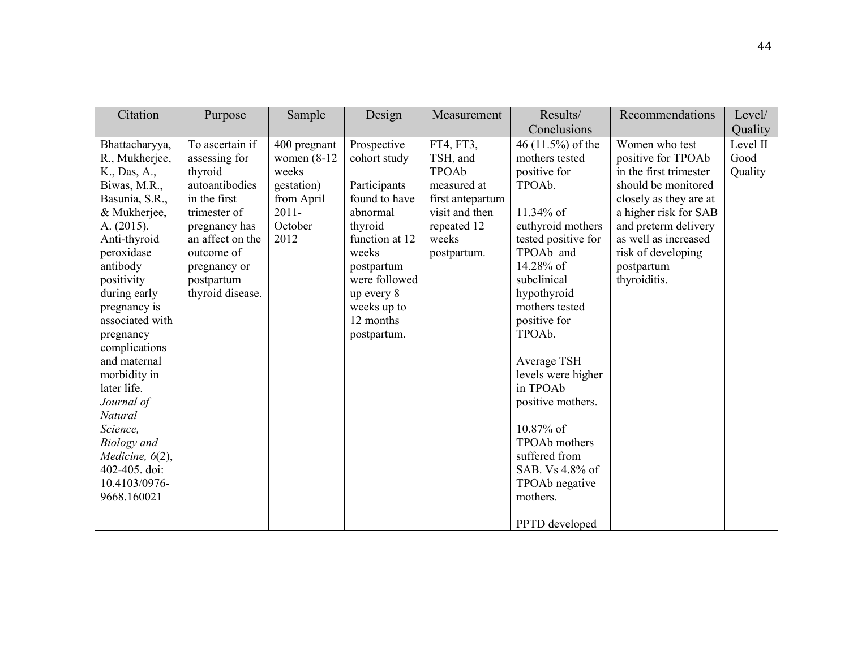| Citation                                                                                                                                                                                                                                                                                                                                                                                                                                   | Purpose                                                                                                                                                                                            | Sample                                                                                             | Design                                                                                                                                                                                                 | Measurement                                                                                                                | Results/                                                                                                                                                                                                                                                                                                                                                                                                                                        | Recommendations                                                                                                                                                                                                                              | Level/                      |
|--------------------------------------------------------------------------------------------------------------------------------------------------------------------------------------------------------------------------------------------------------------------------------------------------------------------------------------------------------------------------------------------------------------------------------------------|----------------------------------------------------------------------------------------------------------------------------------------------------------------------------------------------------|----------------------------------------------------------------------------------------------------|--------------------------------------------------------------------------------------------------------------------------------------------------------------------------------------------------------|----------------------------------------------------------------------------------------------------------------------------|-------------------------------------------------------------------------------------------------------------------------------------------------------------------------------------------------------------------------------------------------------------------------------------------------------------------------------------------------------------------------------------------------------------------------------------------------|----------------------------------------------------------------------------------------------------------------------------------------------------------------------------------------------------------------------------------------------|-----------------------------|
|                                                                                                                                                                                                                                                                                                                                                                                                                                            |                                                                                                                                                                                                    |                                                                                                    |                                                                                                                                                                                                        |                                                                                                                            | Conclusions                                                                                                                                                                                                                                                                                                                                                                                                                                     |                                                                                                                                                                                                                                              | Quality                     |
| Bhattacharyya,<br>R., Mukherjee,<br>K., Das, A.,<br>Biwas, M.R.,<br>Basunia, S.R.,<br>& Mukherjee,<br>A. (2015).<br>Anti-thyroid<br>peroxidase<br>antibody<br>positivity<br>during early<br>pregnancy is<br>associated with<br>pregnancy<br>complications<br>and maternal<br>morbidity in<br>later life.<br>Journal of<br>Natural<br>Science,<br><b>Biology</b> and<br>Medicine, $6(2)$ ,<br>402-405. doi:<br>10.4103/0976-<br>9668.160021 | To ascertain if<br>assessing for<br>thyroid<br>autoantibodies<br>in the first<br>trimester of<br>pregnancy has<br>an affect on the<br>outcome of<br>pregnancy or<br>postpartum<br>thyroid disease. | 400 pregnant<br>women $(8-12)$<br>weeks<br>gestation)<br>from April<br>$2011 -$<br>October<br>2012 | Prospective<br>cohort study<br>Participants<br>found to have<br>abnormal<br>thyroid<br>function at 12<br>weeks<br>postpartum<br>were followed<br>up every 8<br>weeks up to<br>12 months<br>postpartum. | FT4, FT3,<br>TSH, and<br>TPOAb<br>measured at<br>first antepartum<br>visit and then<br>repeated 12<br>weeks<br>postpartum. | 46 $(11.5\%)$ of the<br>mothers tested<br>positive for<br>TPOA <sub>b</sub> .<br>11.34% of<br>euthyroid mothers<br>tested positive for<br>TPOAb and<br>14.28% of<br>subclinical<br>hypothyroid<br>mothers tested<br>positive for<br>TPOA <sub>b</sub> .<br>Average TSH<br>levels were higher<br>in TPOAb<br>positive mothers.<br>10.87% of<br>TPOAb mothers<br>suffered from<br>SAB. Vs 4.8% of<br>TPOAb negative<br>mothers.<br>PPTD developed | Women who test<br>positive for TPOAb<br>in the first trimester<br>should be monitored<br>closely as they are at<br>a higher risk for SAB<br>and preterm delivery<br>as well as increased<br>risk of developing<br>postpartum<br>thyroiditis. | Level II<br>Good<br>Quality |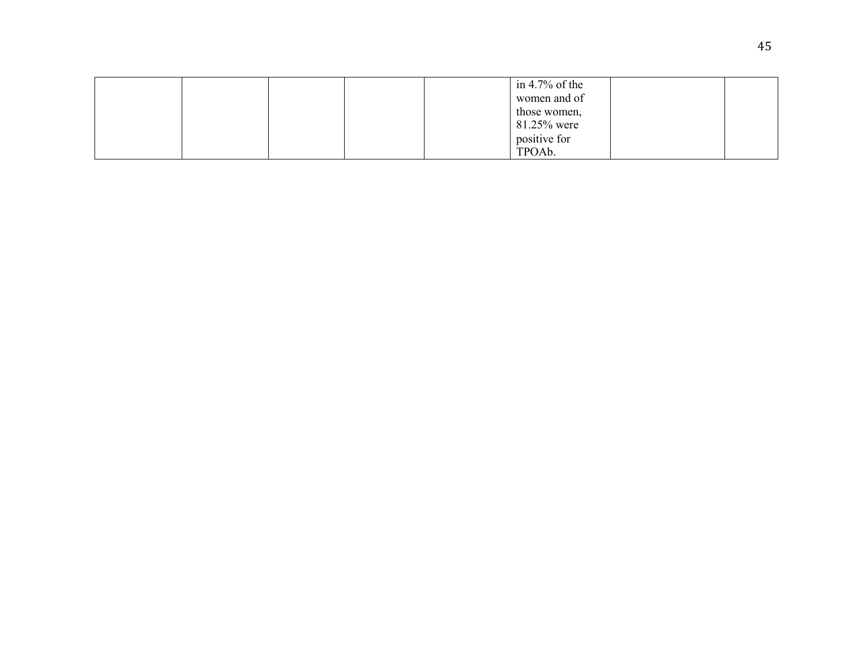|  |  | in 4.7% of the      |  |
|--|--|---------------------|--|
|  |  | women and of        |  |
|  |  | those women,        |  |
|  |  | 81.25% were         |  |
|  |  | positive for        |  |
|  |  | TPOA <sub>b</sub> . |  |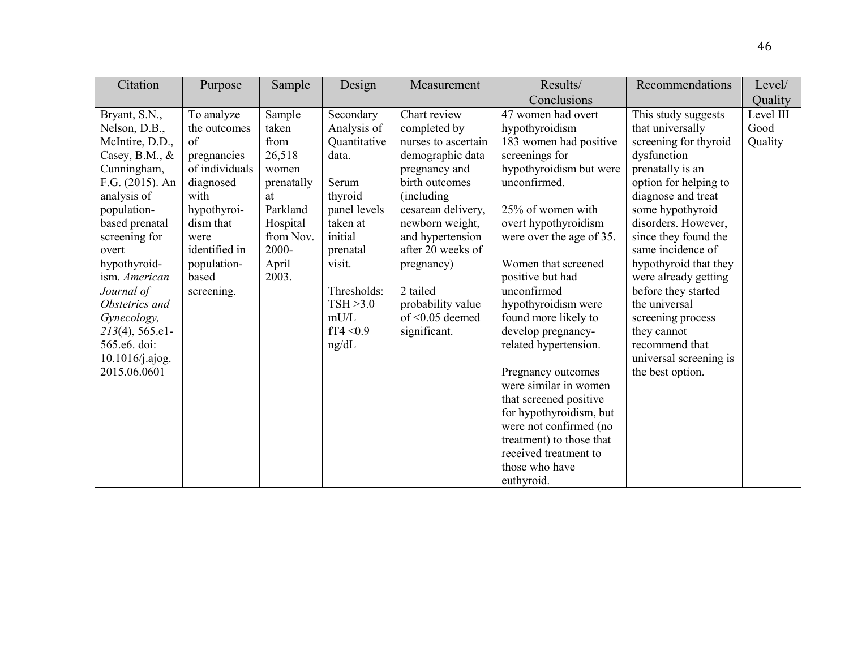| Citation                           | Purpose        | Sample     | Design                   | Measurement                                | Results/                                   | Recommendations                      | Level/    |
|------------------------------------|----------------|------------|--------------------------|--------------------------------------------|--------------------------------------------|--------------------------------------|-----------|
|                                    |                |            |                          |                                            | Conclusions                                |                                      | Quality   |
| Bryant, S.N.,                      | To analyze     | Sample     | Secondary                | Chart review                               | 47 women had overt                         | This study suggests                  | Level III |
| Nelson, D.B.,                      | the outcomes   | taken      | Analysis of              | completed by                               | hypothyroidism                             | that universally                     | Good      |
| McIntire, D.D.,                    | of             | from       | Quantitative             | nurses to ascertain                        | 183 women had positive                     | screening for thyroid                | Quality   |
| Casey, B.M., $&$                   | pregnancies    | 26,518     | data.                    | demographic data                           | screenings for                             | dysfunction                          |           |
| Cunningham,                        | of individuals | women      |                          | pregnancy and                              | hypothyroidism but were                    | prenatally is an                     |           |
| F.G. $(2015)$ . An                 | diagnosed      | prenatally | Serum                    | birth outcomes                             | unconfirmed.                               | option for helping to                |           |
| analysis of                        | with           | at         | thyroid                  | (including)                                |                                            | diagnose and treat                   |           |
| population-                        | hypothyroi-    | Parkland   | panel levels             | cesarean delivery,                         | 25% of women with                          | some hypothyroid                     |           |
| based prenatal                     | dism that      | Hospital   | taken at                 | newborn weight,                            | overt hypothyroidism                       | disorders. However,                  |           |
| screening for                      | were           | from Nov.  | initial                  | and hypertension                           | were over the age of 35.                   | since they found the                 |           |
| overt                              | identified in  | 2000-      | prenatal                 | after 20 weeks of                          |                                            | same incidence of                    |           |
| hypothyroid-                       | population-    | April      | visit.                   | pregnancy)                                 | Women that screened                        | hypothyroid that they                |           |
| ism. American                      | based          | 2003.      |                          |                                            | positive but had                           | were already getting                 |           |
| Journal of<br>Obstetrics and       | screening.     |            | Thresholds:<br>TSH > 3.0 | 2 tailed                                   | unconfirmed                                | before they started<br>the universal |           |
|                                    |                |            | mU/L                     | probability value<br>of $\leq$ 0.05 deemed | hypothyroidism were                        |                                      |           |
| Gynecology,                        |                |            | fT4 < 0.9                |                                            | found more likely to<br>develop pregnancy- | screening process                    |           |
| $213(4)$ , 565.e1-<br>565.e6. doi: |                |            | ng/dL                    | significant.                               | related hypertension.                      | they cannot<br>recommend that        |           |
| 10.1016/j.ajog.                    |                |            |                          |                                            |                                            | universal screening is               |           |
| 2015.06.0601                       |                |            |                          |                                            | Pregnancy outcomes                         | the best option.                     |           |
|                                    |                |            |                          |                                            | were similar in women                      |                                      |           |
|                                    |                |            |                          |                                            | that screened positive                     |                                      |           |
|                                    |                |            |                          |                                            | for hypothyroidism, but                    |                                      |           |
|                                    |                |            |                          |                                            | were not confirmed (no                     |                                      |           |
|                                    |                |            |                          |                                            | treatment) to those that                   |                                      |           |
|                                    |                |            |                          |                                            | received treatment to                      |                                      |           |
|                                    |                |            |                          |                                            | those who have                             |                                      |           |
|                                    |                |            |                          |                                            | euthyroid.                                 |                                      |           |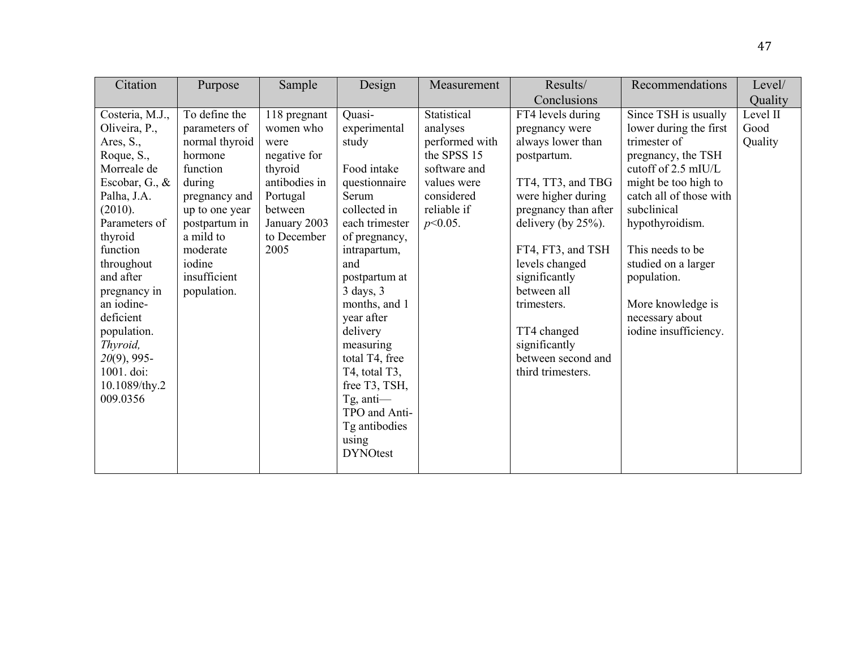| Citation                                                                                                                                                                                                                                                                                                                     | Purpose                                                                                                                                                                                                 | Sample                                                                                                                                      | Design                                                                                                                                                                                                                                                                                                                                                                               | Measurement                                                                                                                        | Results/                                                                                                                                                                                                                                                                                                                              | Recommendations                                                                                                                                                                                                                                                                                                             | Level/                      |
|------------------------------------------------------------------------------------------------------------------------------------------------------------------------------------------------------------------------------------------------------------------------------------------------------------------------------|---------------------------------------------------------------------------------------------------------------------------------------------------------------------------------------------------------|---------------------------------------------------------------------------------------------------------------------------------------------|--------------------------------------------------------------------------------------------------------------------------------------------------------------------------------------------------------------------------------------------------------------------------------------------------------------------------------------------------------------------------------------|------------------------------------------------------------------------------------------------------------------------------------|---------------------------------------------------------------------------------------------------------------------------------------------------------------------------------------------------------------------------------------------------------------------------------------------------------------------------------------|-----------------------------------------------------------------------------------------------------------------------------------------------------------------------------------------------------------------------------------------------------------------------------------------------------------------------------|-----------------------------|
|                                                                                                                                                                                                                                                                                                                              |                                                                                                                                                                                                         |                                                                                                                                             |                                                                                                                                                                                                                                                                                                                                                                                      |                                                                                                                                    | Conclusions                                                                                                                                                                                                                                                                                                                           |                                                                                                                                                                                                                                                                                                                             | Quality                     |
| Costeria, M.J.,<br>Oliveira, P.,<br>Ares, S.,<br>Roque, S.,<br>Morreale de<br>Escobar, G., &<br>Palha, J.A.<br>(2010).<br>Parameters of<br>thyroid<br>function<br>throughout<br>and after<br>pregnancy in<br>an iodine-<br>deficient<br>population.<br>Thyroid,<br>$20(9)$ , 995-<br>1001. doi:<br>10.1089/thy.2<br>009.0356 | To define the<br>parameters of<br>normal thyroid<br>hormone<br>function<br>during<br>pregnancy and<br>up to one year<br>postpartum in<br>a mild to<br>moderate<br>iodine<br>insufficient<br>population. | 118 pregnant<br>women who<br>were<br>negative for<br>thyroid<br>antibodies in<br>Portugal<br>between<br>January 2003<br>to December<br>2005 | Quasi-<br>experimental<br>study<br>Food intake<br>questionnaire<br>Serum<br>collected in<br>each trimester<br>of pregnancy,<br>intrapartum,<br>and<br>postpartum at<br>$3 \text{ days}, 3$<br>months, and 1<br>year after<br>delivery<br>measuring<br>total T4, free<br>T4, total T3,<br>free T3, TSH,<br>$Tg$ , anti—<br>TPO and Anti-<br>Tg antibodies<br>using<br><b>DYNOtest</b> | Statistical<br>analyses<br>performed with<br>the SPSS 15<br>software and<br>values were<br>considered<br>reliable if<br>$p<0.05$ . | FT4 levels during<br>pregnancy were<br>always lower than<br>postpartum.<br>TT4, TT3, and TBG<br>were higher during<br>pregnancy than after<br>delivery (by $25\%$ ).<br>FT4, FT3, and TSH<br>levels changed<br>significantly<br>between all<br>trimesters.<br>TT4 changed<br>significantly<br>between second and<br>third trimesters. | Since TSH is usually<br>lower during the first<br>trimester of<br>pregnancy, the TSH<br>cutoff of 2.5 mIU/L<br>might be too high to<br>catch all of those with<br>subclinical<br>hypothyroidism.<br>This needs to be<br>studied on a larger<br>population.<br>More knowledge is<br>necessary about<br>iodine insufficiency. | Level II<br>Good<br>Quality |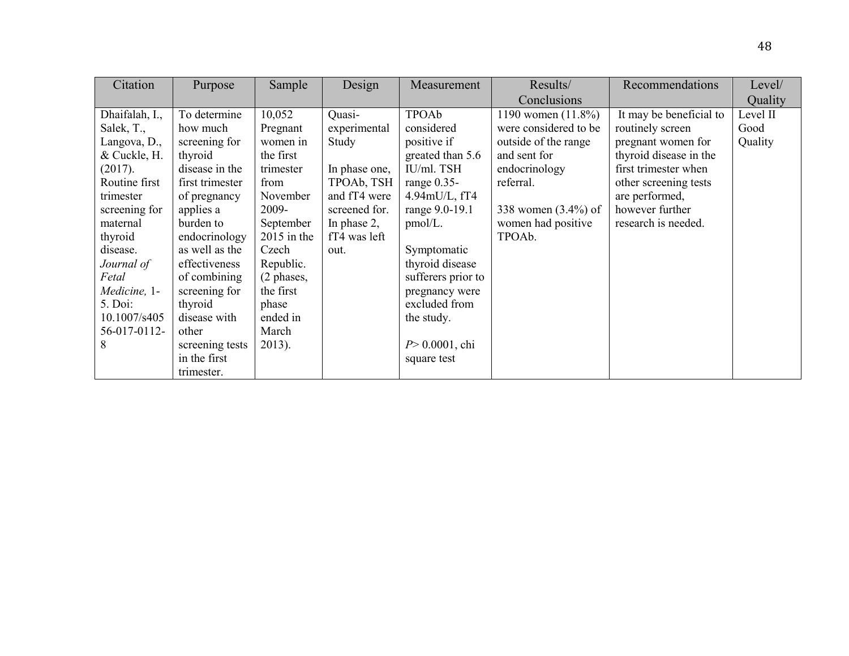| Citation       | Purpose         | Sample        | Design         | Measurement             | Results/              | Recommendations         | Level/   |
|----------------|-----------------|---------------|----------------|-------------------------|-----------------------|-------------------------|----------|
|                |                 |               |                |                         | Conclusions           |                         | Quality  |
| Dhaifalah, I., | To determine    | 10,052        | Quasi-         | TPOAb                   | 1190 women $(11.8\%)$ | It may be beneficial to | Level II |
| Salek, T.,     | how much        | Pregnant      | experimental   | considered              | were considered to be | routinely screen        | Good     |
| Langova, D.,   | screening for   | women in      | Study          | positive if             | outside of the range  | pregnant women for      | Quality  |
| & Cuckle, H.   | thyroid         | the first     |                | greated than 5.6        | and sent for          | thyroid disease in the  |          |
| (2017).        | disease in the  | trimester     | In phase one,  | IU/ml. TSH              | endocrinology         | first trimester when    |          |
| Routine first  | first trimester | from          | TPOAb, TSH     | range 0.35-             | referral.             | other screening tests   |          |
| trimester      | of pregnancy    | November      | and fT4 were   | $4.94$ m $U/L$ , fT $4$ |                       | are performed,          |          |
| screening for  | applies a       | 2009-         | screened for.  | range 9.0-19.1          | 338 women (3.4%) of   | however further         |          |
| maternal       | burden to       | September     | In phase $2$ , | pmol/L.                 | women had positive    | research is needed.     |          |
| thyroid        | endocrinology   | $2015$ in the | fT4 was left   |                         | TPOAb.                |                         |          |
| disease.       | as well as the  | Czech         | out.           | Symptomatic             |                       |                         |          |
| Journal of     | effectiveness   | Republic.     |                | thyroid disease         |                       |                         |          |
| Fetal          | of combining    | (2 phases,    |                | sufferers prior to      |                       |                         |          |
| Medicine, 1-   | screening for   | the first     |                | pregnancy were          |                       |                         |          |
| 5. Doi:        | thyroid         | phase         |                | excluded from           |                       |                         |          |
| 10.1007/s405   | disease with    | ended in      |                | the study.              |                       |                         |          |
| 56-017-0112-   | other           | March         |                |                         |                       |                         |          |
| 8              | screening tests | $2013$ ).     |                | $P > 0.0001$ , chi      |                       |                         |          |
|                | in the first    |               |                | square test             |                       |                         |          |
|                | trimester.      |               |                |                         |                       |                         |          |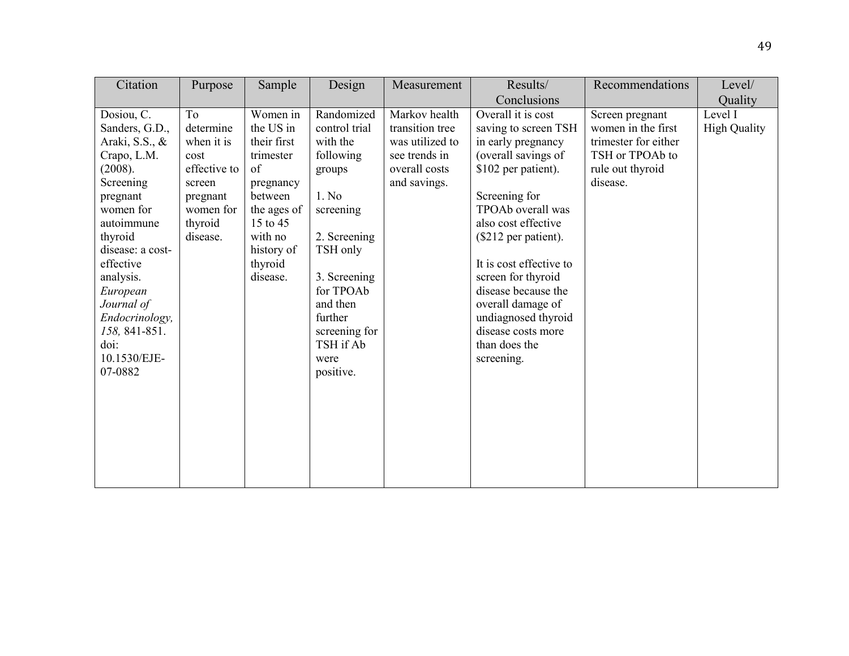| Citation                                                                                                                                                                                                                                                                              | Purpose                                                                                                         | Sample                                                                                                                                                     | Design                                                                                                                                                                                                                  | Measurement                                                                                           | Results/                                                                                                                                                                                                                                                                                                                                                                     | Recommendations                                                                                                  | Level/                         |
|---------------------------------------------------------------------------------------------------------------------------------------------------------------------------------------------------------------------------------------------------------------------------------------|-----------------------------------------------------------------------------------------------------------------|------------------------------------------------------------------------------------------------------------------------------------------------------------|-------------------------------------------------------------------------------------------------------------------------------------------------------------------------------------------------------------------------|-------------------------------------------------------------------------------------------------------|------------------------------------------------------------------------------------------------------------------------------------------------------------------------------------------------------------------------------------------------------------------------------------------------------------------------------------------------------------------------------|------------------------------------------------------------------------------------------------------------------|--------------------------------|
|                                                                                                                                                                                                                                                                                       |                                                                                                                 |                                                                                                                                                            |                                                                                                                                                                                                                         |                                                                                                       | Conclusions                                                                                                                                                                                                                                                                                                                                                                  |                                                                                                                  | Quality                        |
| Dosiou, C.<br>Sanders, G.D.,<br>Araki, S.S., &<br>Crapo, L.M.<br>(2008).<br>Screening<br>pregnant<br>women for<br>autoimmune<br>thyroid<br>disease: a cost-<br>effective<br>analysis.<br>European<br>Journal of<br>Endocrinology,<br>158, 841-851.<br>doi:<br>10.1530/EJE-<br>07-0882 | To<br>determine<br>when it is<br>cost<br>effective to<br>screen<br>pregnant<br>women for<br>thyroid<br>disease. | Women in<br>the US in<br>their first<br>trimester<br>of<br>pregnancy<br>between<br>the ages of<br>15 to 45<br>with no<br>history of<br>thyroid<br>disease. | Randomized<br>control trial<br>with the<br>following<br>groups<br>1. No<br>screening<br>2. Screening<br>TSH only<br>3. Screening<br>for TPOAb<br>and then<br>further<br>screening for<br>TSH if Ab<br>were<br>positive. | Markov health<br>transition tree<br>was utilized to<br>see trends in<br>overall costs<br>and savings. | Overall it is cost<br>saving to screen TSH<br>in early pregnancy<br>(overall savings of<br>\$102 per patient).<br>Screening for<br>TPOAb overall was<br>also cost effective<br>(\$212 per patient).<br>It is cost effective to<br>screen for thyroid<br>disease because the<br>overall damage of<br>undiagnosed thyroid<br>disease costs more<br>than does the<br>screening. | Screen pregnant<br>women in the first<br>trimester for either<br>TSH or TPOAb to<br>rule out thyroid<br>disease. | Level I<br><b>High Quality</b> |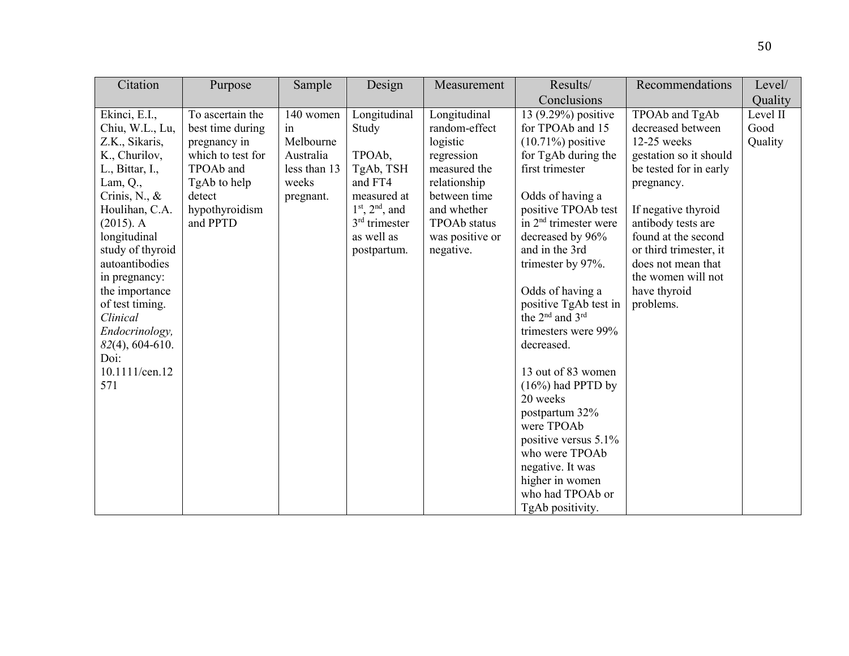| Citation                                                                                                                                                                                                                                                                                                                                                            | Purpose                                                                                                                                        | Sample                                                                          | Design                                                                                                                                                     | Measurement                                                                                                                                                                   | Results/                                                                                                                                                                                                                                                                                                                                                                                                                                                                                                                                                                        | Recommendations                                                                                                                                                                                                                                                                             | Level/                      |
|---------------------------------------------------------------------------------------------------------------------------------------------------------------------------------------------------------------------------------------------------------------------------------------------------------------------------------------------------------------------|------------------------------------------------------------------------------------------------------------------------------------------------|---------------------------------------------------------------------------------|------------------------------------------------------------------------------------------------------------------------------------------------------------|-------------------------------------------------------------------------------------------------------------------------------------------------------------------------------|---------------------------------------------------------------------------------------------------------------------------------------------------------------------------------------------------------------------------------------------------------------------------------------------------------------------------------------------------------------------------------------------------------------------------------------------------------------------------------------------------------------------------------------------------------------------------------|---------------------------------------------------------------------------------------------------------------------------------------------------------------------------------------------------------------------------------------------------------------------------------------------|-----------------------------|
|                                                                                                                                                                                                                                                                                                                                                                     |                                                                                                                                                |                                                                                 |                                                                                                                                                            |                                                                                                                                                                               | Conclusions                                                                                                                                                                                                                                                                                                                                                                                                                                                                                                                                                                     |                                                                                                                                                                                                                                                                                             | Quality                     |
| Ekinci, E.I.,<br>Chiu, W.L., Lu,<br>Z.K., Sikaris,<br>K., Churilov,<br>L., Bittar, I.,<br>Lam, $Q_{\cdot}$ ,<br>Crinis, N., $\&$<br>Houlihan, C.A.<br>$(2015)$ . A<br>longitudinal<br>study of thyroid<br>autoantibodies<br>in pregnancy:<br>the importance<br>of test timing.<br>Clinical<br>Endocrinology,<br>$82(4)$ , 604-610.<br>Doi:<br>10.1111/cen.12<br>571 | To ascertain the<br>best time during<br>pregnancy in<br>which to test for<br>TPOAb and<br>TgAb to help<br>detect<br>hypothyroidism<br>and PPTD | 140 women<br>in<br>Melbourne<br>Australia<br>less than 13<br>weeks<br>pregnant. | Longitudinal<br>Study<br>TPOA <sub>b</sub> ,<br>TgAb, TSH<br>and FT4<br>measured at<br>$1st$ , $2nd$ , and<br>$3rd$ trimester<br>as well as<br>postpartum. | Longitudinal<br>random-effect<br>logistic<br>regression<br>measured the<br>relationship<br>between time<br>and whether<br><b>TPOAb</b> status<br>was positive or<br>negative. | 13 (9.29%) positive<br>for TPOAb and 15<br>$(10.71\%)$ positive<br>for TgAb during the<br>first trimester<br>Odds of having a<br>positive TPOAb test<br>in $2nd$ trimester were<br>decreased by 96%<br>and in the 3rd<br>trimester by 97%.<br>Odds of having a<br>positive TgAb test in<br>the $2^{nd}$ and $3^{rd}$<br>trimesters were 99%<br>decreased.<br>13 out of 83 women<br>$(16\%)$ had PPTD by<br>20 weeks<br>postpartum 32%<br>were TPOAb<br>positive versus $5.1\%$<br>who were TPOAb<br>negative. It was<br>higher in women<br>who had TPOAb or<br>TgAb positivity. | TPOAb and TgAb<br>decreased between<br>12-25 weeks<br>gestation so it should<br>be tested for in early<br>pregnancy.<br>If negative thyroid<br>antibody tests are<br>found at the second<br>or third trimester, it<br>does not mean that<br>the women will not<br>have thyroid<br>problems. | Level II<br>Good<br>Quality |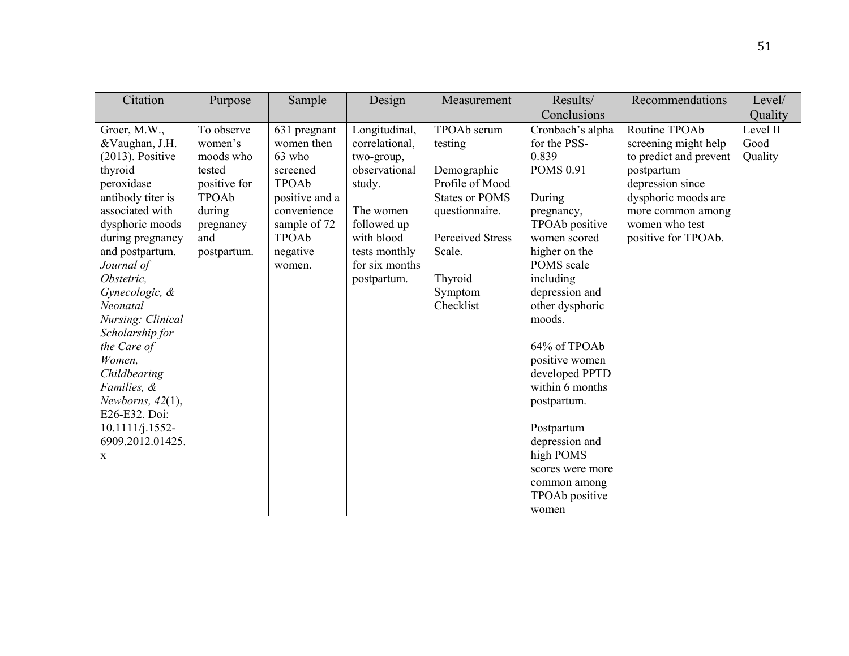| Citation                   | Purpose      | Sample         | Design         | Measurement             | Results/                    | Recommendations        | Level/   |
|----------------------------|--------------|----------------|----------------|-------------------------|-----------------------------|------------------------|----------|
|                            |              |                |                |                         | Conclusions                 |                        | Quality  |
| Groer, M.W.,               | To observe   | 631 pregnant   | Longitudinal,  | TPOAb serum             | Cronbach's alpha            | Routine TPOAb          | Level II |
| &Vaughan, J.H.             | women's      | women then     | correlational, | testing                 | for the PSS-                | screening might help   | Good     |
| $(2013)$ . Positive        | moods who    | 63 who         | two-group,     |                         | 0.839                       | to predict and prevent | Quality  |
| thyroid                    | tested       | screened       | observational  | Demographic             | <b>POMS 0.91</b>            | postpartum             |          |
| peroxidase                 | positive for | TPOAb          | study.         | Profile of Mood         |                             | depression since       |          |
| antibody titer is          | TPOAb        | positive and a |                | <b>States or POMS</b>   | During                      | dysphoric moods are    |          |
| associated with            | during       | convenience    | The women      | questionnaire.          | pregnancy,                  | more common among      |          |
| dysphoric moods            | pregnancy    | sample of 72   | followed up    |                         | TPOAb positive              | women who test         |          |
| during pregnancy           | and          | TPOAb          | with blood     | <b>Perceived Stress</b> | women scored                | positive for TPOAb.    |          |
| and postpartum.            | postpartum.  | negative       | tests monthly  | Scale.                  | higher on the<br>POMS scale |                        |          |
| Journal of<br>Obstetric,   |              | women.         | for six months |                         | including                   |                        |          |
|                            |              |                | postpartum.    | Thyroid<br>Symptom      | depression and              |                        |          |
| Gynecologic, &<br>Neonatal |              |                |                | Checklist               | other dysphoric             |                        |          |
| Nursing: Clinical          |              |                |                |                         | moods.                      |                        |          |
| Scholarship for            |              |                |                |                         |                             |                        |          |
| the Care of                |              |                |                |                         | 64% of TPOAb                |                        |          |
| Women,                     |              |                |                |                         | positive women              |                        |          |
| Childbearing               |              |                |                |                         | developed PPTD              |                        |          |
| Families, &                |              |                |                |                         | within 6 months             |                        |          |
| Newborns, $42(1)$ ,        |              |                |                |                         | postpartum.                 |                        |          |
| E26-E32. Doi:              |              |                |                |                         |                             |                        |          |
| $10.1111/j.1552-$          |              |                |                |                         | Postpartum                  |                        |          |
| 6909.2012.01425.           |              |                |                |                         | depression and              |                        |          |
| X                          |              |                |                |                         | high POMS                   |                        |          |
|                            |              |                |                |                         | scores were more            |                        |          |
|                            |              |                |                |                         | common among                |                        |          |
|                            |              |                |                |                         | TPOAb positive              |                        |          |
|                            |              |                |                |                         | women                       |                        |          |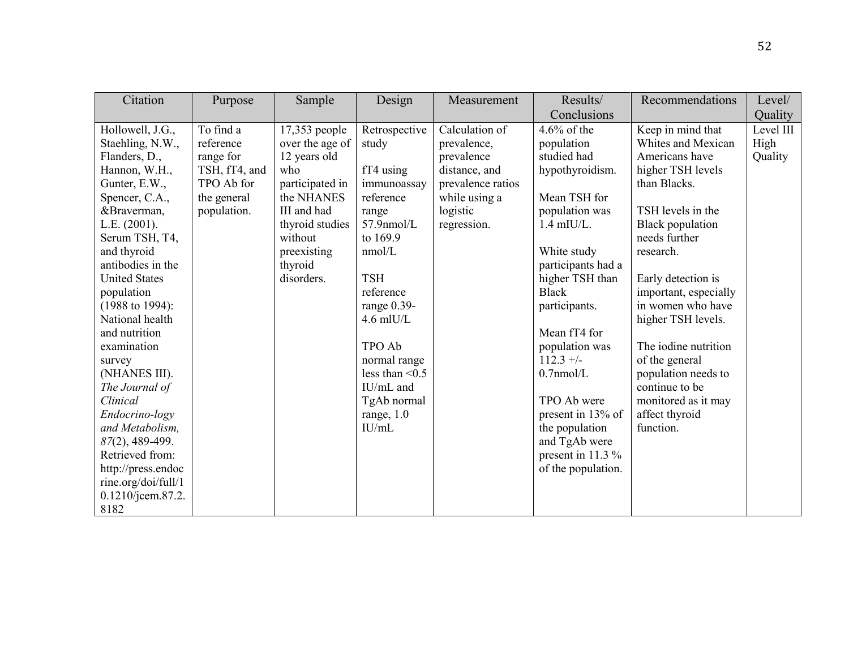| Citation                                                                                                                                                                                                                                                                                                                                                                                                                                                                                                                            | Purpose                                                                                          | Sample                                                                                                                                                                        | Design                                                                                                                                                                                                                                                                             | Measurement                                                                                                                   | Results/                                                                                                                                                                                                                                                                                                                                                                                  | Recommendations                                                                                                                                                                                                                                                                                                                                                                                                 | Level/                       |
|-------------------------------------------------------------------------------------------------------------------------------------------------------------------------------------------------------------------------------------------------------------------------------------------------------------------------------------------------------------------------------------------------------------------------------------------------------------------------------------------------------------------------------------|--------------------------------------------------------------------------------------------------|-------------------------------------------------------------------------------------------------------------------------------------------------------------------------------|------------------------------------------------------------------------------------------------------------------------------------------------------------------------------------------------------------------------------------------------------------------------------------|-------------------------------------------------------------------------------------------------------------------------------|-------------------------------------------------------------------------------------------------------------------------------------------------------------------------------------------------------------------------------------------------------------------------------------------------------------------------------------------------------------------------------------------|-----------------------------------------------------------------------------------------------------------------------------------------------------------------------------------------------------------------------------------------------------------------------------------------------------------------------------------------------------------------------------------------------------------------|------------------------------|
|                                                                                                                                                                                                                                                                                                                                                                                                                                                                                                                                     |                                                                                                  |                                                                                                                                                                               |                                                                                                                                                                                                                                                                                    |                                                                                                                               | Conclusions                                                                                                                                                                                                                                                                                                                                                                               |                                                                                                                                                                                                                                                                                                                                                                                                                 | Quality                      |
| Hollowell, J.G.,<br>Staehling, N.W.,<br>Flanders, D.,<br>Hannon, W.H.,<br>Gunter, E.W.,<br>Spencer, C.A.,<br>&Braverman,<br>L.E. (2001).<br>Serum TSH, T4,<br>and thyroid<br>antibodies in the<br><b>United States</b><br>population<br>$(1988 \text{ to } 1994):$<br>National health<br>and nutrition<br>examination<br>survey<br>(NHANES III).<br>The Journal of<br>Clinical<br>Endocrino-logy<br>and Metabolism,<br>87(2), 489-499.<br>Retrieved from:<br>http://press.endoc<br>rine.org/doi/full/1<br>0.1210/jcem.87.2.<br>8182 | To find a<br>reference<br>range for<br>TSH, fT4, and<br>TPO Ab for<br>the general<br>population. | 17,353 people<br>over the age of<br>12 years old<br>who<br>participated in<br>the NHANES<br>III and had<br>thyroid studies<br>without<br>preexisting<br>thyroid<br>disorders. | Retrospective<br>study<br>$fT4$ using<br>immunoassay<br>reference<br>range<br>$57.9$ nmol/L<br>to 169.9<br>nmol/L<br><b>TSH</b><br>reference<br>range $0.39$ -<br>$4.6$ mlU/L<br>TPO Ab<br>normal range<br>less than $\leq 0.5$<br>IU/mL and<br>TgAb normal<br>range, 1.0<br>IU/mL | Calculation of<br>prevalence,<br>prevalence<br>distance, and<br>prevalence ratios<br>while using a<br>logistic<br>regression. | 4.6% of the<br>population<br>studied had<br>hypothyroidism.<br>Mean TSH for<br>population was<br>$1.4$ mIU/L.<br>White study<br>participants had a<br>higher TSH than<br><b>Black</b><br>participants.<br>Mean fT4 for<br>population was<br>$112.3 +/-$<br>$0.7$ nmol/L<br>TPO Ab were<br>present in 13% of<br>the population<br>and TgAb were<br>present in 11.3 %<br>of the population. | Keep in mind that<br>Whites and Mexican<br>Americans have<br>higher TSH levels<br>than Blacks.<br>TSH levels in the<br><b>Black population</b><br>needs further<br>research.<br>Early detection is<br>important, especially<br>in women who have<br>higher TSH levels.<br>The iodine nutrition<br>of the general<br>population needs to<br>continue to be<br>monitored as it may<br>affect thyroid<br>function. | Level III<br>High<br>Quality |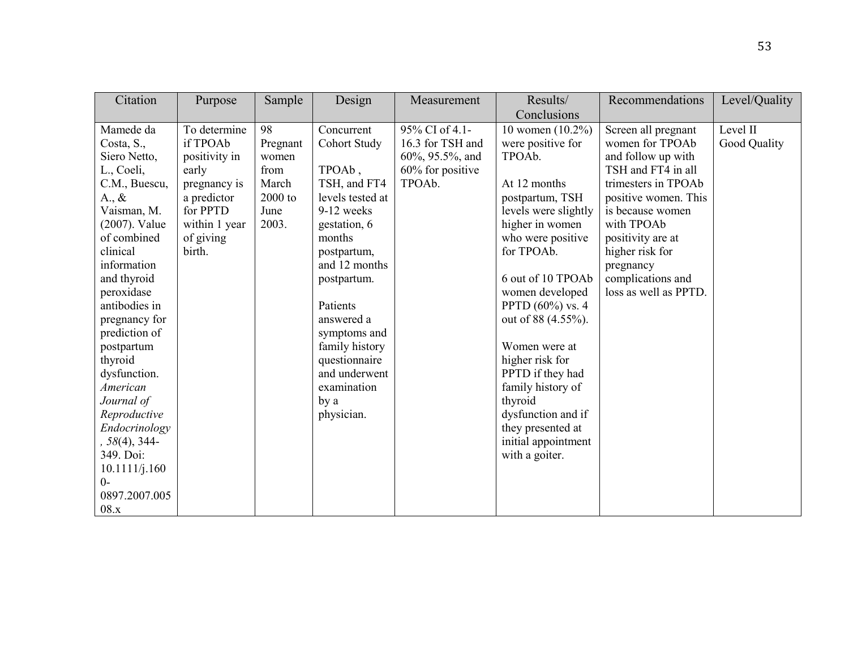| Citation        | Purpose       | Sample   | Design           | Measurement      | Results/             | Recommendations       | Level/Quality |
|-----------------|---------------|----------|------------------|------------------|----------------------|-----------------------|---------------|
|                 |               |          |                  |                  | Conclusions          |                       |               |
| Mamede da       | To determine  | 98       | Concurrent       | 95% CI of 4.1-   | 10 women $(10.2\%)$  | Screen all pregnant   | Level II      |
| Costa, S.,      | if TPOAb      | Pregnant | Cohort Study     | 16.3 for TSH and | were positive for    | women for TPOAb       | Good Quality  |
| Siero Netto,    | positivity in | women    |                  | 60%, 95.5%, and  | TPOAb.               | and follow up with    |               |
| L., Coeli,      | early         | from     | TPOAb,           | 60% for positive |                      | TSH and FT4 in all    |               |
| C.M., Buescu,   | pregnancy is  | March    | TSH, and FT4     | TPOAb.           | At 12 months         | trimesters in TPOAb   |               |
| $A_{\cdot}, \&$ | a predictor   | 2000 to  | levels tested at |                  | postpartum, TSH      | positive women. This  |               |
| Vaisman, M.     | for PPTD      | June     | 9-12 weeks       |                  | levels were slightly | is because women      |               |
| (2007). Value   | within 1 year | 2003.    | gestation, 6     |                  | higher in women      | with TPOAb            |               |
| of combined     | of giving     |          | months           |                  | who were positive    | positivity are at     |               |
| clinical        | birth.        |          | postpartum,      |                  | for TPOAb.           | higher risk for       |               |
| information     |               |          | and 12 months    |                  |                      | pregnancy             |               |
| and thyroid     |               |          | postpartum.      |                  | 6 out of 10 TPOAb    | complications and     |               |
| peroxidase      |               |          |                  |                  | women developed      | loss as well as PPTD. |               |
| antibodies in   |               |          | Patients         |                  | PPTD $(60\%)$ vs. 4  |                       |               |
| pregnancy for   |               |          | answered a       |                  | out of 88 (4.55%).   |                       |               |
| prediction of   |               |          | symptoms and     |                  |                      |                       |               |
| postpartum      |               |          | family history   |                  | Women were at        |                       |               |
| thyroid         |               |          | questionnaire    |                  | higher risk for      |                       |               |
| dysfunction.    |               |          | and underwent    |                  | PPTD if they had     |                       |               |
| American        |               |          | examination      |                  | family history of    |                       |               |
| Journal of      |               |          | by a             |                  | thyroid              |                       |               |
| Reproductive    |               |          | physician.       |                  | dysfunction and if   |                       |               |
| Endocrinology   |               |          |                  |                  | they presented at    |                       |               |
| $, 58(4), 344-$ |               |          |                  |                  | initial appointment  |                       |               |
| 349. Doi:       |               |          |                  |                  | with a goiter.       |                       |               |
| 10.1111/j.160   |               |          |                  |                  |                      |                       |               |
| $0-$            |               |          |                  |                  |                      |                       |               |
| 0897.2007.005   |               |          |                  |                  |                      |                       |               |
| 08.x            |               |          |                  |                  |                      |                       |               |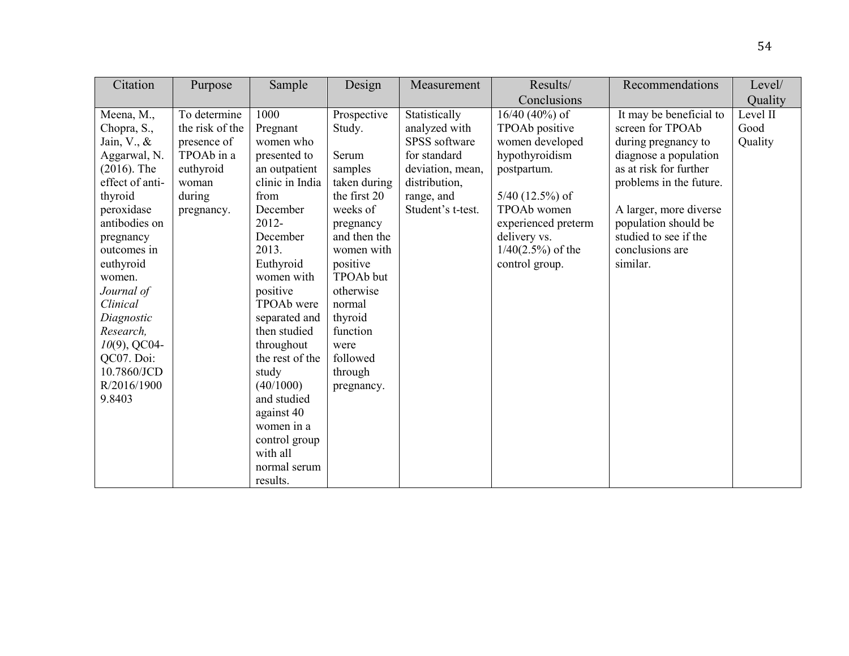| Citation                 | Purpose         | Sample            | Design       | Measurement       | Results/             | Recommendations         | Level/   |
|--------------------------|-----------------|-------------------|--------------|-------------------|----------------------|-------------------------|----------|
|                          |                 |                   |              |                   | Conclusions          |                         | Quality  |
| Meena, M.,               | To determine    | 1000              | Prospective  | Statistically     | $16/40$ (40%) of     | It may be beneficial to | Level II |
| Chopra, S.,              | the risk of the | Pregnant          | Study.       | analyzed with     | TPOAb positive       | screen for TPOAb        | Good     |
| Jain, $V_{\cdot}$ , $\&$ | presence of     | women who         |              | SPSS software     | women developed      | during pregnancy to     | Quality  |
| Aggarwal, N.             | TPOAb in a      | presented to      | Serum        | for standard      | hypothyroidism       | diagnose a population   |          |
| $(2016)$ . The           | euthyroid       | an outpatient     | samples      | deviation, mean,  | postpartum.          | as at risk for further  |          |
| effect of anti-          | woman           | clinic in India   | taken during | distribution,     |                      | problems in the future. |          |
| thyroid                  | during          | from              | the first 20 | range, and        | $5/40$ (12.5%) of    |                         |          |
| peroxidase               | pregnancy.      | December          | weeks of     | Student's t-test. | TPOAb women          | A larger, more diverse  |          |
| antibodies on            |                 | 2012-             | pregnancy    |                   | experienced preterm  | population should be    |          |
| pregnancy                |                 | December          | and then the |                   | delivery vs.         | studied to see if the   |          |
| outcomes in              |                 | 2013.             | women with   |                   | $1/40(2.5\%)$ of the | conclusions are         |          |
| euthyroid                |                 | Euthyroid         | positive     |                   | control group.       | similar.                |          |
| women.                   |                 | women with        | TPOAb but    |                   |                      |                         |          |
| Journal of               |                 | positive          | otherwise    |                   |                      |                         |          |
| Clinical                 |                 | <b>TPOAb</b> were | normal       |                   |                      |                         |          |
| Diagnostic               |                 | separated and     | thyroid      |                   |                      |                         |          |
| Research,                |                 | then studied      | function     |                   |                      |                         |          |
| $10(9)$ , QC04-          |                 | throughout        | were         |                   |                      |                         |          |
| QC07. Doi:               |                 | the rest of the   | followed     |                   |                      |                         |          |
| 10.7860/JCD              |                 | study             | through      |                   |                      |                         |          |
| R/2016/1900              |                 | (40/1000)         | pregnancy.   |                   |                      |                         |          |
| 9.8403                   |                 | and studied       |              |                   |                      |                         |          |
|                          |                 | against 40        |              |                   |                      |                         |          |
|                          |                 | women in a        |              |                   |                      |                         |          |
|                          |                 | control group     |              |                   |                      |                         |          |
|                          |                 | with all          |              |                   |                      |                         |          |
|                          |                 | normal serum      |              |                   |                      |                         |          |
|                          |                 | results.          |              |                   |                      |                         |          |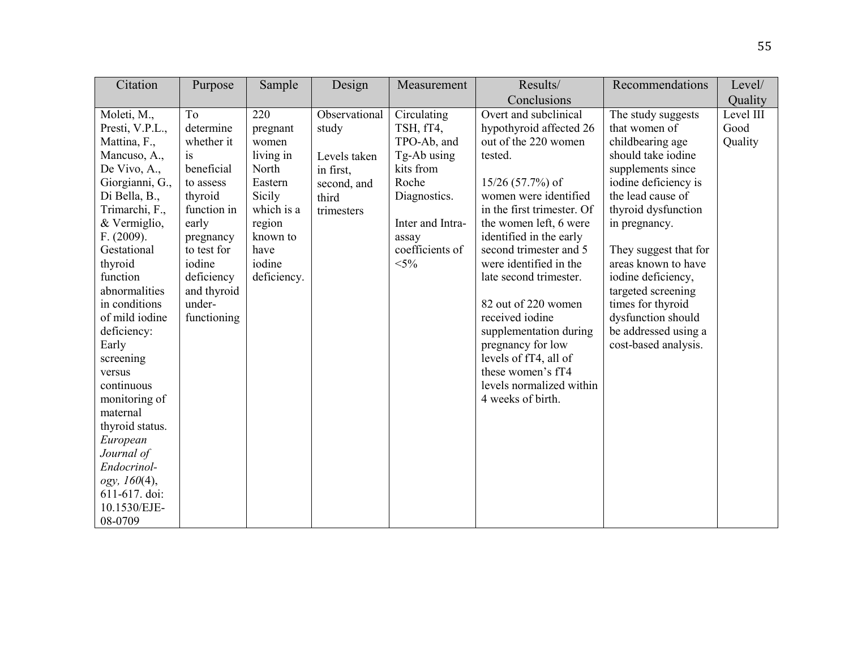| Citation                                                                                                                                                                                                                                                                                                                                                                                                                                                                       | Purpose                                                                                                                                                                                              | Sample                                                                                                                                   | Design                                                                                    | Measurement                                                                                                                                            | Results/                                                                                                                                                                                                                                                                                                                                                                                                                                                                                    | Recommendations                                                                                                                                                                                                                                                                                                                                                                | Level/                       |
|--------------------------------------------------------------------------------------------------------------------------------------------------------------------------------------------------------------------------------------------------------------------------------------------------------------------------------------------------------------------------------------------------------------------------------------------------------------------------------|------------------------------------------------------------------------------------------------------------------------------------------------------------------------------------------------------|------------------------------------------------------------------------------------------------------------------------------------------|-------------------------------------------------------------------------------------------|--------------------------------------------------------------------------------------------------------------------------------------------------------|---------------------------------------------------------------------------------------------------------------------------------------------------------------------------------------------------------------------------------------------------------------------------------------------------------------------------------------------------------------------------------------------------------------------------------------------------------------------------------------------|--------------------------------------------------------------------------------------------------------------------------------------------------------------------------------------------------------------------------------------------------------------------------------------------------------------------------------------------------------------------------------|------------------------------|
|                                                                                                                                                                                                                                                                                                                                                                                                                                                                                |                                                                                                                                                                                                      |                                                                                                                                          |                                                                                           |                                                                                                                                                        | Conclusions                                                                                                                                                                                                                                                                                                                                                                                                                                                                                 |                                                                                                                                                                                                                                                                                                                                                                                | Quality                      |
| Moleti, M.,<br>Presti, V.P.L.,<br>Mattina, F.,<br>Mancuso, A.,<br>De Vivo, A.,<br>Giorgianni, G.,<br>Di Bella, B.,<br>Trimarchi, F.,<br>& Vermiglio,<br>F. (2009).<br>Gestational<br>thyroid<br>function<br>abnormalities<br>in conditions<br>of mild iodine<br>deficiency:<br>Early<br>screening<br>versus<br>continuous<br>monitoring of<br>maternal<br>thyroid status.<br>European<br>Journal of<br>Endocrinol-<br>ogy, 160(4),<br>611-617. doi:<br>10.1530/EJE-<br>08-0709 | To<br>determine<br>whether it<br><i>is</i><br>beneficial<br>to assess<br>thyroid<br>function in<br>early<br>pregnancy<br>to test for<br>iodine<br>deficiency<br>and thyroid<br>under-<br>functioning | 220<br>pregnant<br>women<br>living in<br>North<br>Eastern<br>Sicily<br>which is a<br>region<br>known to<br>have<br>iodine<br>deficiency. | Observational<br>study<br>Levels taken<br>in first,<br>second, and<br>third<br>trimesters | Circulating<br>TSH, fT4,<br>TPO-Ab, and<br>Tg-Ab using<br>kits from<br>Roche<br>Diagnostics.<br>Inter and Intra-<br>assay<br>coefficients of<br>$<$ 5% | Overt and subclinical<br>hypothyroid affected 26<br>out of the 220 women<br>tested.<br>$15/26$ (57.7%) of<br>women were identified<br>in the first trimester. Of<br>the women left, 6 were<br>identified in the early<br>second trimester and 5<br>were identified in the<br>late second trimester.<br>82 out of 220 women<br>received iodine<br>supplementation during<br>pregnancy for low<br>levels of fT4, all of<br>these women's fT4<br>levels normalized within<br>4 weeks of birth. | The study suggests<br>that women of<br>childbearing age<br>should take iodine<br>supplements since<br>iodine deficiency is<br>the lead cause of<br>thyroid dysfunction<br>in pregnancy.<br>They suggest that for<br>areas known to have<br>iodine deficiency,<br>targeted screening<br>times for thyroid<br>dysfunction should<br>be addressed using a<br>cost-based analysis. | Level III<br>Good<br>Quality |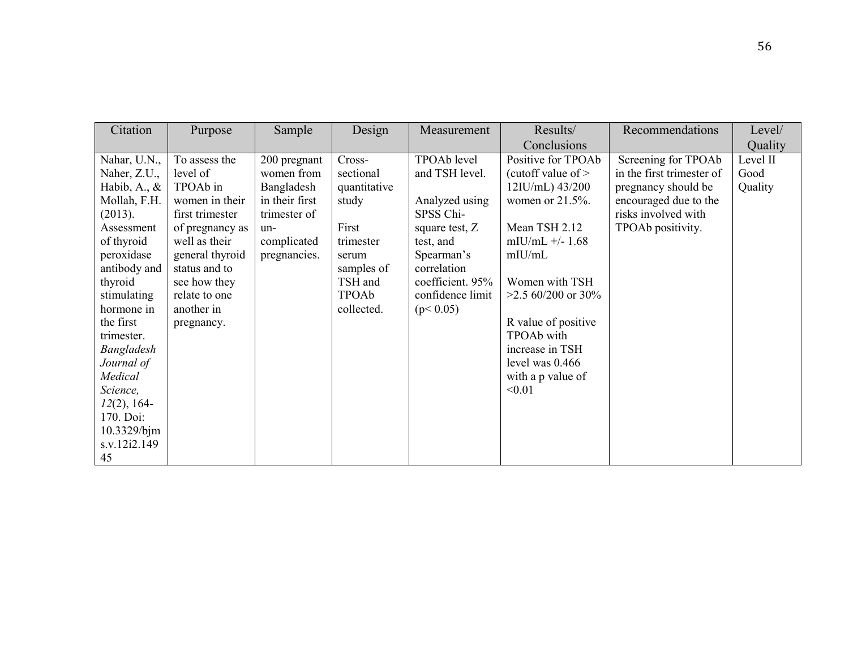| Citation        | Purpose         | Sample         | Design       | Measurement      | Results/             | Recommendations           | Level/   |
|-----------------|-----------------|----------------|--------------|------------------|----------------------|---------------------------|----------|
|                 |                 |                |              |                  | Conclusions          |                           | Quality  |
| Nahar, U.N.,    | To assess the   | 200 pregnant   | Cross-       | TPOAb level      | Positive for TPOAb   | Screening for TPOAb       | Level II |
| Naher, Z.U.,    | level of        | women from     | sectional    | and TSH level.   | (cutoff value of $>$ | in the first trimester of | Good     |
| Habib, A., $\&$ | TPOAb in        | Bangladesh     | quantitative |                  | $12$ IU/mL) $43/200$ | pregnancy should be       | Quality  |
| Mollah, F.H.    | women in their  | in their first | study        | Analyzed using   | women or $21.5\%$ .  | encouraged due to the     |          |
| (2013).         | first trimester | trimester of   |              | SPSS Chi-        |                      | risks involved with       |          |
| Assessment      | of pregnancy as | un-            | First        | square test, Z   | Mean TSH 2.12        | TPOAb positivity.         |          |
| of thyroid      | well as their   | complicated    | trimester    | test, and        | mIU/mL $+/- 1.68$    |                           |          |
| peroxidase      | general thyroid | pregnancies.   | serum        | Spearman's       | mIU/mL               |                           |          |
| antibody and    | status and to   |                | samples of   | correlation      |                      |                           |          |
| thyroid         | see how they    |                | TSH and      | coefficient. 95% | Women with TSH       |                           |          |
| stimulating     | relate to one   |                | TPOAb        | confidence limit | $>2.5$ 60/200 or 30% |                           |          |
| hormone in      | another in      |                | collected.   | (p< 0.05)        |                      |                           |          |
| the first       | pregnancy.      |                |              |                  | R value of positive  |                           |          |
| trimester.      |                 |                |              |                  | TPOAb with           |                           |          |
| Bangladesh      |                 |                |              |                  | increase in TSH      |                           |          |
| Journal of      |                 |                |              |                  | level was $0.466$    |                           |          |
| Medical         |                 |                |              |                  | with a p value of    |                           |          |
| Science,        |                 |                |              |                  | < 0.01               |                           |          |
| $12(2)$ , 164-  |                 |                |              |                  |                      |                           |          |
| 170. Doi:       |                 |                |              |                  |                      |                           |          |
| 10.3329/bjm     |                 |                |              |                  |                      |                           |          |
| s.v.12i2.149    |                 |                |              |                  |                      |                           |          |
| 45              |                 |                |              |                  |                      |                           |          |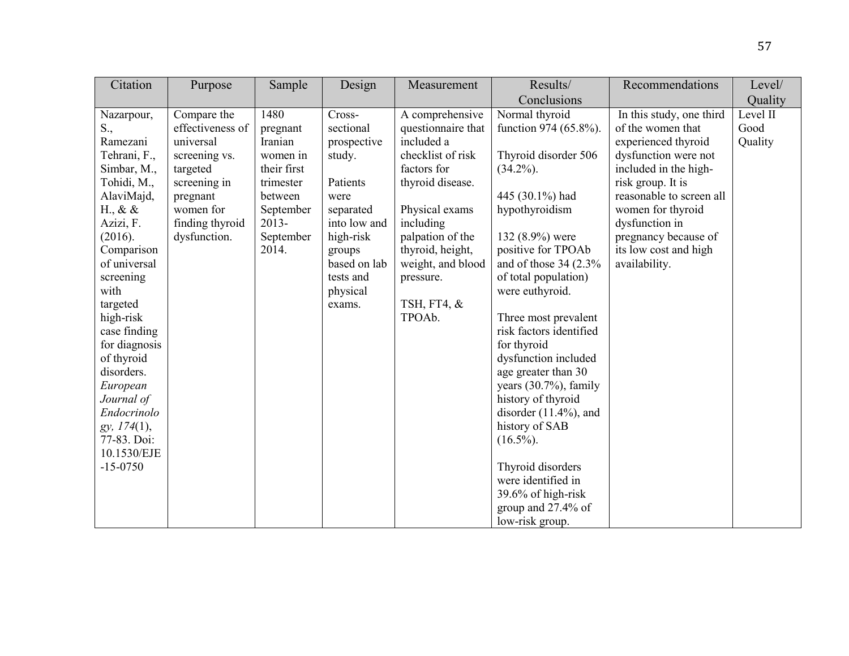| Citation                                                                                                                                                                                                                                                                                                                                                                       | Purpose                                                                                                                                               | Sample                                                                                                                        | Design                                                                                                                                                                  | Measurement                                                                                                                                                                                                                                   | Results/                                                                                                                                                                                                                                                                                                                                                                                                                                                                                                                                                     | Recommendations                                                                                                                                                                                                                                                                 | Level/                      |
|--------------------------------------------------------------------------------------------------------------------------------------------------------------------------------------------------------------------------------------------------------------------------------------------------------------------------------------------------------------------------------|-------------------------------------------------------------------------------------------------------------------------------------------------------|-------------------------------------------------------------------------------------------------------------------------------|-------------------------------------------------------------------------------------------------------------------------------------------------------------------------|-----------------------------------------------------------------------------------------------------------------------------------------------------------------------------------------------------------------------------------------------|--------------------------------------------------------------------------------------------------------------------------------------------------------------------------------------------------------------------------------------------------------------------------------------------------------------------------------------------------------------------------------------------------------------------------------------------------------------------------------------------------------------------------------------------------------------|---------------------------------------------------------------------------------------------------------------------------------------------------------------------------------------------------------------------------------------------------------------------------------|-----------------------------|
|                                                                                                                                                                                                                                                                                                                                                                                |                                                                                                                                                       |                                                                                                                               |                                                                                                                                                                         |                                                                                                                                                                                                                                               | Conclusions                                                                                                                                                                                                                                                                                                                                                                                                                                                                                                                                                  |                                                                                                                                                                                                                                                                                 | Quality                     |
| Nazarpour,<br>S.,<br>Ramezani<br>Tehrani, F.,<br>Simbar, M.,<br>Tohidi, M.,<br>AlaviMajd,<br>H., & $\&$<br>Azizi, F.<br>(2016).<br>Comparison<br>of universal<br>screening<br>with<br>targeted<br>high-risk<br>case finding<br>for diagnosis<br>of thyroid<br>disorders.<br>European<br>Journal of<br>Endocrinolo<br>gy, 174(1),<br>77-83. Doi:<br>10.1530/EJE<br>$-15 - 0750$ | Compare the<br>effectiveness of<br>universal<br>screening vs.<br>targeted<br>screening in<br>pregnant<br>women for<br>finding thyroid<br>dysfunction. | 1480<br>pregnant<br>Iranian<br>women in<br>their first<br>trimester<br>between<br>September<br>$2013 -$<br>September<br>2014. | Cross-<br>sectional<br>prospective<br>study.<br>Patients<br>were<br>separated<br>into low and<br>high-risk<br>groups<br>based on lab<br>tests and<br>physical<br>exams. | A comprehensive<br>questionnaire that<br>included a<br>checklist of risk<br>factors for<br>thyroid disease.<br>Physical exams<br>including<br>palpation of the<br>thyroid, height,<br>weight, and blood<br>pressure.<br>TSH, FT4, &<br>TPOAb. | Normal thyroid<br>function 974 (65.8%).<br>Thyroid disorder 506<br>$(34.2\%)$ .<br>445 (30.1%) had<br>hypothyroidism<br>132 (8.9%) were<br>positive for TPOAb<br>and of those $34(2.3\%$<br>of total population)<br>were euthyroid.<br>Three most prevalent<br>risk factors identified<br>for thyroid<br>dysfunction included<br>age greater than 30<br>years $(30.7%)$ , family<br>history of thyroid<br>disorder $(11.4\%)$ , and<br>history of SAB<br>$(16.5\%)$ .<br>Thyroid disorders<br>were identified in<br>39.6% of high-risk<br>group and 27.4% of | In this study, one third<br>of the women that<br>experienced thyroid<br>dysfunction were not<br>included in the high-<br>risk group. It is<br>reasonable to screen all<br>women for thyroid<br>dysfunction in<br>pregnancy because of<br>its low cost and high<br>availability. | Level II<br>Good<br>Quality |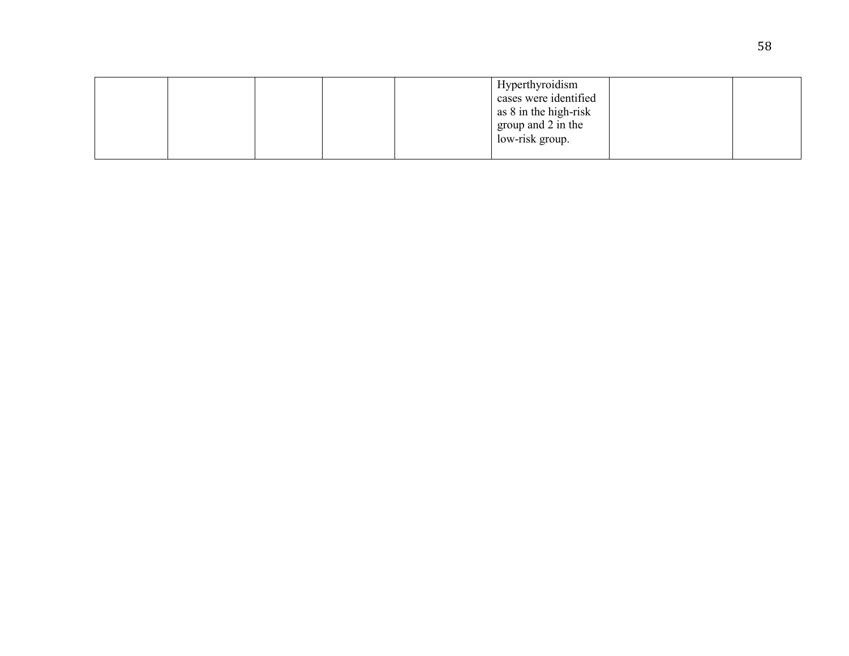|  |  | Hyperthyroidism<br>cases were identified<br>as 8 in the high-risk<br>group and 2 in the<br>low-risk group. |  |
|--|--|------------------------------------------------------------------------------------------------------------|--|
|  |  |                                                                                                            |  |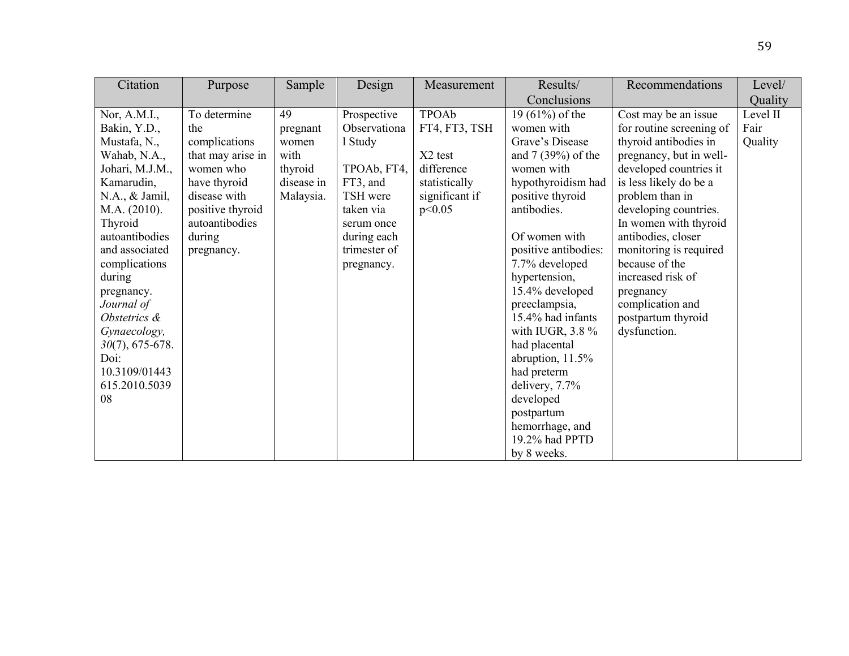| Citation           | Purpose           | Sample     | Design       | Measurement         | Results/             | Recommendations          | Level/   |
|--------------------|-------------------|------------|--------------|---------------------|----------------------|--------------------------|----------|
|                    |                   |            |              |                     | Conclusions          |                          | Quality  |
| Nor, $A.M.I.,$     | To determine      | 49         | Prospective  | <b>TPOAb</b>        | 19 $(61%)$ of the    | Cost may be an issue     | Level II |
| Bakin, Y.D.,       | the               | pregnant   | Observationa | FT4, FT3, TSH       | women with           | for routine screening of | Fair     |
| Mustafa, N.,       | complications     | women      | 1 Study      |                     | Grave's Disease      | thyroid antibodies in    | Quality  |
| Wahab, N.A.,       | that may arise in | with       |              | X <sub>2</sub> test | and $7(39\%)$ of the | pregnancy, but in well-  |          |
| Johari, M.J.M.,    | women who         | thyroid    | TPOAb, FT4,  | difference          | women with           | developed countries it   |          |
| Kamarudin,         | have thyroid      | disease in | FT3, and     | statistically       | hypothyroidism had   | is less likely do be a   |          |
| N.A., & Jamil,     | disease with      | Malaysia.  | TSH were     | significant if      | positive thyroid     | problem than in          |          |
| M.A. (2010).       | positive thyroid  |            | taken via    | p<0.05              | antibodies.          | developing countries.    |          |
| Thyroid            | autoantibodies    |            | serum once   |                     |                      | In women with thyroid    |          |
| autoantibodies     | during            |            | during each  |                     | Of women with        | antibodies, closer       |          |
| and associated     | pregnancy.        |            | trimester of |                     | positive antibodies: | monitoring is required   |          |
| complications      |                   |            | pregnancy.   |                     | 7.7% developed       | because of the           |          |
| during             |                   |            |              |                     | hypertension,        | increased risk of        |          |
| pregnancy.         |                   |            |              |                     | 15.4% developed      | pregnancy                |          |
| Journal of         |                   |            |              |                     | preeclampsia,        | complication and         |          |
| Obstetrics &       |                   |            |              |                     | 15.4% had infants    | postpartum thyroid       |          |
| Gynaecology,       |                   |            |              |                     | with IUGR, $3.8\%$   | dysfunction.             |          |
| $30(7)$ , 675-678. |                   |            |              |                     | had placental        |                          |          |
| Doi:               |                   |            |              |                     | abruption, $11.5\%$  |                          |          |
| 10.3109/01443      |                   |            |              |                     | had preterm          |                          |          |
| 615.2010.5039      |                   |            |              |                     | delivery, 7.7%       |                          |          |
| 08                 |                   |            |              |                     | developed            |                          |          |
|                    |                   |            |              |                     | postpartum           |                          |          |
|                    |                   |            |              |                     | hemorrhage, and      |                          |          |
|                    |                   |            |              |                     | 19.2% had PPTD       |                          |          |
|                    |                   |            |              |                     | by 8 weeks.          |                          |          |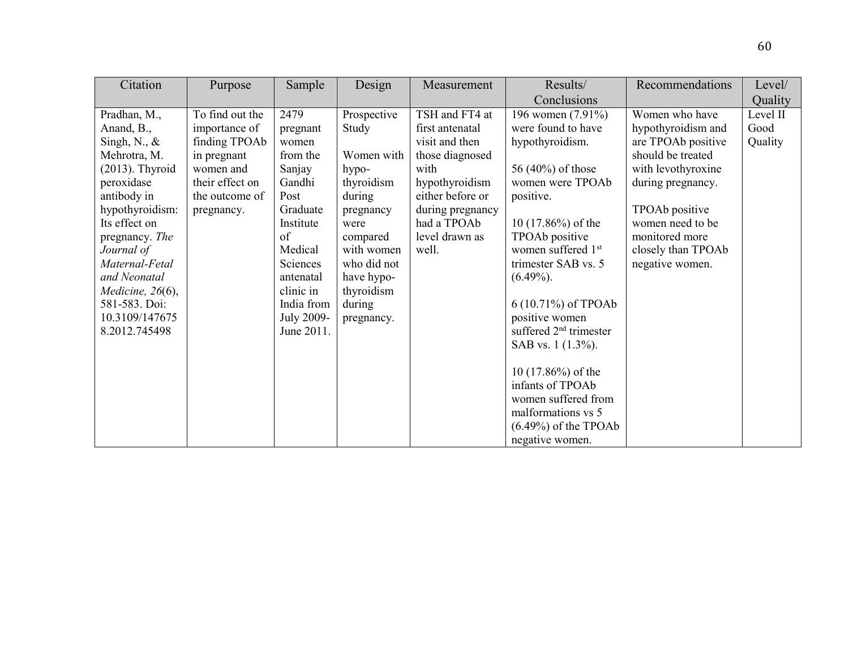| Citation            | Purpose         | Sample            | Design      | Measurement      | Results/                       | Recommendations    | Level/   |
|---------------------|-----------------|-------------------|-------------|------------------|--------------------------------|--------------------|----------|
|                     |                 |                   |             |                  | Conclusions                    |                    | Quality  |
| Pradhan, M.,        | To find out the | 2479              | Prospective | TSH and FT4 at   | 196 women (7.91%)              | Women who have     | Level II |
| Anand, B.,          | importance of   | pregnant          | Study       | first antenatal  | were found to have             | hypothyroidism and | Good     |
| Singh, N., $\&$     | finding TPOAb   | women             |             | visit and then   | hypothyroidism.                | are TPOAb positive | Quality  |
| Mehrotra, M.        | in pregnant     | from the          | Women with  | those diagnosed  |                                | should be treated  |          |
| $(2013)$ . Thyroid  | women and       | Sanjay            | hypo-       | with             | 56 (40%) of those              | with levothyroxine |          |
| peroxidase          | their effect on | Gandhi            | thyroidism  | hypothyroidism   | women were TPOAb               | during pregnancy.  |          |
| antibody in         | the outcome of  | Post              | during      | either before or | positive.                      |                    |          |
| hypothyroidism:     | pregnancy.      | Graduate          | pregnancy   | during pregnancy |                                | TPOAb positive     |          |
| Its effect on       |                 | Institute         | were        | had a TPOAb      | $10(17.86\%)$ of the           | women need to be   |          |
| pregnancy. The      |                 | of                | compared    | level drawn as   | TPOAb positive                 | monitored more     |          |
| Journal of          |                 | Medical           | with women  | well.            | women suffered 1 <sup>st</sup> | closely than TPOAb |          |
| Maternal-Fetal      |                 | Sciences          | who did not |                  | trimester SAB vs. 5            | negative women.    |          |
| and Neonatal        |                 | antenatal         | have hypo-  |                  | $(6.49\%)$ .                   |                    |          |
| Medicine, $26(6)$ , |                 | clinic in         | thyroidism  |                  |                                |                    |          |
| 581-583. Doi:       |                 | India from        | during      |                  | 6 (10.71%) of TPOAb            |                    |          |
| 10.3109/147675      |                 | <b>July 2009-</b> | pregnancy.  |                  | positive women                 |                    |          |
| 8.2012.745498       |                 | June 2011.        |             |                  | suffered $2nd$ trimester       |                    |          |
|                     |                 |                   |             |                  | SAB vs. 1 (1.3%).              |                    |          |
|                     |                 |                   |             |                  |                                |                    |          |
|                     |                 |                   |             |                  | 10 $(17.86\%)$ of the          |                    |          |
|                     |                 |                   |             |                  | infants of TPOAb               |                    |          |
|                     |                 |                   |             |                  | women suffered from            |                    |          |
|                     |                 |                   |             |                  | malformations vs 5             |                    |          |
|                     |                 |                   |             |                  | $(6.49\%)$ of the TPOAb        |                    |          |
|                     |                 |                   |             |                  | negative women.                |                    |          |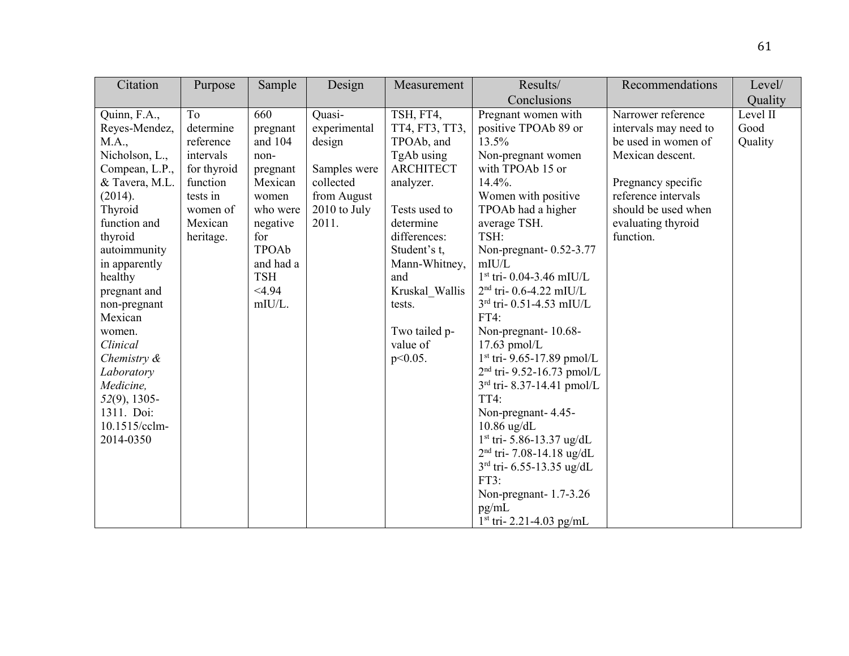| Quality                                                                                                                                                                                                                      |
|------------------------------------------------------------------------------------------------------------------------------------------------------------------------------------------------------------------------------|
| Narrower reference<br>Level II<br>intervals may need to<br>Good<br>be used in women of<br>Quality<br>Mexican descent.<br>Pregnancy specific<br>reference intervals<br>should be used when<br>evaluating thyroid<br>function. |
|                                                                                                                                                                                                                              |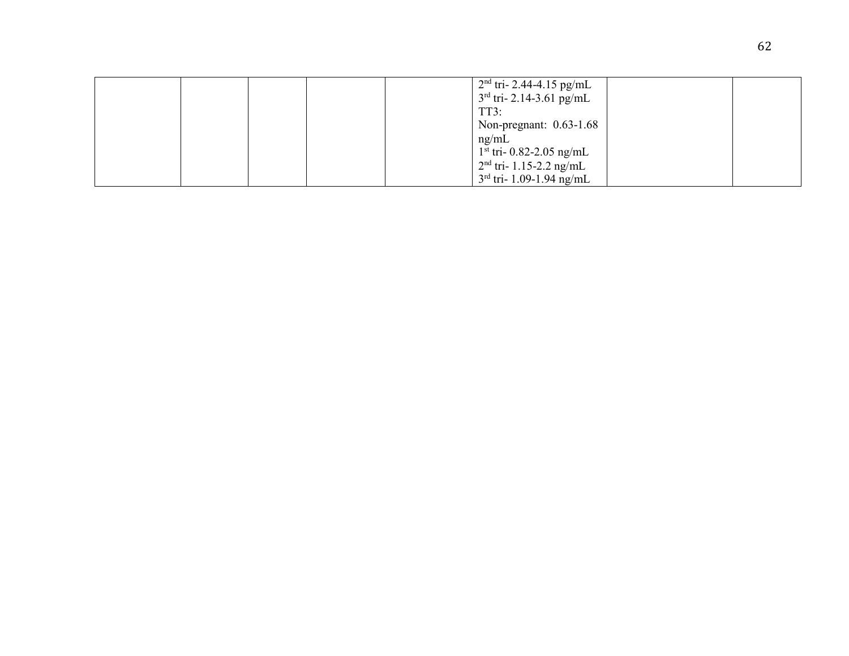|  |  | $2nd$ tri- 2.44-4.15 pg/mL |  |
|--|--|----------------------------|--|
|  |  | $3rd$ tri- 2.14-3.61 pg/mL |  |
|  |  | TT3:                       |  |
|  |  | Non-pregnant: $0.63-1.68$  |  |
|  |  | ng/mL                      |  |
|  |  | $1st$ tri- 0.82-2.05 ng/mL |  |
|  |  | $2nd$ tri- 1.15-2.2 ng/mL  |  |
|  |  | $3rd$ tri- 1.09-1.94 ng/mL |  |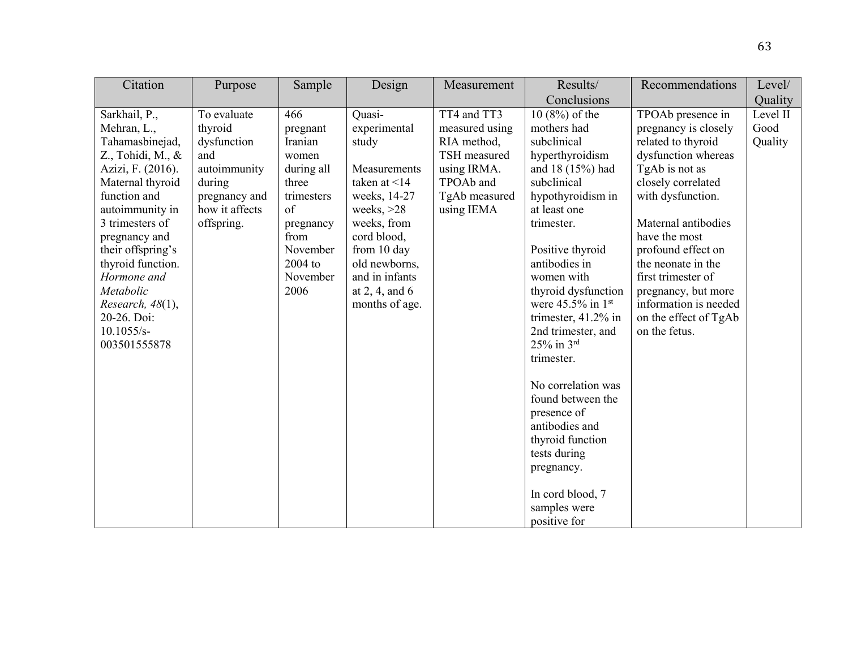| Citation                                                                                                                                                                                                                                                                                                                                | Purpose                                                                                                                 | Sample                                                                                                                                         | Design                                                                                                                                                                                                                         | Measurement                                                                                                             | Results/                                                                                                                                                                                                                                                                                                                                                                                                                                                                                                                | Recommendations                                                                                                                                                                                                                                                                                                                                         | Level/                      |
|-----------------------------------------------------------------------------------------------------------------------------------------------------------------------------------------------------------------------------------------------------------------------------------------------------------------------------------------|-------------------------------------------------------------------------------------------------------------------------|------------------------------------------------------------------------------------------------------------------------------------------------|--------------------------------------------------------------------------------------------------------------------------------------------------------------------------------------------------------------------------------|-------------------------------------------------------------------------------------------------------------------------|-------------------------------------------------------------------------------------------------------------------------------------------------------------------------------------------------------------------------------------------------------------------------------------------------------------------------------------------------------------------------------------------------------------------------------------------------------------------------------------------------------------------------|---------------------------------------------------------------------------------------------------------------------------------------------------------------------------------------------------------------------------------------------------------------------------------------------------------------------------------------------------------|-----------------------------|
|                                                                                                                                                                                                                                                                                                                                         |                                                                                                                         |                                                                                                                                                |                                                                                                                                                                                                                                |                                                                                                                         | Conclusions                                                                                                                                                                                                                                                                                                                                                                                                                                                                                                             |                                                                                                                                                                                                                                                                                                                                                         | Quality                     |
| Sarkhail, P.,<br>Mehran, L.,<br>Tahamasbinejad,<br>$Z_{\cdot}$ , Tohidi, M., &<br>Azizi, F. (2016).<br>Maternal thyroid<br>function and<br>autoimmunity in<br>3 trimesters of<br>pregnancy and<br>their offspring's<br>thyroid function.<br>Hormone and<br>Metabolic<br>Research, 48(1),<br>20-26. Doi:<br>$10.1055/s-$<br>003501555878 | To evaluate<br>thyroid<br>dysfunction<br>and<br>autoimmunity<br>during<br>pregnancy and<br>how it affects<br>offspring. | 466<br>pregnant<br>Iranian<br>women<br>during all<br>three<br>trimesters<br>of<br>pregnancy<br>from<br>November<br>2004 to<br>November<br>2006 | Quasi-<br>experimental<br>study<br>Measurements<br>taken at $\leq$ 14<br>weeks, 14-27<br>weeks, $>28$<br>weeks, from<br>cord blood,<br>from 10 day<br>old newborns,<br>and in infants<br>at $2, 4$ , and $6$<br>months of age. | TT4 and TT3<br>measured using<br>RIA method,<br>TSH measured<br>using IRMA.<br>TPOAb and<br>TgAb measured<br>using IEMA | $10(8%)$ of the<br>mothers had<br>subclinical<br>hyperthyroidism<br>and 18 (15%) had<br>subclinical<br>hypothyroidism in<br>at least one<br>trimester.<br>Positive thyroid<br>antibodies in<br>women with<br>thyroid dysfunction<br>were $45.5\%$ in 1st<br>trimester, 41.2% in<br>2nd trimester, and<br>$25%$ in $3rd$<br>trimester.<br>No correlation was<br>found between the<br>presence of<br>antibodies and<br>thyroid function<br>tests during<br>pregnancy.<br>In cord blood, 7<br>samples were<br>positive for | TPOAb presence in<br>pregnancy is closely<br>related to thyroid<br>dysfunction whereas<br>TgAb is not as<br>closely correlated<br>with dysfunction.<br>Maternal antibodies<br>have the most<br>profound effect on<br>the neonate in the<br>first trimester of<br>pregnancy, but more<br>information is needed<br>on the effect of TgAb<br>on the fetus. | Level II<br>Good<br>Quality |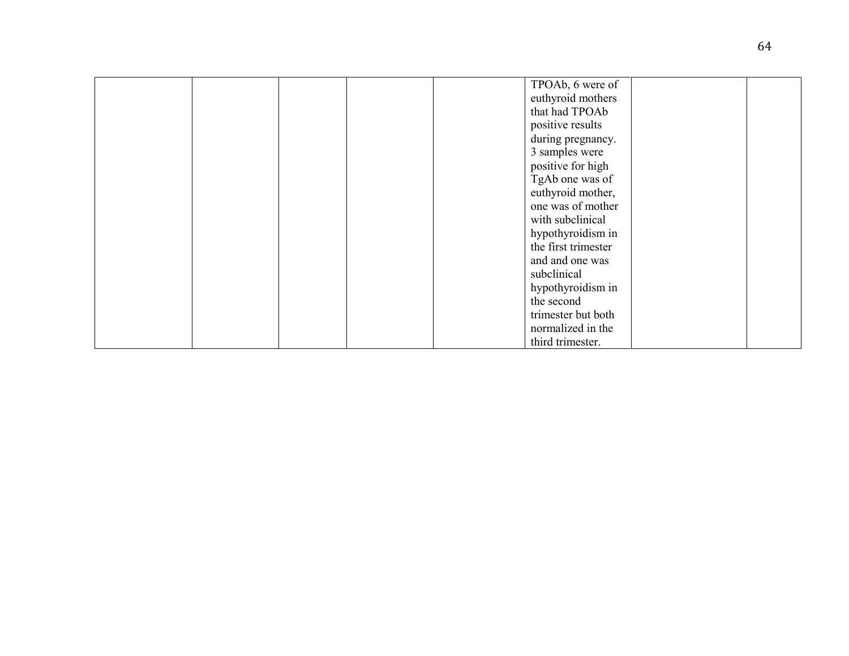|  |  | TPOAb, 6 were of    |  |
|--|--|---------------------|--|
|  |  | euthyroid mothers   |  |
|  |  | that had TPOAb      |  |
|  |  | positive results    |  |
|  |  | during pregnancy.   |  |
|  |  | 3 samples were      |  |
|  |  | positive for high   |  |
|  |  | TgAb one was of     |  |
|  |  |                     |  |
|  |  | euthyroid mother,   |  |
|  |  | one was of mother   |  |
|  |  | with subclinical    |  |
|  |  | hypothyroidism in   |  |
|  |  | the first trimester |  |
|  |  | and and one was     |  |
|  |  | subclinical         |  |
|  |  | hypothyroidism in   |  |
|  |  | the second          |  |
|  |  | trimester but both  |  |
|  |  |                     |  |
|  |  | normalized in the   |  |
|  |  | third trimester.    |  |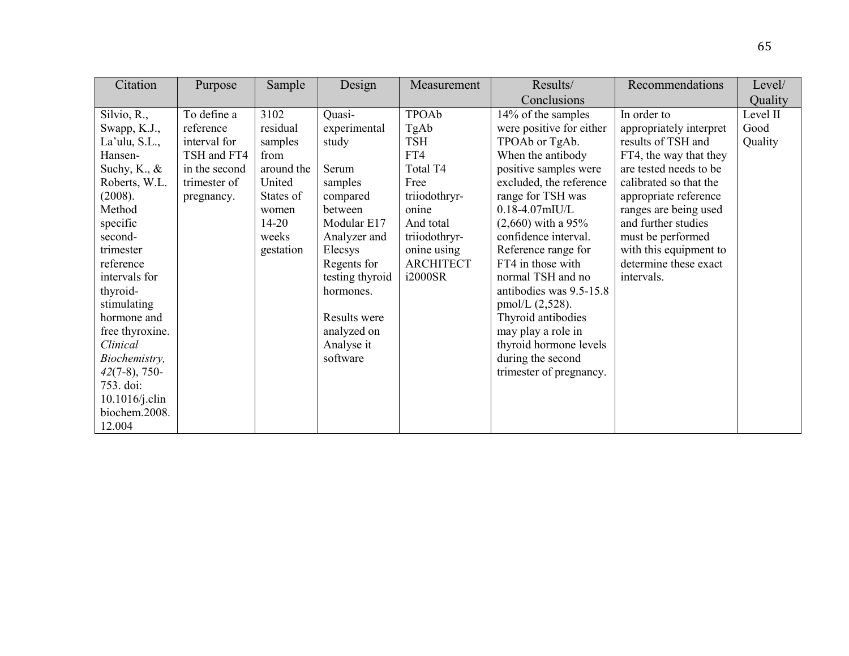| Citation          | Purpose       | Sample     | Design          | Measurement      | Results/                 | Recommendations         | Level/   |
|-------------------|---------------|------------|-----------------|------------------|--------------------------|-------------------------|----------|
|                   |               |            |                 |                  | Conclusions              |                         | Quality  |
| Silvio, R.,       | To define a   | 3102       | Quasi-          | <b>TPOAb</b>     | 14% of the samples       | In order to             | Level II |
| Swapp, K.J.,      | reference     | residual   | experimental    | TgAb             | were positive for either | appropriately interpret | Good     |
| La'ulu, S.L.,     | interval for  | samples    | study           | <b>TSH</b>       | TPOAb or TgAb.           | results of TSH and      | Quality  |
| Hansen-           | TSH and FT4   | from       |                 | FT4              | When the antibody        | FT4, the way that they  |          |
| Suchy, K., $\&$   | in the second | around the | Serum           | Total T4         | positive samples were    | are tested needs to be  |          |
| Roberts, W.L.     | trimester of  | United     | samples         | Free             | excluded, the reference  | calibrated so that the  |          |
| (2008).           | pregnancy.    | States of  | compared        | triiodothryr-    | range for TSH was        | appropriate reference   |          |
| Method            |               | women      | between         | onine            | $0.18 - 4.07$ mIU/L      | ranges are being used   |          |
| specific          |               | $14 - 20$  | Modular E17     | And total        | $(2,660)$ with a 95%     | and further studies     |          |
| second-           |               | weeks      | Analyzer and    | triiodothryr-    | confidence interval.     | must be performed       |          |
| trimester         |               | gestation  | Elecsys         | onine using      | Reference range for      | with this equipment to  |          |
| reference         |               |            | Regents for     | <b>ARCHITECT</b> | FT4 in those with        | determine these exact   |          |
| intervals for     |               |            | testing thyroid | i2000SR          | normal TSH and no        | intervals.              |          |
| thyroid-          |               |            | hormones.       |                  | antibodies was 9.5-15.8  |                         |          |
| stimulating       |               |            |                 |                  | $pmol/L$ (2,528).        |                         |          |
| hormone and       |               |            | Results were    |                  | Thyroid antibodies       |                         |          |
| free thyroxine.   |               |            | analyzed on     |                  | may play a role in       |                         |          |
| Clinical          |               |            | Analyse it      |                  | thyroid hormone levels   |                         |          |
| Biochemistry,     |               |            | software        |                  | during the second        |                         |          |
| $42(7-8)$ , 750-  |               |            |                 |                  | trimester of pregnancy.  |                         |          |
| 753. doi:         |               |            |                 |                  |                          |                         |          |
| $10.1016$ /j.clin |               |            |                 |                  |                          |                         |          |
| biochem.2008.     |               |            |                 |                  |                          |                         |          |
| 12.004            |               |            |                 |                  |                          |                         |          |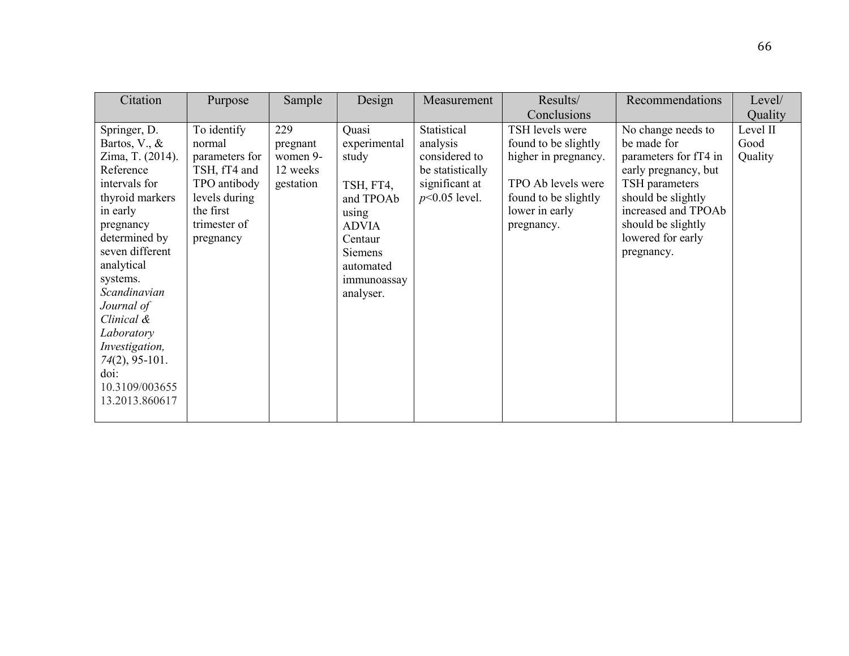| Citation                                                                                                                                                                                                                                                                                                                                  | Purpose                                                                                                                            | Sample                                               | Design                                                                                                                                           | Measurement                                                                                       | Results/                                                                                                                                      | Recommendations                                                                                                                                                                                            | Level/                      |
|-------------------------------------------------------------------------------------------------------------------------------------------------------------------------------------------------------------------------------------------------------------------------------------------------------------------------------------------|------------------------------------------------------------------------------------------------------------------------------------|------------------------------------------------------|--------------------------------------------------------------------------------------------------------------------------------------------------|---------------------------------------------------------------------------------------------------|-----------------------------------------------------------------------------------------------------------------------------------------------|------------------------------------------------------------------------------------------------------------------------------------------------------------------------------------------------------------|-----------------------------|
|                                                                                                                                                                                                                                                                                                                                           |                                                                                                                                    |                                                      |                                                                                                                                                  |                                                                                                   | Conclusions                                                                                                                                   |                                                                                                                                                                                                            | Quality                     |
| Springer, D.<br>Bartos, V., $\&$<br>Zima, T. (2014).<br>Reference<br>intervals for<br>thyroid markers<br>in early<br>pregnancy<br>determined by<br>seven different<br>analytical<br>systems.<br>Scandinavian<br>Journal of<br>Clinical &<br>Laboratory<br>Investigation,<br>$74(2)$ , 95-101.<br>doi:<br>10.3109/003655<br>13.2013.860617 | To identify<br>normal<br>parameters for<br>TSH, fT4 and<br>TPO antibody<br>levels during<br>the first<br>trimester of<br>pregnancy | 229<br>pregnant<br>women 9-<br>12 weeks<br>gestation | Quasi<br>experimental<br>study<br>TSH, FT4,<br>and TPOAb<br>using<br><b>ADVIA</b><br>Centaur<br>Siemens<br>automated<br>immunoassay<br>analyser. | Statistical<br>analysis<br>considered to<br>be statistically<br>significant at<br>$p<0.05$ level. | TSH levels were<br>found to be slightly<br>higher in pregnancy.<br>TPO Ab levels were<br>found to be slightly<br>lower in early<br>pregnancy. | No change needs to<br>be made for<br>parameters for fT4 in<br>early pregnancy, but<br>TSH parameters<br>should be slightly<br>increased and TPOAb<br>should be slightly<br>lowered for early<br>pregnancy. | Level II<br>Good<br>Quality |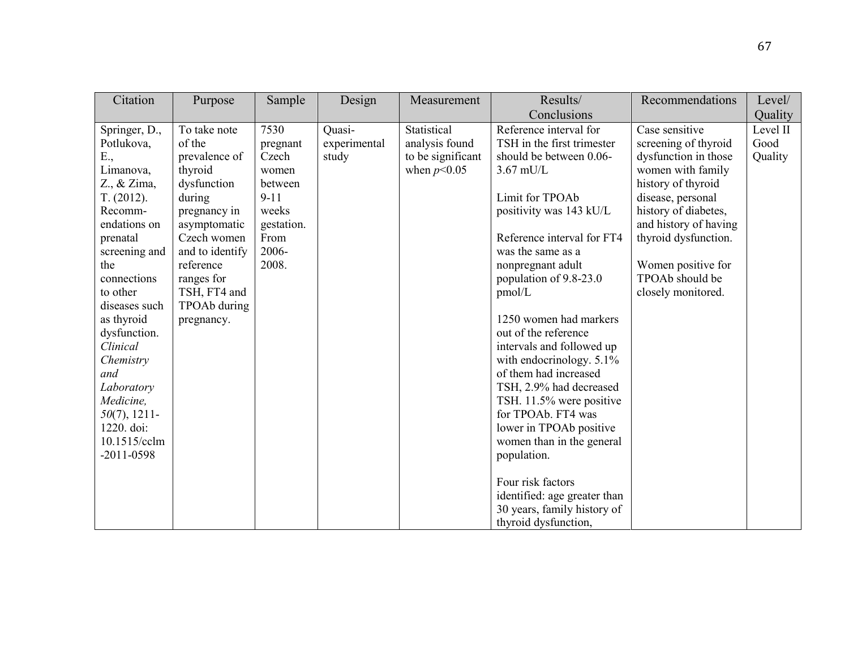| Purpose                                                                                                                                                                                                                | Sample                                                                                                     | Design                          | Measurement                                                         | Results/                                                                                                                                                                                                                                                                                                                                                                                                                                                                                                                                                                                                                                                     | Recommendations                                                                                                                                                                                                                                                        | Level/                      |
|------------------------------------------------------------------------------------------------------------------------------------------------------------------------------------------------------------------------|------------------------------------------------------------------------------------------------------------|---------------------------------|---------------------------------------------------------------------|--------------------------------------------------------------------------------------------------------------------------------------------------------------------------------------------------------------------------------------------------------------------------------------------------------------------------------------------------------------------------------------------------------------------------------------------------------------------------------------------------------------------------------------------------------------------------------------------------------------------------------------------------------------|------------------------------------------------------------------------------------------------------------------------------------------------------------------------------------------------------------------------------------------------------------------------|-----------------------------|
|                                                                                                                                                                                                                        |                                                                                                            |                                 |                                                                     | Conclusions                                                                                                                                                                                                                                                                                                                                                                                                                                                                                                                                                                                                                                                  |                                                                                                                                                                                                                                                                        | Quality                     |
| To take note<br>of the<br>prevalence of<br>thyroid<br>dysfunction<br>during<br>pregnancy in<br>asymptomatic<br>Czech women<br>and to identify<br>reference<br>ranges for<br>TSH, FT4 and<br>TPOAb during<br>pregnancy. | 7530<br>pregnant<br>Czech<br>women<br>between<br>$9 - 11$<br>weeks<br>gestation.<br>From<br>2006-<br>2008. | Quasi-<br>experimental<br>study | Statistical<br>analysis found<br>to be significant<br>when $p<0.05$ | Reference interval for<br>TSH in the first trimester<br>should be between 0.06-<br>$3.67$ mU/L<br>Limit for TPOAb<br>positivity was 143 kU/L<br>Reference interval for FT4<br>was the same as a<br>nonpregnant adult<br>population of 9.8-23.0<br>pmol/L<br>1250 women had markers<br>out of the reference<br>intervals and followed up<br>with endocrinology. 5.1%<br>of them had increased<br>TSH, 2.9% had decreased<br>TSH. 11.5% were positive<br>for TPOAb. FT4 was<br>lower in TPOAb positive<br>women than in the general<br>population.<br>Four risk factors<br>identified: age greater than<br>30 years, family history of<br>thyroid dysfunction, | Case sensitive<br>screening of thyroid<br>dysfunction in those<br>women with family<br>history of thyroid<br>disease, personal<br>history of diabetes,<br>and history of having<br>thyroid dysfunction.<br>Women positive for<br>TPOAb should be<br>closely monitored. | Level II<br>Good<br>Quality |
|                                                                                                                                                                                                                        |                                                                                                            |                                 |                                                                     |                                                                                                                                                                                                                                                                                                                                                                                                                                                                                                                                                                                                                                                              |                                                                                                                                                                                                                                                                        |                             |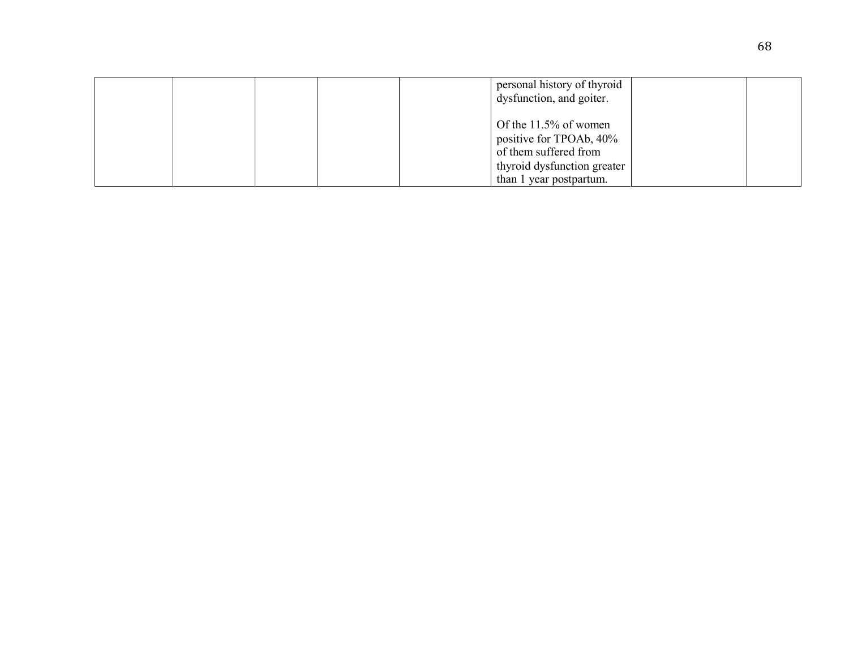|  |  | personal history of thyroid<br>dysfunction, and goiter.                                                                                |  |
|--|--|----------------------------------------------------------------------------------------------------------------------------------------|--|
|  |  | Of the $11.5\%$ of women<br>positive for TPOAb, 40%<br>of them suffered from<br>thyroid dysfunction greater<br>than 1 year postpartum. |  |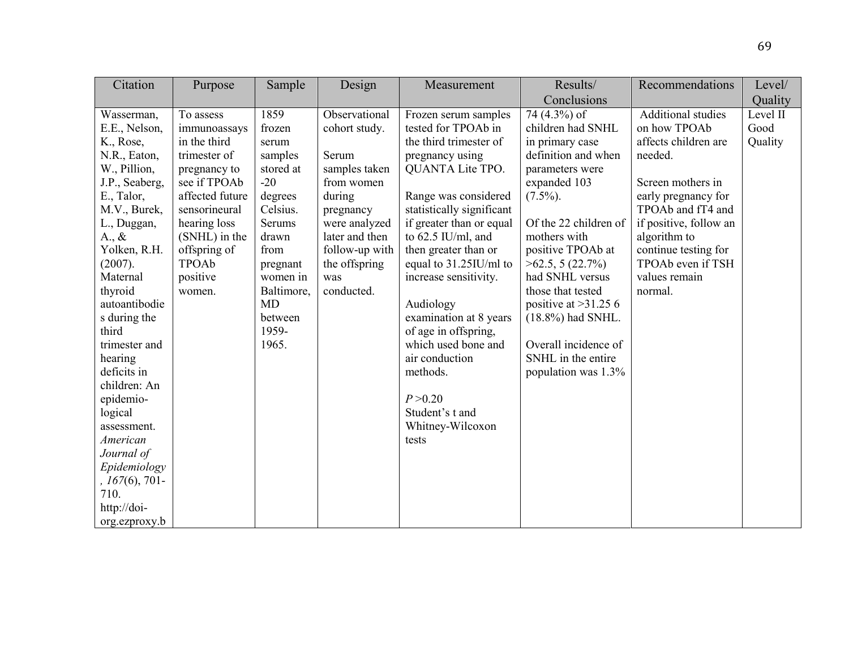| Citation         | Purpose         | Sample     | Design         | Measurement               | Results/               | Recommendations           | Level/   |
|------------------|-----------------|------------|----------------|---------------------------|------------------------|---------------------------|----------|
|                  |                 |            |                |                           | Conclusions            |                           | Quality  |
| Wasserman,       | To assess       | 1859       | Observational  | Frozen serum samples      | 74 (4.3%) of           | <b>Additional studies</b> | Level II |
| E.E., Nelson,    | immunoassays    | frozen     | cohort study.  | tested for TPOAb in       | children had SNHL      | on how TPOAb              | Good     |
| K., Rose,        | in the third    | serum      |                | the third trimester of    | in primary case        | affects children are      | Quality  |
| N.R., Eaton,     | trimester of    | samples    | Serum          | pregnancy using           | definition and when    | needed.                   |          |
| W., Pillion,     | pregnancy to    | stored at  | samples taken  | <b>QUANTA Lite TPO.</b>   | parameters were        |                           |          |
| J.P., Seaberg,   | see if TPOAb    | $-20$      | from women     |                           | expanded 103           | Screen mothers in         |          |
| E., Talor,       | affected future | degrees    | during         | Range was considered      | $(7.5\%)$ .            | early pregnancy for       |          |
| M.V., Burek,     | sensorineural   | Celsius.   | pregnancy      | statistically significant |                        | TPOAb and fT4 and         |          |
| L., Duggan,      | hearing loss    | Serums     | were analyzed  | if greater than or equal  | Of the 22 children of  | if positive, follow an    |          |
| $A_{\cdot}, \&$  | (SNHL) in the   | drawn      | later and then | to 62.5 IU/ml, and        | mothers with           | algorithm to              |          |
| Yolken, R.H.     | offspring of    | from       | follow-up with | then greater than or      | positive TPOAb at      | continue testing for      |          |
| (2007).          | TPOAb           | pregnant   | the offspring  | equal to 31.25IU/ml to    | $>62.5$ , 5 (22.7%)    | TPOAb even if TSH         |          |
| Maternal         | positive        | women in   | was            | increase sensitivity.     | had SNHL versus        | values remain             |          |
| thyroid          | women.          | Baltimore, | conducted.     |                           | those that tested      | normal.                   |          |
| autoantibodie    |                 | <b>MD</b>  |                | Audiology                 | positive at $>31.25$ 6 |                           |          |
| s during the     |                 | between    |                | examination at 8 years    | $(18.8\%)$ had SNHL.   |                           |          |
| third            |                 | 1959-      |                | of age in offspring,      |                        |                           |          |
| trimester and    |                 | 1965.      |                | which used bone and       | Overall incidence of   |                           |          |
| hearing          |                 |            |                | air conduction            | SNHL in the entire     |                           |          |
| deficits in      |                 |            |                | methods.                  | population was 1.3%    |                           |          |
| children: An     |                 |            |                |                           |                        |                           |          |
| epidemio-        |                 |            |                | P > 0.20                  |                        |                           |          |
| logical          |                 |            |                | Student's t and           |                        |                           |          |
| assessment.      |                 |            |                | Whitney-Wilcoxon          |                        |                           |          |
| American         |                 |            |                | tests                     |                        |                           |          |
| Journal of       |                 |            |                |                           |                        |                           |          |
| Epidemiology     |                 |            |                |                           |                        |                           |          |
| $, 167(6), 701-$ |                 |            |                |                           |                        |                           |          |
| 710.             |                 |            |                |                           |                        |                           |          |
| http://doi-      |                 |            |                |                           |                        |                           |          |
| org.ezproxy.b    |                 |            |                |                           |                        |                           |          |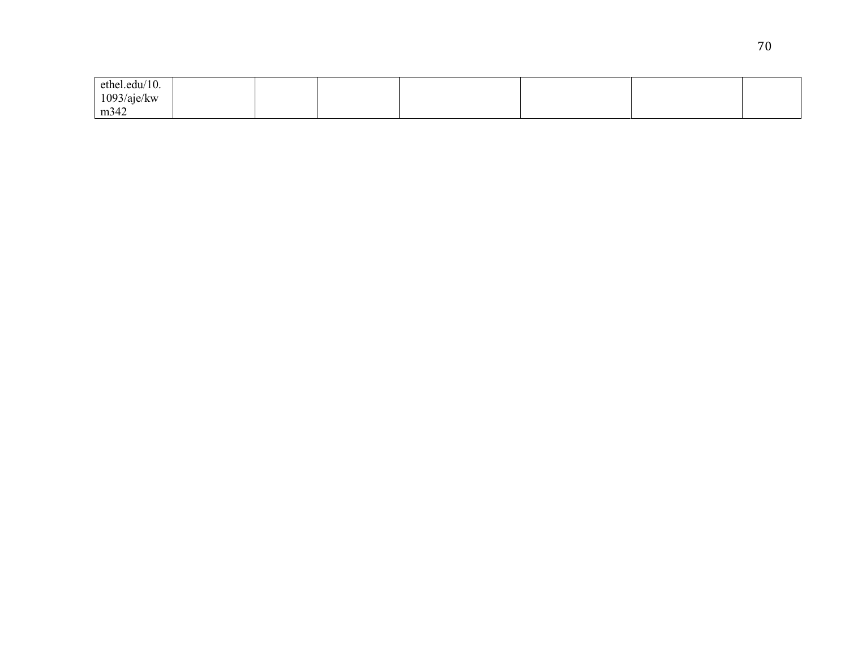| ethel.edu/10. |  |  |  |  |
|---------------|--|--|--|--|
| 1093/aje/kw   |  |  |  |  |
| m342          |  |  |  |  |